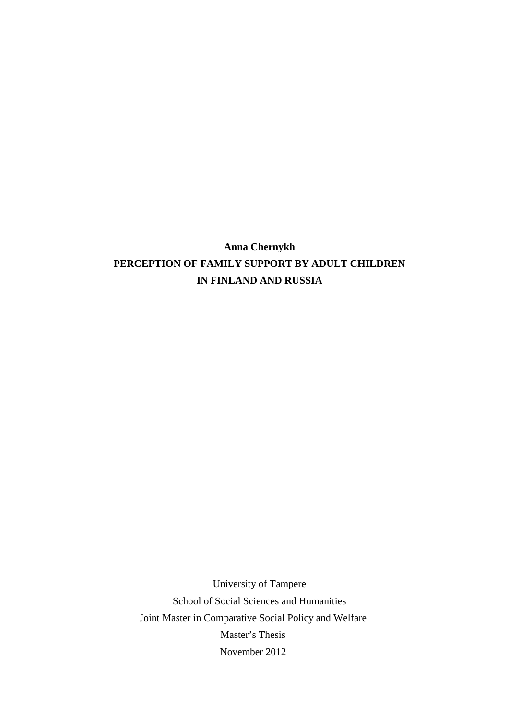**Anna Chernykh PERCEPTION OF FAMILY SUPPORT BY ADULT CHILDREN IN FINLAND AND RUSSIA**

University of Tampere School of Social Sciences and Humanities Joint Master in Comparative Social Policy and Welfare Master's Thesis November 2012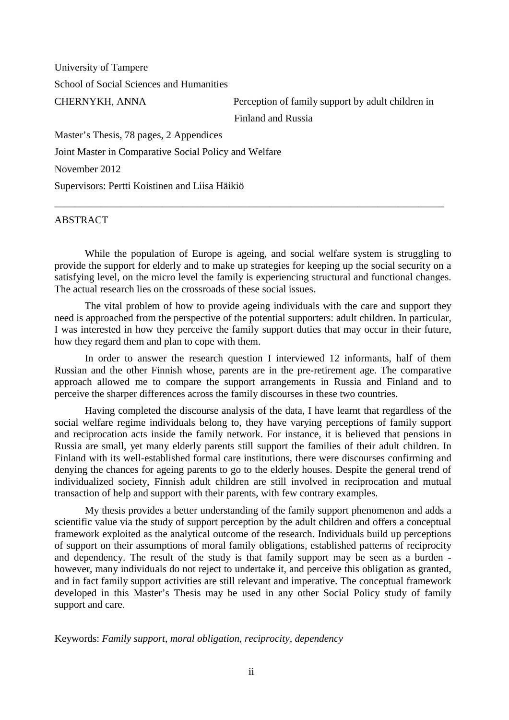University of Tampere School of Social Sciences and Humanities

CHERNYKH, ANNA Perception of family support by adult children in Finland and Russia

Master's Thesis, 78 pages, 2 Appendices Joint Master in Comparative Social Policy and Welfare November 2012 Supervisors: Pertti Koistinen and Liisa Häikiö

# ABSTRACT

While the population of Europe is ageing, and social welfare system is struggling to provide the support for elderly and to make up strategies for keeping up the social security on a satisfying level, on the micro level the family is experiencing structural and functional changes. The actual research lies on the crossroads of these social issues.

\_\_\_\_\_\_\_\_\_\_\_\_\_\_\_\_\_\_\_\_\_\_\_\_\_\_\_\_\_\_\_\_\_\_\_\_\_\_\_\_\_\_\_\_\_\_\_\_\_\_\_\_\_\_\_\_\_\_\_\_\_\_\_\_\_\_\_\_\_\_\_\_\_\_\_\_

The vital problem of how to provide ageing individuals with the care and support they need is approached from the perspective of the potential supporters: adult children. In particular, I was interested in how they perceive the family support duties that may occur in their future, how they regard them and plan to cope with them.

In order to answer the research question I interviewed 12 informants, half of them Russian and the other Finnish whose, parents are in the pre-retirement age. The comparative approach allowed me to compare the support arrangements in Russia and Finland and to perceive the sharper differences across the family discourses in these two countries.

Having completed the discourse analysis of the data, I have learnt that regardless of the social welfare regime individuals belong to, they have varying perceptions of family support and reciprocation acts inside the family network. For instance, it is believed that pensions in Russia are small, yet many elderly parents still support the families of their adult children. In Finland with its well-established formal care institutions, there were discourses confirming and denying the chances for ageing parents to go to the elderly houses. Despite the general trend of individualized society, Finnish adult children are still involved in reciprocation and mutual transaction of help and support with their parents, with few contrary examples.

My thesis provides a better understanding of the family support phenomenon and adds a scientific value via the study of support perception by the adult children and offers a conceptual framework exploited as the analytical outcome of the research. Individuals build up perceptions of support on their assumptions of moral family obligations, established patterns of reciprocity and dependency. The result of the study is that family support may be seen as a burden however, many individuals do not reject to undertake it, and perceive this obligation as granted, and in fact family support activities are still relevant and imperative. The conceptual framework developed in this Master's Thesis may be used in any other Social Policy study of family support and care.

Keywords: *Family support, moral obligation, reciprocity, dependency*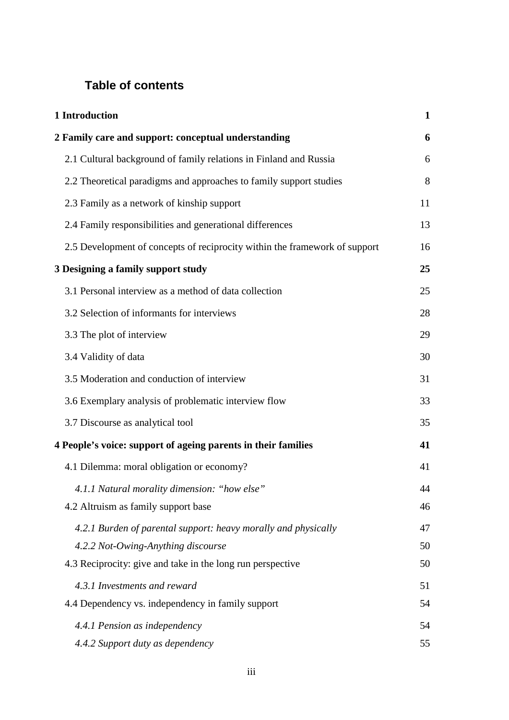# **Table of contents**

| 1 Introduction                                                             | $\mathbf{1}$ |
|----------------------------------------------------------------------------|--------------|
| 2 Family care and support: conceptual understanding                        | 6            |
| 2.1 Cultural background of family relations in Finland and Russia          | 6            |
| 2.2 Theoretical paradigms and approaches to family support studies         | 8            |
| 2.3 Family as a network of kinship support                                 | 11           |
| 2.4 Family responsibilities and generational differences                   | 13           |
| 2.5 Development of concepts of reciprocity within the framework of support | 16           |
| 3 Designing a family support study                                         | 25           |
| 3.1 Personal interview as a method of data collection                      | 25           |
| 3.2 Selection of informants for interviews                                 | 28           |
| 3.3 The plot of interview                                                  | 29           |
| 3.4 Validity of data                                                       | 30           |
| 3.5 Moderation and conduction of interview                                 | 31           |
| 3.6 Exemplary analysis of problematic interview flow                       | 33           |
| 3.7 Discourse as analytical tool                                           | 35           |
| 4 People's voice: support of ageing parents in their families              | 41           |
| 4.1 Dilemma: moral obligation or economy?                                  | 41           |
| 4.1.1 Natural morality dimension: "how else"                               | 44           |
| 4.2 Altruism as family support base                                        | 46           |
| 4.2.1 Burden of parental support: heavy morally and physically             | 47           |
| 4.2.2 Not-Owing-Anything discourse                                         | 50           |
| 4.3 Reciprocity: give and take in the long run perspective                 | 50           |
| 4.3.1 Investments and reward                                               | 51           |
| 4.4 Dependency vs. independency in family support                          | 54           |
| 4.4.1 Pension as independency                                              | 54           |
| 4.4.2 Support duty as dependency                                           | 55           |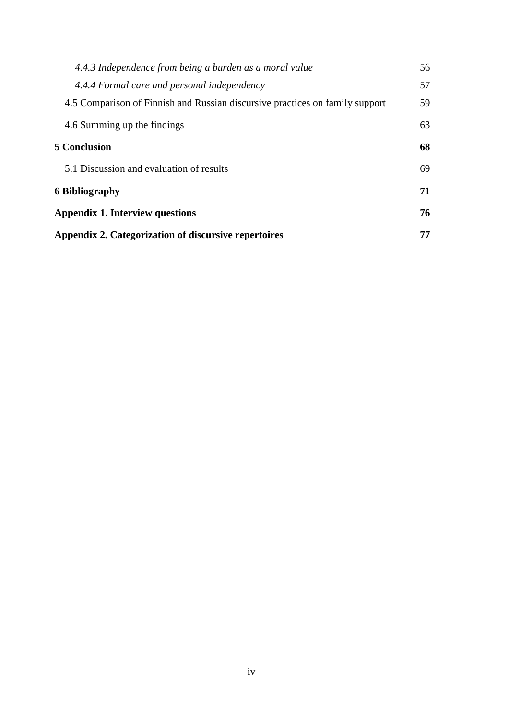| 4.4.3 Independence from being a burden as a moral value                      | 56 |
|------------------------------------------------------------------------------|----|
| 4.4.4 Formal care and personal independency                                  | 57 |
| 4.5 Comparison of Finnish and Russian discursive practices on family support | 59 |
| 4.6 Summing up the findings                                                  | 63 |
| <b>5 Conclusion</b>                                                          | 68 |
| 5.1 Discussion and evaluation of results                                     | 69 |
| 6 Bibliography                                                               | 71 |
| Appendix 1. Interview questions                                              | 76 |
| Appendix 2. Categorization of discursive repertoires                         | 77 |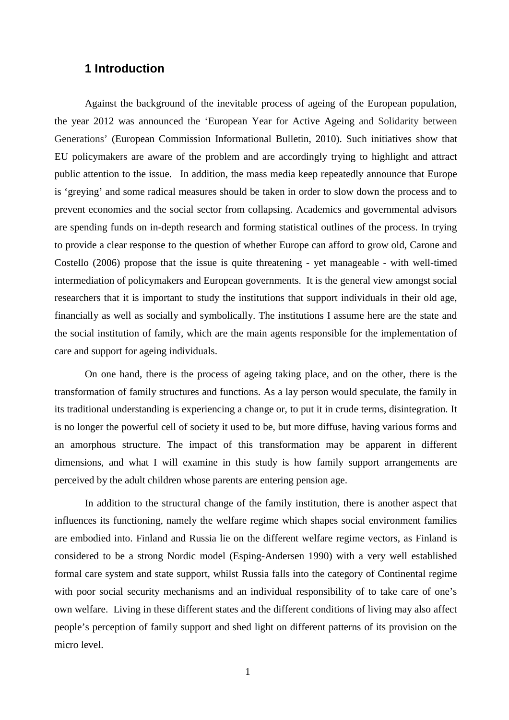# **1 Introduction**

Against the background of the inevitable process of ageing of the European population, the year 2012 was announced the 'European Year for Active Ageing and Solidarity between Generations'(European Commission Informational Bulletin, 2010). Such initiatives show that EU policymakers are aware of the problem and are accordingly trying to highlight and attract public attention to the issue. In addition, the mass media keep repeatedly announce that Europe is 'greying' and some radical measures should be taken in order to slow down the process and to prevent economies and the social sector from collapsing. Academics and governmental advisors are spending funds on in-depth research and forming statistical outlines of the process. In trying to provide a clear response to the question of whether Europe can afford to grow old, Carone and Costello (2006) propose that the issue is quite threatening - yet manageable - with well-timed intermediation of policymakers and European governments. It is the general view amongst social researchers that it is important to study the institutions that support individuals in their old age, financially as well as socially and symbolically. The institutions I assume here are the state and the social institution of family, which are the main agents responsible for the implementation of care and support for ageing individuals.

On one hand, there is the process of ageing taking place, and on the other, there is the transformation of family structures and functions. As a lay person would speculate, the family in its traditional understanding is experiencing a change or, to put it in crude terms, disintegration. It is no longer the powerful cell of society it used to be, but more diffuse, having various forms and an amorphous structure. The impact of this transformation may be apparent in different dimensions, and what I will examine in this study is how family support arrangements are perceived by the adult children whose parents are entering pension age.

In addition to the structural change of the family institution, there is another aspect that influences its functioning, namely the welfare regime which shapes social environment families are embodied into. Finland and Russia lie on the different welfare regime vectors, as Finland is considered to be a strong Nordic model (Esping-Andersen 1990) with a very well established formal care system and state support, whilst Russia falls into the category of Continental regime with poor social security mechanisms and an individual responsibility of to take care of one's own welfare. Living in these different states and the different conditions of living may also affect people's perception of family support and shed light on different patterns of its provision on the micro level.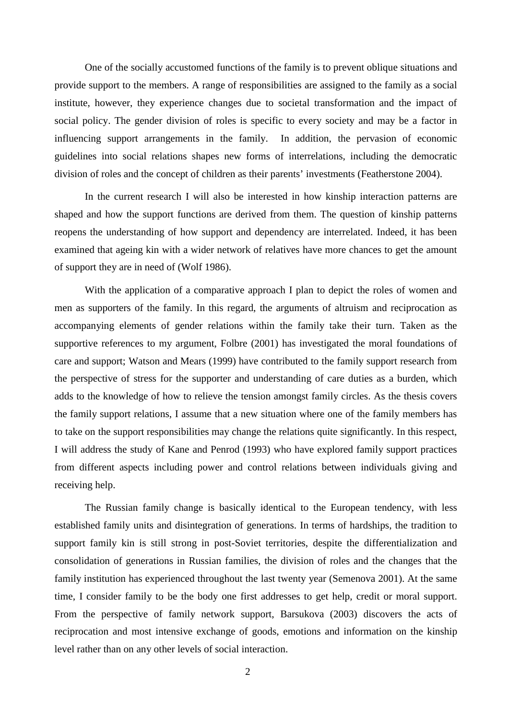One of the socially accustomed functions of the family is to prevent oblique situations and provide support to the members. A range of responsibilities are assigned to the family as a social institute, however, they experience changes due to societal transformation and the impact of social policy. The gender division of roles is specific to every society and may be a factor in influencing support arrangements in the family. In addition, the pervasion of economic guidelines into social relations shapes new forms of interrelations, including the democratic division of roles and the concept of children as their parents' investments (Featherstone 2004).

In the current research I will also be interested in how kinship interaction patterns are shaped and how the support functions are derived from them. The question of kinship patterns reopens the understanding of how support and dependency are interrelated. Indeed, it has been examined that ageing kin with a wider network of relatives have more chances to get the amount of support they are in need of (Wolf 1986).

With the application of a comparative approach I plan to depict the roles of women and men as supporters of the family. In this regard, the arguments of altruism and reciprocation as accompanying elements of gender relations within the family take their turn. Taken as the supportive references to my argument, Folbre (2001) has investigated the moral foundations of care and support; Watson and Mears (1999) have contributed to the family support research from the perspective of stress for the supporter and understanding of care duties as a burden, which adds to the knowledge of how to relieve the tension amongst family circles. As the thesis covers the family support relations, I assume that a new situation where one of the family members has to take on the support responsibilities may change the relations quite significantly. In this respect, I will address the study of Kane and Penrod (1993) who have explored family support practices from different aspects including power and control relations between individuals giving and receiving help.

The Russian family change is basically identical to the European tendency, with less established family units and disintegration of generations. In terms of hardships, the tradition to support family kin is still strong in post-Soviet territories, despite the differentialization and consolidation of generations in Russian families, the division of roles and the changes that the family institution has experienced throughout the last twenty year (Semenova 2001). At the same time, I consider family to be the body one first addresses to get help, credit or moral support. From the perspective of family network support, Barsukova (2003) discovers the acts of reciprocation and most intensive exchange of goods, emotions and information on the kinship level rather than on any other levels of social interaction.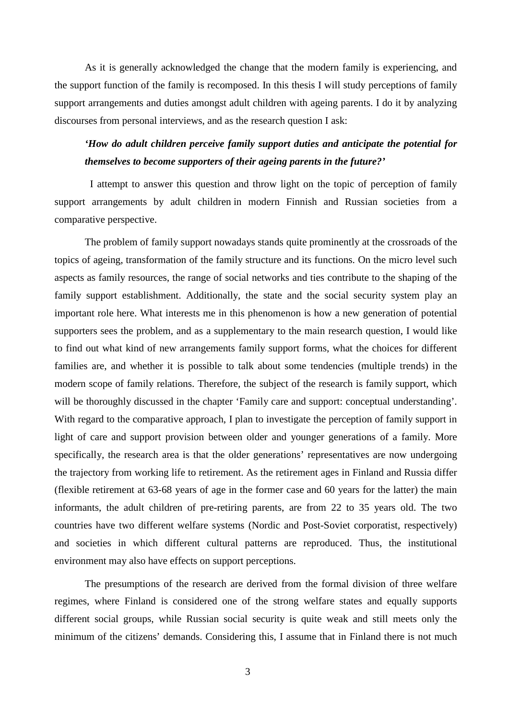As it is generally acknowledged the change that the modern family is experiencing, and the support function of the family is recomposed. In this thesis I will study perceptions of family support arrangements and duties amongst adult children with ageing parents. I do it by analyzing discourses from personal interviews, and as the research question I ask:

# *'How do adult children perceive family support duties and anticipate the potential for themselves to become supporters of their ageing parents in the future?'*

 I attempt to answer this question and throw light on the topic of perception of family support arrangements by adult children in modern Finnish and Russian societies from a comparative perspective.

The problem of family support nowadays stands quite prominently at the crossroads of the topics of ageing, transformation of the family structure and its functions. On the micro level such aspects as family resources, the range of social networks and ties contribute to the shaping of the family support establishment. Additionally, the state and the social security system play an important role here. What interests me in this phenomenon is how a new generation of potential supporters sees the problem, and as a supplementary to the main research question, I would like to find out what kind of new arrangements family support forms, what the choices for different families are, and whether it is possible to talk about some tendencies (multiple trends) in the modern scope of family relations. Therefore, the subject of the research is family support, which will be thoroughly discussed in the chapter 'Family care and support: conceptual understanding'. With regard to the comparative approach, I plan to investigate the perception of family support in light of care and support provision between older and younger generations of a family. More specifically, the research area is that the older generations' representatives are now undergoing the trajectory from working life to retirement. As the retirement ages in Finland and Russia differ (flexible retirement at 63-68 years of age in the former case and 60 years for the latter) the main informants, the adult children of pre-retiring parents, are from 22 to 35 years old. The two countries have two different welfare systems (Nordic and Post-Soviet corporatist, respectively) and societies in which different cultural patterns are reproduced. Thus, the institutional environment may also have effects on support perceptions.

The presumptions of the research are derived from the formal division of three welfare regimes, where Finland is considered one of the strong welfare states and equally supports different social groups, while Russian social security is quite weak and still meets only the minimum of the citizens' demands. Considering this, I assume that in Finland there is not much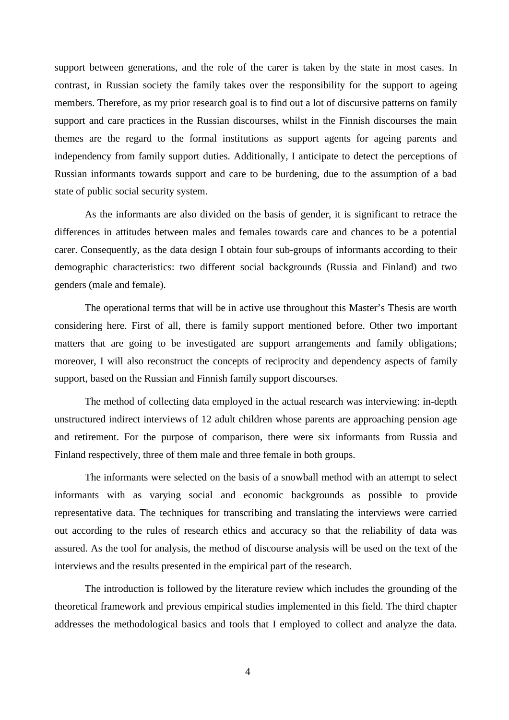support between generations, and the role of the carer is taken by the state in most cases. In contrast, in Russian society the family takes over the responsibility for the support to ageing members. Therefore, as my prior research goal is to find out a lot of discursive patterns on family support and care practices in the Russian discourses, whilst in the Finnish discourses the main themes are the regard to the formal institutions as support agents for ageing parents and independency from family support duties. Additionally, I anticipate to detect the perceptions of Russian informants towards support and care to be burdening, due to the assumption of a bad state of public social security system.

As the informants are also divided on the basis of gender, it is significant to retrace the differences in attitudes between males and females towards care and chances to be a potential carer. Consequently, as the data design I obtain four sub-groups of informants according to their demographic characteristics: two different social backgrounds (Russia and Finland) and two genders (male and female).

The operational terms that will be in active use throughout this Master's Thesis are worth considering here. First of all, there is family support mentioned before. Other two important matters that are going to be investigated are support arrangements and family obligations; moreover, I will also reconstruct the concepts of reciprocity and dependency aspects of family support, based on the Russian and Finnish family support discourses.

The method of collecting data employed in the actual research was interviewing: in-depth unstructured indirect interviews of 12 adult children whose parents are approaching pension age and retirement. For the purpose of comparison, there were six informants from Russia and Finland respectively, three of them male and three female in both groups.

The informants were selected on the basis of a snowball method with an attempt to select informants with as varying social and economic backgrounds as possible to provide representative data. The techniques for transcribing and translating the interviews were carried out according to the rules of research ethics and accuracy so that the reliability of data was assured. As the tool for analysis, the method of discourse analysis will be used on the text of the interviews and the results presented in the empirical part of the research.

The introduction is followed by the literature review which includes the grounding of the theoretical framework and previous empirical studies implemented in this field. The third chapter addresses the methodological basics and tools that I employed to collect and analyze the data.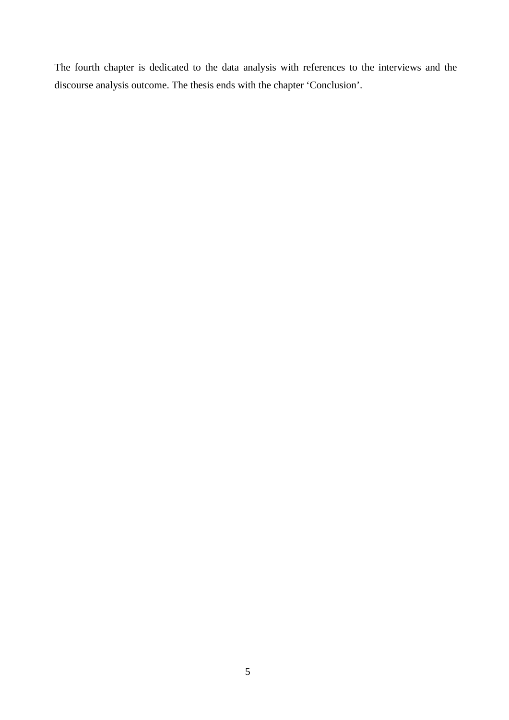The fourth chapter is dedicated to the data analysis with references to the interviews and the discourse analysis outcome. The thesis ends with the chapter 'Conclusion'.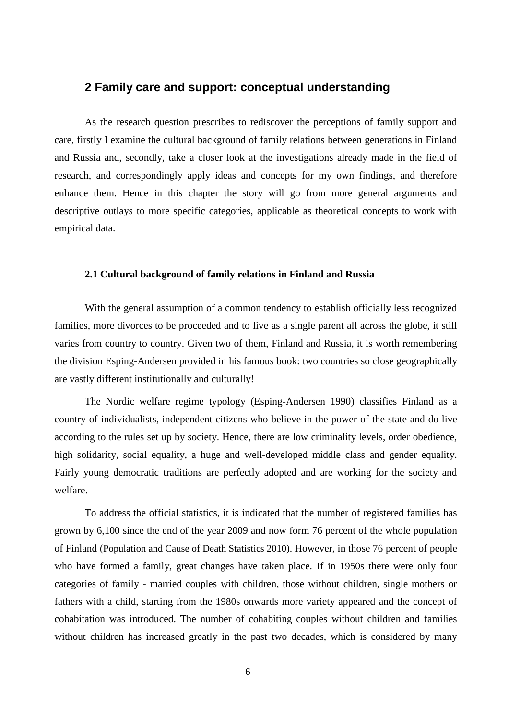# **2 Family care and support: conceptual understanding**

As the research question prescribes to rediscover the perceptions of family support and care, firstly I examine the cultural background of family relations between generations in Finland and Russia and, secondly, take a closer look at the investigations already made in the field of research, and correspondingly apply ideas and concepts for my own findings, and therefore enhance them. Hence in this chapter the story will go from more general arguments and descriptive outlays to more specific categories, applicable as theoretical concepts to work with empirical data.

#### **2.1 Cultural background of family relations in Finland and Russia**

With the general assumption of a common tendency to establish officially less recognized families, more divorces to be proceeded and to live as a single parent all across the globe, it still varies from country to country. Given two of them, Finland and Russia, it is worth remembering the division Esping-Andersen provided in his famous book: two countries so close geographically are vastly different institutionally and culturally!

The Nordic welfare regime typology (Esping-Andersen 1990) classifies Finland as a country of individualists, independent citizens who believe in the power of the state and do live according to the rules set up by society. Hence, there are low criminality levels, order obedience, high solidarity, social equality, a huge and well-developed middle class and gender equality. Fairly young democratic traditions are perfectly adopted and are working for the society and welfare.

To address the official statistics, it is indicated that the number of registered families has grown by 6,100 since the end of the year 2009 and now form 76 percent of the whole population of Finland (Population and Cause of Death Statistics 2010). However, in those 76 percent of people who have formed a family, great changes have taken place. If in 1950s there were only four categories of family - married couples with children, those without children, single mothers or fathers with a child, starting from the 1980s onwards more variety appeared and the concept of cohabitation was introduced. The number of cohabiting couples without children and families without children has increased greatly in the past two decades, which is considered by many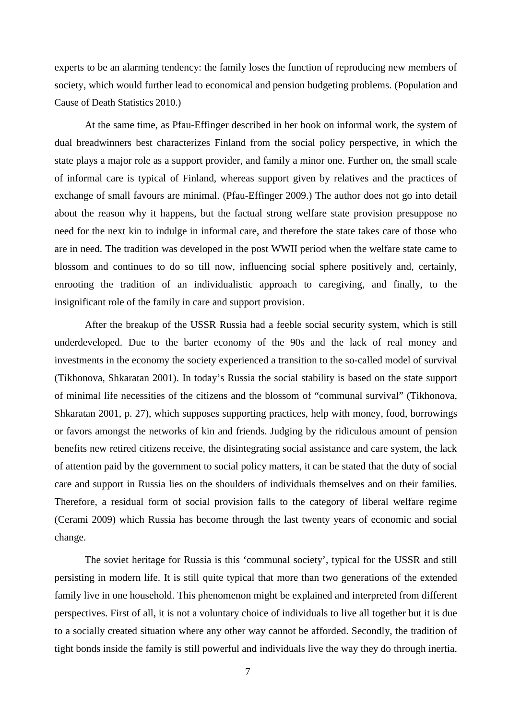experts to be an alarming tendency: the family loses the function of reproducing new members of society, which would further lead to economical and pension budgeting problems. (Population and Cause of Death Statistics 2010.)

At the same time, as Pfau-Effinger described in her book on informal work, the system of dual breadwinners best characterizes Finland from the social policy perspective, in which the state plays a major role as a support provider, and family a minor one. Further on, the small scale of informal care is typical of Finland, whereas support given by relatives and the practices of exchange of small favours are minimal. (Pfau-Effinger 2009.) The author does not go into detail about the reason why it happens, but the factual strong welfare state provision presuppose no need for the next kin to indulge in informal care, and therefore the state takes care of those who are in need. The tradition was developed in the post WWII period when the welfare state came to blossom and continues to do so till now, influencing social sphere positively and, certainly, enrooting the tradition of an individualistic approach to caregiving, and finally, to the insignificant role of the family in care and support provision.

After the breakup of the USSR Russia had a feeble social security system, which is still underdeveloped. Due to the barter economy of the 90s and the lack of real money and investments in the economy the society experienced a transition to the so-called model of survival (Tikhonova, Shkaratan 2001). In today's Russia the social stability is based on the state support of minimal life necessities of the citizens and the blossom of "communal survival" (Tikhonova, Shkaratan 2001, p. 27), which supposes supporting practices, help with money, food, borrowings or favors amongst the networks of kin and friends. Judging by the ridiculous amount of pension benefits new retired citizens receive, the disintegrating social assistance and care system, the lack of attention paid by the government to social policy matters, it can be stated that the duty of social care and support in Russia lies on the shoulders of individuals themselves and on their families. Therefore, a residual form of social provision falls to the category of liberal welfare regime (Cerami 2009) which Russia has become through the last twenty years of economic and social change.

The soviet heritage for Russia is this 'communal society', typical for the USSR and still persisting in modern life. It is still quite typical that more than two generations of the extended family live in one household. This phenomenon might be explained and interpreted from different perspectives. First of all, it is not a voluntary choice of individuals to live all together but it is due to a socially created situation where any other way cannot be afforded. Secondly, the tradition of tight bonds inside the family is still powerful and individuals live the way they do through inertia.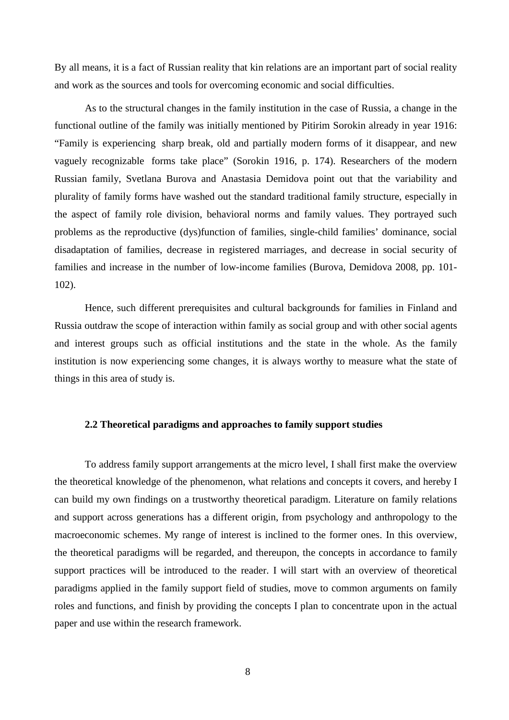By all means, it is a fact of Russian reality that kin relations are an important part of social reality and work as the sources and tools for overcoming economic and social difficulties.

As to the structural changes in the family institution in the case of Russia, a change in the functional outline of the family was initially mentioned by Pitirim Sorokin already in year 1916: "Family is experiencing sharp break, old and partially modern forms of it disappear, and new vaguely recognizable forms take place" (Sorokin 1916, p. 174). Researchers of the modern Russian family, Svetlana Burova and Anastasia Demidova point out that the variability and plurality of family forms have washed out the standard traditional family structure, especially in the aspect of family role division, behavioral norms and family values. They portrayed such problems as the reproductive (dys)function of families, single-child families' dominance, social disadaptation of families, decrease in registered marriages, and decrease in social security of families and increase in the number of low-income families (Burova, Demidova 2008, pp. 101- 102).

Hence, such different prerequisites and cultural backgrounds for families in Finland and Russia outdraw the scope of interaction within family as social group and with other social agents and interest groups such as official institutions and the state in the whole. As the family institution is now experiencing some changes, it is always worthy to measure what the state of things in this area of study is.

### **2.2 Theoretical paradigms and approaches to family support studies**

To address family support arrangements at the micro level, I shall first make the overview the theoretical knowledge of the phenomenon, what relations and concepts it covers, and hereby I can build my own findings on a trustworthy theoretical paradigm. Literature on family relations and support across generations has a different origin, from psychology and anthropology to the macroeconomic schemes. My range of interest is inclined to the former ones. In this overview, the theoretical paradigms will be regarded, and thereupon, the concepts in accordance to family support practices will be introduced to the reader. I will start with an overview of theoretical paradigms applied in the family support field of studies, move to common arguments on family roles and functions, and finish by providing the concepts I plan to concentrate upon in the actual paper and use within the research framework.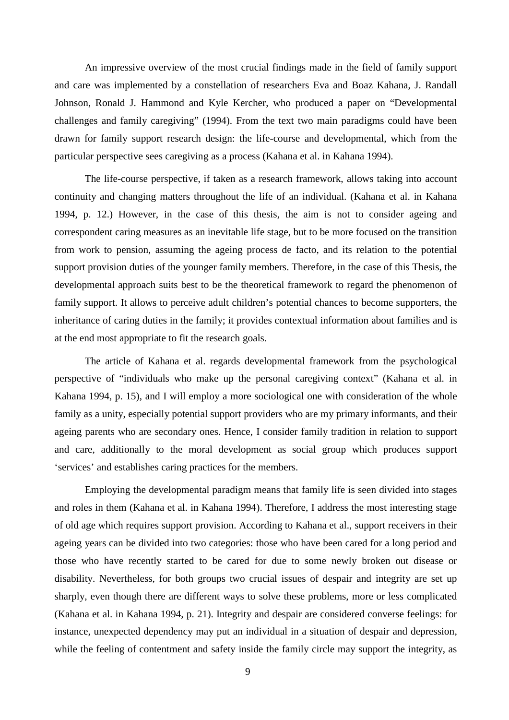An impressive overview of the most crucial findings made in the field of family support and care was implemented by a constellation of researchers Eva and Boaz Kahana, J. Randall Johnson, Ronald J. Hammond and Kyle Kercher, who produced a paper on "Developmental challenges and family caregiving" (1994). From the text two main paradigms could have been drawn for family support research design: the life-course and developmental, which from the particular perspective sees caregiving as a process (Kahana et al. in Kahana 1994).

The life-course perspective, if taken as a research framework, allows taking into account continuity and changing matters throughout the life of an individual. (Kahana et al. in Kahana 1994, p. 12.) However, in the case of this thesis, the aim is not to consider ageing and correspondent caring measures as an inevitable life stage, but to be more focused on the transition from work to pension, assuming the ageing process de facto, and its relation to the potential support provision duties of the younger family members. Therefore, in the case of this Thesis, the developmental approach suits best to be the theoretical framework to regard the phenomenon of family support. It allows to perceive adult children's potential chances to become supporters, the inheritance of caring duties in the family; it provides contextual information about families and is at the end most appropriate to fit the research goals.

The article of Kahana et al. regards developmental framework from the psychological perspective of "individuals who make up the personal caregiving context" (Kahana et al. in Kahana 1994, p. 15), and I will employ a more sociological one with consideration of the whole family as a unity, especially potential support providers who are my primary informants, and their ageing parents who are secondary ones. Hence, I consider family tradition in relation to support and care, additionally to the moral development as social group which produces support 'services' and establishes caring practices for the members.

Employing the developmental paradigm means that family life is seen divided into stages and roles in them (Kahana et al. in Kahana 1994). Therefore, I address the most interesting stage of old age which requires support provision. According to Kahana et al., support receivers in their ageing years can be divided into two categories: those who have been cared for a long period and those who have recently started to be cared for due to some newly broken out disease or disability. Nevertheless, for both groups two crucial issues of despair and integrity are set up sharply, even though there are different ways to solve these problems, more or less complicated (Kahana et al. in Kahana 1994, p. 21). Integrity and despair are considered converse feelings: for instance, unexpected dependency may put an individual in a situation of despair and depression, while the feeling of contentment and safety inside the family circle may support the integrity, as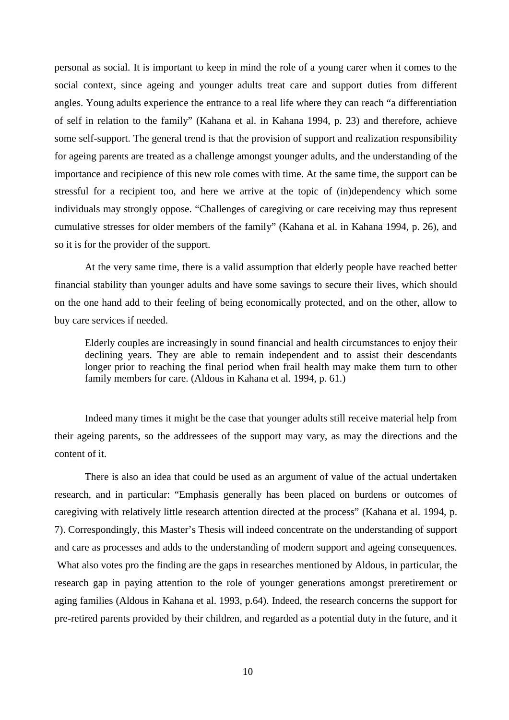personal as social. It is important to keep in mind the role of a young carer when it comes to the social context, since ageing and younger adults treat care and support duties from different angles. Young adults experience the entrance to a real life where they can reach "a differentiation of self in relation to the family" (Kahana et al. in Kahana 1994, p. 23) and therefore, achieve some self-support. The general trend is that the provision of support and realization responsibility for ageing parents are treated as a challenge amongst younger adults, and the understanding of the importance and recipience of this new role comes with time. At the same time, the support can be stressful for a recipient too, and here we arrive at the topic of (in)dependency which some individuals may strongly oppose. "Challenges of caregiving or care receiving may thus represent cumulative stresses for older members of the family" (Kahana et al. in Kahana 1994, p. 26), and so it is for the provider of the support.

At the very same time, there is a valid assumption that elderly people have reached better financial stability than younger adults and have some savings to secure their lives, which should on the one hand add to their feeling of being economically protected, and on the other, allow to buy care services if needed.

Elderly couples are increasingly in sound financial and health circumstances to enjoy their declining years. They are able to remain independent and to assist their descendants longer prior to reaching the final period when frail health may make them turn to other family members for care. (Aldous in Kahana et al. 1994, p. 61.)

Indeed many times it might be the case that younger adults still receive material help from their ageing parents, so the addressees of the support may vary, as may the directions and the content of it.

There is also an idea that could be used as an argument of value of the actual undertaken research, and in particular: "Emphasis generally has been placed on burdens or outcomes of caregiving with relatively little research attention directed at the process" (Kahana et al. 1994, p. 7). Correspondingly, this Master's Thesis will indeed concentrate on the understanding of support and care as processes and adds to the understanding of modern support and ageing consequences.

 What also votes pro the finding are the gaps in researches mentioned by Aldous, in particular, the research gap in paying attention to the role of younger generations amongst preretirement or aging families (Aldous in Kahana et al. 1993, p.64). Indeed, the research concerns the support for pre-retired parents provided by their children, and regarded as a potential duty in the future, and it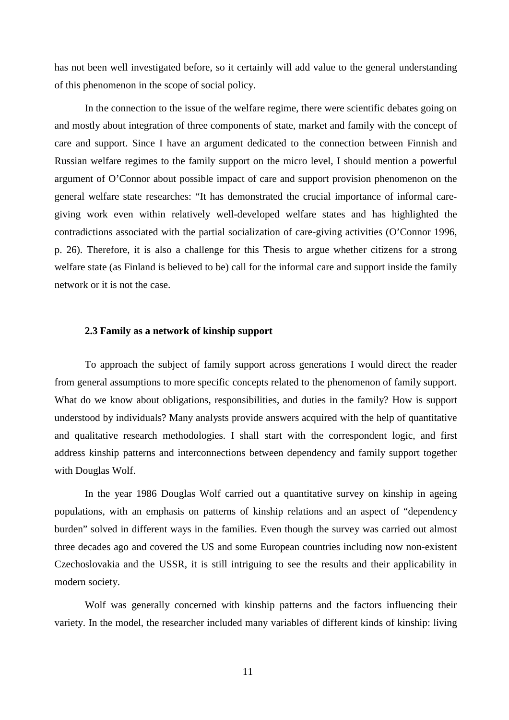has not been well investigated before, so it certainly will add value to the general understanding of this phenomenon in the scope of social policy.

In the connection to the issue of the welfare regime, there were scientific debates going on and mostly about integration of three components of state, market and family with the concept of care and support. Since I have an argument dedicated to the connection between Finnish and Russian welfare regimes to the family support on the micro level, I should mention a powerful argument of O'Connor about possible impact of care and support provision phenomenon on the general welfare state researches: "It has demonstrated the crucial importance of informal caregiving work even within relatively well-developed welfare states and has highlighted the contradictions associated with the partial socialization of care-giving activities (O'Connor 1996, p. 26). Therefore, it is also a challenge for this Thesis to argue whether citizens for a strong welfare state (as Finland is believed to be) call for the informal care and support inside the family network or it is not the case.

#### **2.3 Family as a network of kinship support**

To approach the subject of family support across generations I would direct the reader from general assumptions to more specific concepts related to the phenomenon of family support. What do we know about obligations, responsibilities, and duties in the family? How is support understood by individuals? Many analysts provide answers acquired with the help of quantitative and qualitative research methodologies. I shall start with the correspondent logic, and first address kinship patterns and interconnections between dependency and family support together with Douglas Wolf.

In the year 1986 Douglas Wolf carried out a quantitative survey on kinship in ageing populations, with an emphasis on patterns of kinship relations and an aspect of "dependency burden" solved in different ways in the families. Even though the survey was carried out almost three decades ago and covered the US and some European countries including now non-existent Czechoslovakia and the USSR, it is still intriguing to see the results and their applicability in modern society.

Wolf was generally concerned with kinship patterns and the factors influencing their variety. In the model, the researcher included many variables of different kinds of kinship: living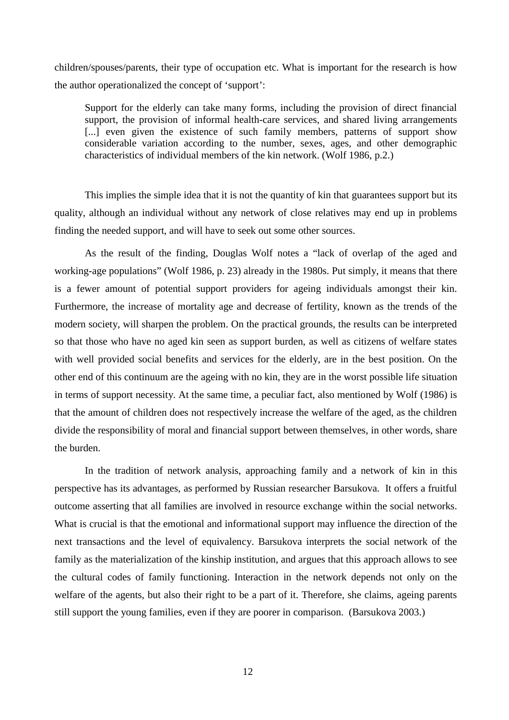children/spouses/parents, their type of occupation etc. What is important for the research is how the author operationalized the concept of 'support':

Support for the elderly can take many forms, including the provision of direct financial support, the provision of informal health-care services, and shared living arrangements [...] even given the existence of such family members, patterns of support show considerable variation according to the number, sexes, ages, and other demographic characteristics of individual members of the kin network. (Wolf 1986, p.2.)

This implies the simple idea that it is not the quantity of kin that guarantees support but its quality, although an individual without any network of close relatives may end up in problems finding the needed support, and will have to seek out some other sources.

As the result of the finding, Douglas Wolf notes a "lack of overlap of the aged and working-age populations" (Wolf 1986, p. 23) already in the 1980s. Put simply, it means that there is a fewer amount of potential support providers for ageing individuals amongst their kin. Furthermore, the increase of mortality age and decrease of fertility, known as the trends of the modern society, will sharpen the problem. On the practical grounds, the results can be interpreted so that those who have no aged kin seen as support burden, as well as citizens of welfare states with well provided social benefits and services for the elderly, are in the best position. On the other end of this continuum are the ageing with no kin, they are in the worst possible life situation in terms of support necessity. At the same time, a peculiar fact, also mentioned by Wolf (1986) is that the amount of children does not respectively increase the welfare of the aged, as the children divide the responsibility of moral and financial support between themselves, in other words, share the burden.

In the tradition of network analysis, approaching family and a network of kin in this perspective has its advantages, as performed by Russian researcher Barsukova. It offers a fruitful outcome asserting that all families are involved in resource exchange within the social networks. What is crucial is that the emotional and informational support may influence the direction of the next transactions and the level of equivalency. Barsukova interprets the social network of the family as the materialization of the kinship institution, and argues that this approach allows to see the cultural codes of family functioning. Interaction in the network depends not only on the welfare of the agents, but also their right to be a part of it. Therefore, she claims, ageing parents still support the young families, even if they are poorer in comparison. (Barsukova 2003.)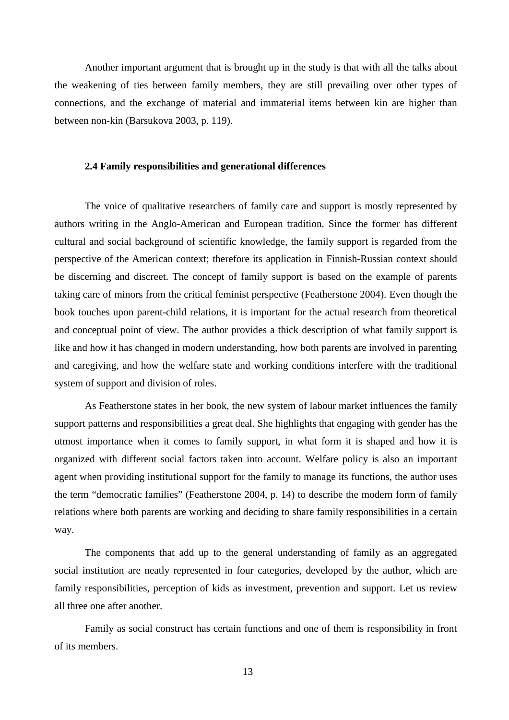Another important argument that is brought up in the study is that with all the talks about the weakening of ties between family members, they are still prevailing over other types of connections, and the exchange of material and immaterial items between kin are higher than between non-kin (Barsukova 2003, p. 119).

## **2.4 Family responsibilities and generational differences**

The voice of qualitative researchers of family care and support is mostly represented by authors writing in the Anglo-American and European tradition. Since the former has different cultural and social background of scientific knowledge, the family support is regarded from the perspective of the American context; therefore its application in Finnish-Russian context should be discerning and discreet. The concept of family support is based on the example of parents taking care of minors from the critical feminist perspective (Featherstone 2004). Even though the book touches upon parent-child relations, it is important for the actual research from theoretical and conceptual point of view. The author provides a thick description of what family support is like and how it has changed in modern understanding, how both parents are involved in parenting and caregiving, and how the welfare state and working conditions interfere with the traditional system of support and division of roles.

As Featherstone states in her book, the new system of labour market influences the family support patterns and responsibilities a great deal. She highlights that engaging with gender has the utmost importance when it comes to family support, in what form it is shaped and how it is organized with different social factors taken into account. Welfare policy is also an important agent when providing institutional support for the family to manage its functions, the author uses the term "democratic families" (Featherstone 2004, p. 14) to describe the modern form of family relations where both parents are working and deciding to share family responsibilities in a certain way.

The components that add up to the general understanding of family as an aggregated social institution are neatly represented in four categories, developed by the author, which are family responsibilities, perception of kids as investment, prevention and support. Let us review all three one after another.

Family as social construct has certain functions and one of them is responsibility in front of its members.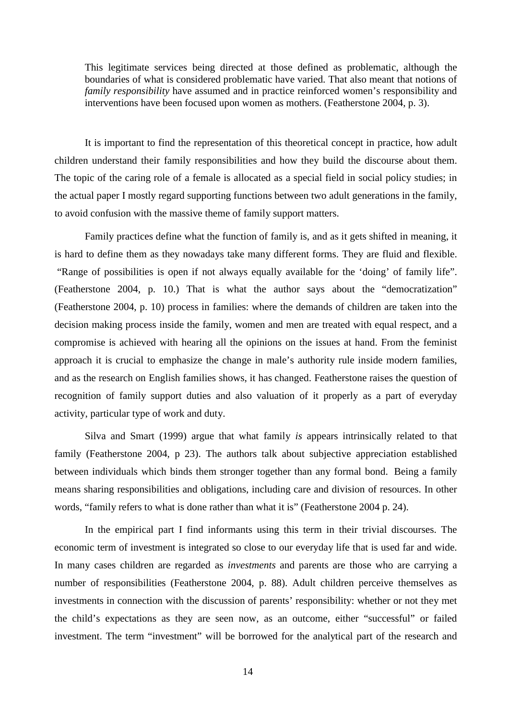This legitimate services being directed at those defined as problematic, although the boundaries of what is considered problematic have varied. That also meant that notions of *family responsibility* have assumed and in practice reinforced women's responsibility and interventions have been focused upon women as mothers. (Featherstone 2004, p. 3).

It is important to find the representation of this theoretical concept in practice, how adult children understand their family responsibilities and how they build the discourse about them. The topic of the caring role of a female is allocated as a special field in social policy studies; in the actual paper I mostly regard supporting functions between two adult generations in the family, to avoid confusion with the massive theme of family support matters.

Family practices define what the function of family is, and as it gets shifted in meaning, it is hard to define them as they nowadays take many different forms. They are fluid and flexible. "Range of possibilities is open if not always equally available for the 'doing' of family life". (Featherstone 2004, p. 10.) That is what the author says about the "democratization" (Featherstone 2004, p. 10) process in families: where the demands of children are taken into the decision making process inside the family, women and men are treated with equal respect, and a compromise is achieved with hearing all the opinions on the issues at hand. From the feminist approach it is crucial to emphasize the change in male's authority rule inside modern families, and as the research on English families shows, it has changed. Featherstone raises the question of recognition of family support duties and also valuation of it properly as a part of everyday activity, particular type of work and duty.

Silva and Smart (1999) argue that what family *is* appears intrinsically related to that family (Featherstone 2004, p 23). The authors talk about subjective appreciation established between individuals which binds them stronger together than any formal bond. Being a family means sharing responsibilities and obligations, including care and division of resources. In other words, "family refers to what is done rather than what it is" (Featherstone 2004 p. 24).

In the empirical part I find informants using this term in their trivial discourses. The economic term of investment is integrated so close to our everyday life that is used far and wide. In many cases children are regarded as *investments* and parents are those who are carrying a number of responsibilities (Featherstone 2004, p. 88). Adult children perceive themselves as investments in connection with the discussion of parents' responsibility: whether or not they met the child's expectations as they are seen now, as an outcome, either "successful" or failed investment. The term "investment" will be borrowed for the analytical part of the research and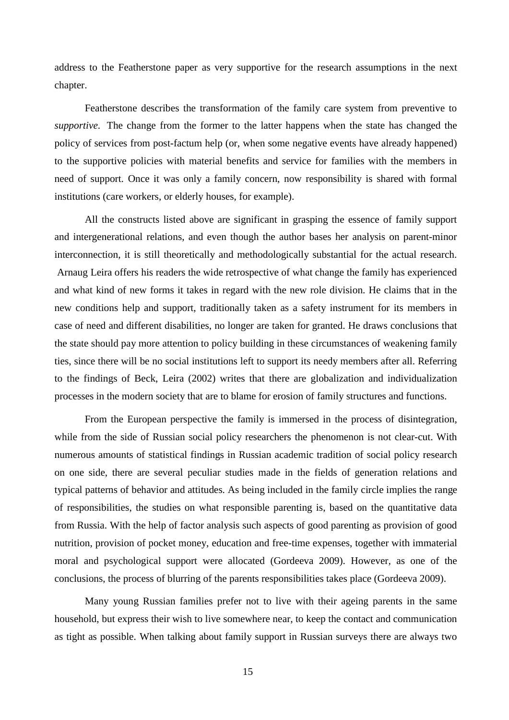address to the Featherstone paper as very supportive for the research assumptions in the next chapter.

Featherstone describes the transformation of the family care system from preventive to *supportive*. The change from the former to the latter happens when the state has changed the policy of services from post-factum help (or, when some negative events have already happened) to the supportive policies with material benefits and service for families with the members in need of support. Once it was only a family concern, now responsibility is shared with formal institutions (care workers, or elderly houses, for example).

All the constructs listed above are significant in grasping the essence of family support and intergenerational relations, and even though the author bases her analysis on parent-minor interconnection, it is still theoretically and methodologically substantial for the actual research. Arnaug Leira offers his readers the wide retrospective of what change the family has experienced and what kind of new forms it takes in regard with the new role division. He claims that in the new conditions help and support, traditionally taken as a safety instrument for its members in case of need and different disabilities, no longer are taken for granted. He draws conclusions that the state should pay more attention to policy building in these circumstances of weakening family ties, since there will be no social institutions left to support its needy members after all. Referring to the findings of Beck, Leira (2002) writes that there are globalization and individualization processes in the modern society that are to blame for erosion of family structures and functions.

From the European perspective the family is immersed in the process of disintegration, while from the side of Russian social policy researchers the phenomenon is not clear-cut. With numerous amounts of statistical findings in Russian academic tradition of social policy research on one side, there are several peculiar studies made in the fields of generation relations and typical patterns of behavior and attitudes. As being included in the family circle implies the range of responsibilities, the studies on what responsible parenting is, based on the quantitative data from Russia. With the help of factor analysis such aspects of good parenting as provision of good nutrition, provision of pocket money, education and free-time expenses, together with immaterial moral and psychological support were allocated (Gordeeva 2009). However, as one of the conclusions, the process of blurring of the parents responsibilities takes place (Gordeeva 2009).

Many young Russian families prefer not to live with their ageing parents in the same household, but express their wish to live somewhere near, to keep the contact and communication as tight as possible. When talking about family support in Russian surveys there are always two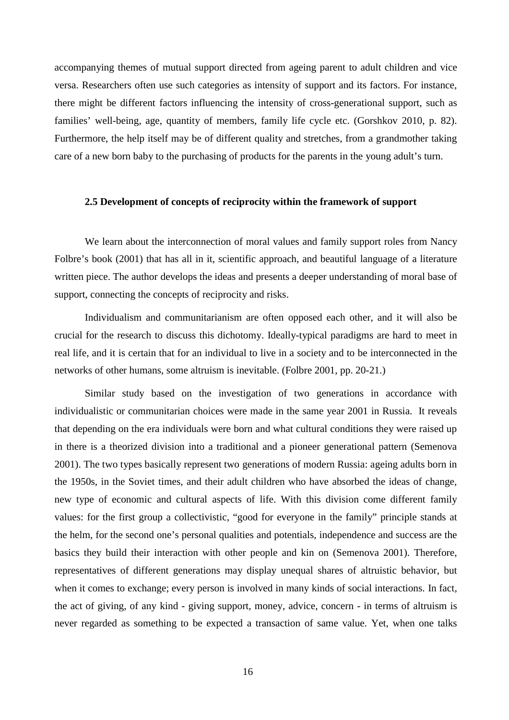accompanying themes of mutual support directed from ageing parent to adult children and vice versa. Researchers often use such categories as intensity of support and its factors. For instance, there might be different factors influencing the intensity of cross-generational support, such as families' well-being, age, quantity of members, family life cycle etc. (Gorshkov 2010, p. 82). Furthermore, the help itself may be of different quality and stretches, from a grandmother taking care of a new born baby to the purchasing of products for the parents in the young adult's turn.

# **2.5 Development of concepts of reciprocity within the framework of support**

We learn about the interconnection of moral values and family support roles from Nancy Folbre's book (2001) that has all in it, scientific approach, and beautiful language of a literature written piece. The author develops the ideas and presents a deeper understanding of moral base of support, connecting the concepts of reciprocity and risks.

Individualism and communitarianism are often opposed each other, and it will also be crucial for the research to discuss this dichotomy. Ideally-typical paradigms are hard to meet in real life, and it is certain that for an individual to live in a society and to be interconnected in the networks of other humans, some altruism is inevitable. (Folbre 2001, pp. 20-21.)

Similar study based on the investigation of two generations in accordance with individualistic or communitarian choices were made in the same year 2001 in Russia. It reveals that depending on the era individuals were born and what cultural conditions they were raised up in there is a theorized division into a traditional and a pioneer generational pattern (Semenova 2001). The two types basically represent two generations of modern Russia: ageing adults born in the 1950s, in the Soviet times, and their adult children who have absorbed the ideas of change, new type of economic and cultural aspects of life. With this division come different family values: for the first group a collectivistic, "good for everyone in the family" principle stands at the helm, for the second one's personal qualities and potentials, independence and success are the basics they build their interaction with other people and kin on (Semenova 2001). Therefore, representatives of different generations may display unequal shares of altruistic behavior, but when it comes to exchange; every person is involved in many kinds of social interactions. In fact, the act of giving, of any kind - giving support, money, advice, concern - in terms of altruism is never regarded as something to be expected a transaction of same value. Yet, when one talks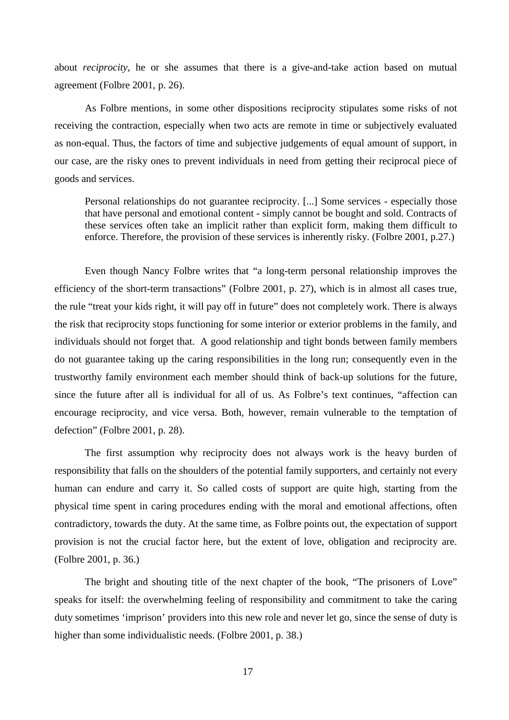about *reciprocity*, he or she assumes that there is a give-and-take action based on mutual agreement (Folbre 2001, p. 26).

As Folbre mentions, in some other dispositions reciprocity stipulates some risks of not receiving the contraction, especially when two acts are remote in time or subjectively evaluated as non-equal. Thus, the factors of time and subjective judgements of equal amount of support, in our case, are the risky ones to prevent individuals in need from getting their reciprocal piece of goods and services.

Personal relationships do not guarantee reciprocity. [...] Some services - especially those that have personal and emotional content - simply cannot be bought and sold. Contracts of these services often take an implicit rather than explicit form, making them difficult to enforce. Therefore, the provision of these services is inherently risky. (Folbre 2001, p.27.)

Even though Nancy Folbre writes that "a long-term personal relationship improves the efficiency of the short-term transactions" (Folbre 2001, p. 27), which is in almost all cases true, the rule "treat your kids right, it will pay off in future" does not completely work. There is always the risk that reciprocity stops functioning for some interior or exterior problems in the family, and individuals should not forget that. A good relationship and tight bonds between family members do not guarantee taking up the caring responsibilities in the long run; consequently even in the trustworthy family environment each member should think of back-up solutions for the future, since the future after all is individual for all of us. As Folbre's text continues, "affection can encourage reciprocity, and vice versa. Both, however, remain vulnerable to the temptation of defection" (Folbre 2001, p. 28).

The first assumption why reciprocity does not always work is the heavy burden of responsibility that falls on the shoulders of the potential family supporters, and certainly not every human can endure and carry it. So called costs of support are quite high, starting from the physical time spent in caring procedures ending with the moral and emotional affections, often contradictory, towards the duty. At the same time, as Folbre points out, the expectation of support provision is not the crucial factor here, but the extent of love, obligation and reciprocity are. (Folbre 2001, p. 36.)

The bright and shouting title of the next chapter of the book, "The prisoners of Love" speaks for itself: the overwhelming feeling of responsibility and commitment to take the caring duty sometimes 'imprison' providers into this new role and never let go, since the sense of duty is higher than some individualistic needs. (Folbre 2001, p. 38.)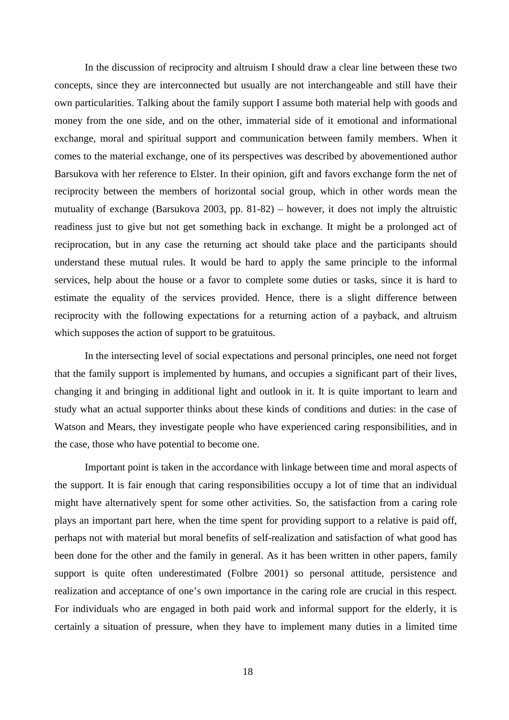In the discussion of reciprocity and altruism I should draw a clear line between these two concepts, since they are interconnected but usually are not interchangeable and still have their own particularities. Talking about the family support I assume both material help with goods and money from the one side, and on the other, immaterial side of it emotional and informational exchange, moral and spiritual support and communication between family members. When it comes to the material exchange, one of its perspectives was described by abovementioned author Barsukova with her reference to Elster. In their opinion, gift and favors exchange form the net of reciprocity between the members of horizontal social group, which in other words mean the mutuality of exchange (Barsukova 2003, pp. 81-82) – however, it does not imply the altruistic readiness just to give but not get something back in exchange. It might be a prolonged act of reciprocation, but in any case the returning act should take place and the participants should understand these mutual rules. It would be hard to apply the same principle to the informal services, help about the house or a favor to complete some duties or tasks, since it is hard to estimate the equality of the services provided. Hence, there is a slight difference between reciprocity with the following expectations for a returning action of a payback, and altruism which supposes the action of support to be gratuitous.

In the intersecting level of social expectations and personal principles, one need not forget that the family support is implemented by humans, and occupies a significant part of their lives, changing it and bringing in additional light and outlook in it. It is quite important to learn and study what an actual supporter thinks about these kinds of conditions and duties: in the case of Watson and Mears, they investigate people who have experienced caring responsibilities, and in the case, those who have potential to become one.

Important point is taken in the accordance with linkage between time and moral aspects of the support. It is fair enough that caring responsibilities occupy a lot of time that an individual might have alternatively spent for some other activities. So, the satisfaction from a caring role plays an important part here, when the time spent for providing support to a relative is paid off, perhaps not with material but moral benefits of self-realization and satisfaction of what good has been done for the other and the family in general. As it has been written in other papers, family support is quite often underestimated (Folbre 2001) so personal attitude, persistence and realization and acceptance of one's own importance in the caring role are crucial in this respect. For individuals who are engaged in both paid work and informal support for the elderly, it is certainly a situation of pressure, when they have to implement many duties in a limited time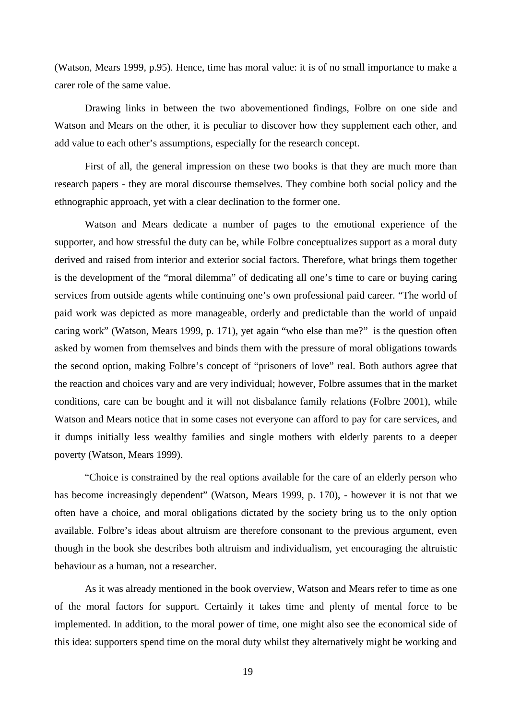(Watson, Mears 1999, p.95). Hence, time has moral value: it is of no small importance to make a carer role of the same value.

Drawing links in between the two abovementioned findings, Folbre on one side and Watson and Mears on the other, it is peculiar to discover how they supplement each other, and add value to each other's assumptions, especially for the research concept.

First of all, the general impression on these two books is that they are much more than research papers - they are moral discourse themselves. They combine both social policy and the ethnographic approach, yet with a clear declination to the former one.

Watson and Mears dedicate a number of pages to the emotional experience of the supporter, and how stressful the duty can be, while Folbre conceptualizes support as a moral duty derived and raised from interior and exterior social factors. Therefore, what brings them together is the development of the "moral dilemma" of dedicating all one's time to care or buying caring services from outside agents while continuing one's own professional paid career. "The world of paid work was depicted as more manageable, orderly and predictable than the world of unpaid caring work" (Watson, Mears 1999, p. 171), yet again "who else than me?" is the question often asked by women from themselves and binds them with the pressure of moral obligations towards the second option, making Folbre's concept of "prisoners of love" real. Both authors agree that the reaction and choices vary and are very individual; however, Folbre assumes that in the market conditions, care can be bought and it will not disbalance family relations (Folbre 2001), while Watson and Mears notice that in some cases not everyone can afford to pay for care services, and it dumps initially less wealthy families and single mothers with elderly parents to a deeper poverty (Watson, Mears 1999).

"Choice is constrained by the real options available for the care of an elderly person who has become increasingly dependent" (Watson, Mears 1999, p. 170), - however it is not that we often have a choice, and moral obligations dictated by the society bring us to the only option available. Folbre's ideas about altruism are therefore consonant to the previous argument, even though in the book she describes both altruism and individualism, yet encouraging the altruistic behaviour as a human, not a researcher.

As it was already mentioned in the book overview, Watson and Mears refer to time as one of the moral factors for support. Certainly it takes time and plenty of mental force to be implemented. In addition, to the moral power of time, one might also see the economical side of this idea: supporters spend time on the moral duty whilst they alternatively might be working and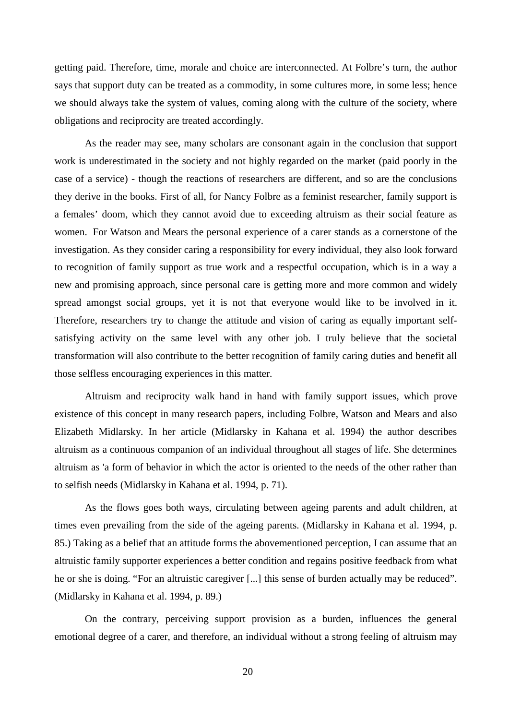getting paid. Therefore, time, morale and choice are interconnected. At Folbre's turn, the author says that support duty can be treated as a commodity, in some cultures more, in some less; hence we should always take the system of values, coming along with the culture of the society, where obligations and reciprocity are treated accordingly.

As the reader may see, many scholars are consonant again in the conclusion that support work is underestimated in the society and not highly regarded on the market (paid poorly in the case of a service) - though the reactions of researchers are different, and so are the conclusions they derive in the books. First of all, for Nancy Folbre as a feminist researcher, family support is a females' doom, which they cannot avoid due to exceeding altruism as their social feature as women. For Watson and Mears the personal experience of a carer stands as a cornerstone of the investigation. As they consider caring a responsibility for every individual, they also look forward to recognition of family support as true work and a respectful occupation, which is in a way a new and promising approach, since personal care is getting more and more common and widely spread amongst social groups, yet it is not that everyone would like to be involved in it. Therefore, researchers try to change the attitude and vision of caring as equally important selfsatisfying activity on the same level with any other job. I truly believe that the societal transformation will also contribute to the better recognition of family caring duties and benefit all those selfless encouraging experiences in this matter.

Altruism and reciprocity walk hand in hand with family support issues, which prove existence of this concept in many research papers, including Folbre, Watson and Mears and also Elizabeth Midlarsky. In her article (Midlarsky in Kahana et al. 1994) the author describes altruism as a continuous companion of an individual throughout all stages of life. She determines altruism as 'a form of behavior in which the actor is oriented to the needs of the other rather than to selfish needs (Midlarsky in Kahana et al. 1994, p. 71).

As the flows goes both ways, circulating between ageing parents and adult children, at times even prevailing from the side of the ageing parents. (Midlarsky in Kahana et al. 1994, p. 85.) Taking as a belief that an attitude forms the abovementioned perception, I can assume that an altruistic family supporter experiences a better condition and regains positive feedback from what he or she is doing. "For an altruistic caregiver [...] this sense of burden actually may be reduced". (Midlarsky in Kahana et al. 1994, p. 89.)

On the contrary, perceiving support provision as a burden, influences the general emotional degree of a carer, and therefore, an individual without a strong feeling of altruism may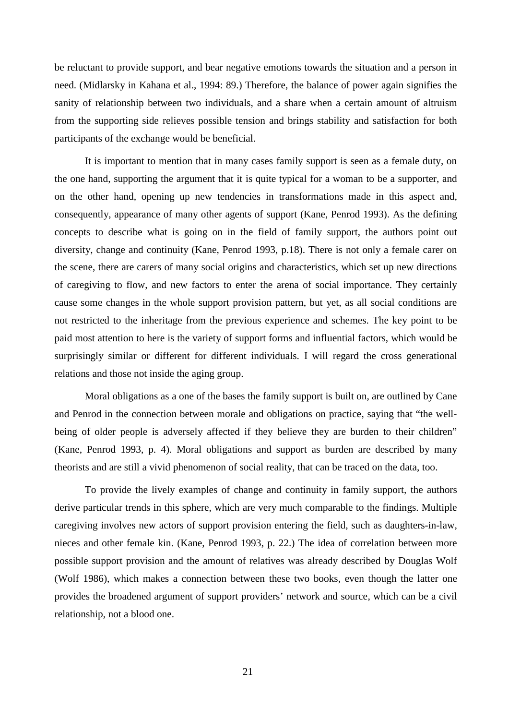be reluctant to provide support, and bear negative emotions towards the situation and a person in need. (Midlarsky in Kahana et al., 1994: 89.) Therefore, the balance of power again signifies the sanity of relationship between two individuals, and a share when a certain amount of altruism from the supporting side relieves possible tension and brings stability and satisfaction for both participants of the exchange would be beneficial.

It is important to mention that in many cases family support is seen as a female duty, on the one hand, supporting the argument that it is quite typical for a woman to be a supporter, and on the other hand, opening up new tendencies in transformations made in this aspect and, consequently, appearance of many other agents of support (Kane, Penrod 1993). As the defining concepts to describe what is going on in the field of family support, the authors point out diversity, change and continuity (Kane, Penrod 1993, p.18). There is not only a female carer on the scene, there are carers of many social origins and characteristics, which set up new directions of caregiving to flow, and new factors to enter the arena of social importance. They certainly cause some changes in the whole support provision pattern, but yet, as all social conditions are not restricted to the inheritage from the previous experience and schemes. The key point to be paid most attention to here is the variety of support forms and influential factors, which would be surprisingly similar or different for different individuals. I will regard the cross generational relations and those not inside the aging group.

Moral obligations as a one of the bases the family support is built on, are outlined by Cane and Penrod in the connection between morale and obligations on practice, saying that "the wellbeing of older people is adversely affected if they believe they are burden to their children" (Kane, Penrod 1993, p. 4). Moral obligations and support as burden are described by many theorists and are still a vivid phenomenon of social reality, that can be traced on the data, too.

To provide the lively examples of change and continuity in family support, the authors derive particular trends in this sphere, which are very much comparable to the findings. Multiple caregiving involves new actors of support provision entering the field, such as daughters-in-law, nieces and other female kin. (Kane, Penrod 1993, p. 22.) The idea of correlation between more possible support provision and the amount of relatives was already described by Douglas Wolf (Wolf 1986), which makes a connection between these two books, even though the latter one provides the broadened argument of support providers' network and source, which can be a civil relationship, not a blood one.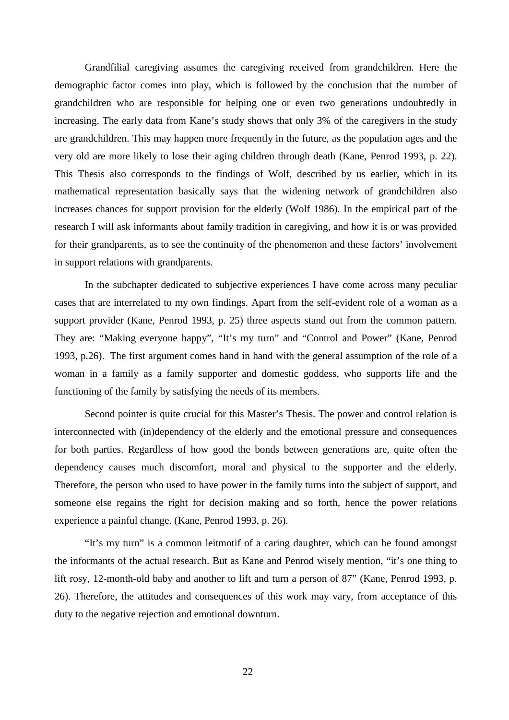Grandfilial caregiving assumes the caregiving received from grandchildren. Here the demographic factor comes into play, which is followed by the conclusion that the number of grandchildren who are responsible for helping one or even two generations undoubtedly in increasing. The early data from Kane's study shows that only 3% of the caregivers in the study are grandchildren. This may happen more frequently in the future, as the population ages and the very old are more likely to lose their aging children through death (Kane, Penrod 1993, p. 22). This Thesis also corresponds to the findings of Wolf, described by us earlier, which in its mathematical representation basically says that the widening network of grandchildren also increases chances for support provision for the elderly (Wolf 1986). In the empirical part of the research I will ask informants about family tradition in caregiving, and how it is or was provided for their grandparents, as to see the continuity of the phenomenon and these factors' involvement in support relations with grandparents.

In the subchapter dedicated to subjective experiences I have come across many peculiar cases that are interrelated to my own findings. Apart from the self-evident role of a woman as a support provider (Kane, Penrod 1993, p. 25) three aspects stand out from the common pattern. They are: "Making everyone happy", "It's my turn" and "Control and Power" (Kane, Penrod 1993, p.26). The first argument comes hand in hand with the general assumption of the role of a woman in a family as a family supporter and domestic goddess, who supports life and the functioning of the family by satisfying the needs of its members.

Second pointer is quite crucial for this Master's Thesis. The power and control relation is interconnected with (in)dependency of the elderly and the emotional pressure and consequences for both parties. Regardless of how good the bonds between generations are, quite often the dependency causes much discomfort, moral and physical to the supporter and the elderly. Therefore, the person who used to have power in the family turns into the subject of support, and someone else regains the right for decision making and so forth, hence the power relations experience a painful change. (Kane, Penrod 1993, p. 26).

"It's my turn" is a common leitmotif of a caring daughter, which can be found amongst the informants of the actual research. But as Kane and Penrod wisely mention, "it's one thing to lift rosy, 12-month-old baby and another to lift and turn a person of 87" (Kane, Penrod 1993, p. 26). Therefore, the attitudes and consequences of this work may vary, from acceptance of this duty to the negative rejection and emotional downturn.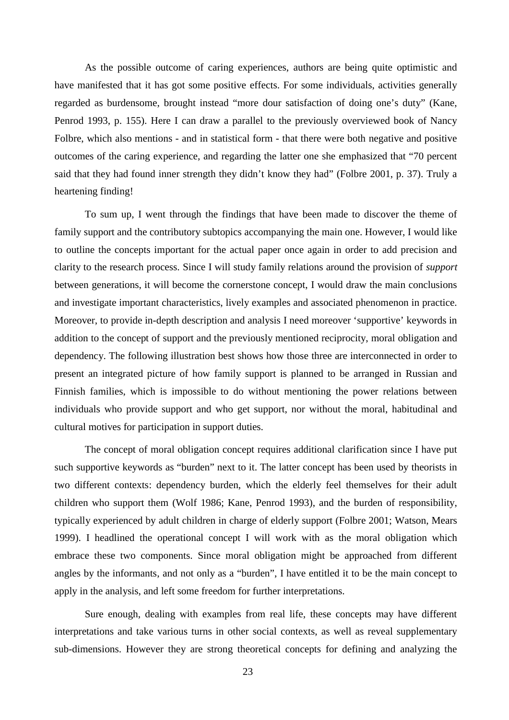As the possible outcome of caring experiences, authors are being quite optimistic and have manifested that it has got some positive effects. For some individuals, activities generally regarded as burdensome, brought instead "more dour satisfaction of doing one's duty" (Kane, Penrod 1993, p. 155). Here I can draw a parallel to the previously overviewed book of Nancy Folbre, which also mentions - and in statistical form - that there were both negative and positive outcomes of the caring experience, and regarding the latter one she emphasized that "70 percent said that they had found inner strength they didn't know they had" (Folbre 2001, p. 37). Truly a heartening finding!

To sum up, I went through the findings that have been made to discover the theme of family support and the contributory subtopics accompanying the main one. However, I would like to outline the concepts important for the actual paper once again in order to add precision and clarity to the research process. Since I will study family relations around the provision of *support* between generations, it will become the cornerstone concept, I would draw the main conclusions and investigate important characteristics, lively examples and associated phenomenon in practice. Moreover, to provide in-depth description and analysis I need moreover 'supportive' keywords in addition to the concept of support and the previously mentioned reciprocity, moral obligation and dependency. The following illustration best shows how those three are interconnected in order to present an integrated picture of how family support is planned to be arranged in Russian and Finnish families, which is impossible to do without mentioning the power relations between individuals who provide support and who get support, nor without the moral, habitudinal and cultural motives for participation in support duties.

The concept of moral obligation concept requires additional clarification since I have put such supportive keywords as "burden" next to it. The latter concept has been used by theorists in two different contexts: dependency burden, which the elderly feel themselves for their adult children who support them (Wolf 1986; Kane, Penrod 1993), and the burden of responsibility, typically experienced by adult children in charge of elderly support (Folbre 2001; Watson, Mears 1999). I headlined the operational concept I will work with as the moral obligation which embrace these two components. Since moral obligation might be approached from different angles by the informants, and not only as a "burden", I have entitled it to be the main concept to apply in the analysis, and left some freedom for further interpretations.

Sure enough, dealing with examples from real life, these concepts may have different interpretations and take various turns in other social contexts, as well as reveal supplementary sub-dimensions. However they are strong theoretical concepts for defining and analyzing the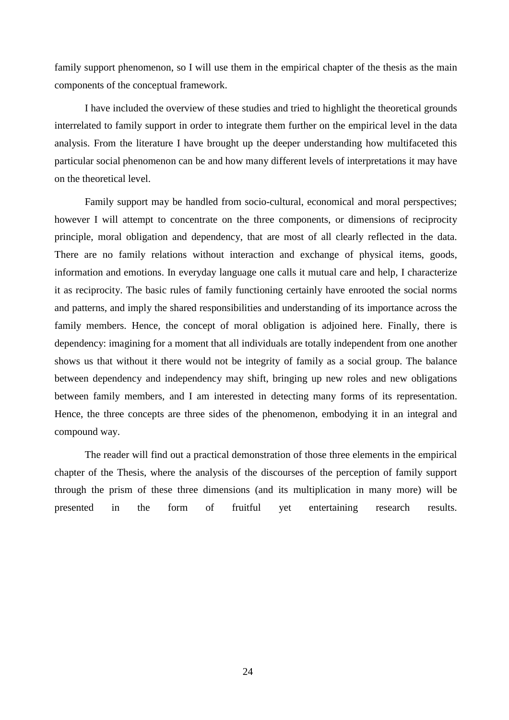family support phenomenon, so I will use them in the empirical chapter of the thesis as the main components of the conceptual framework.

I have included the overview of these studies and tried to highlight the theoretical grounds interrelated to family support in order to integrate them further on the empirical level in the data analysis. From the literature I have brought up the deeper understanding how multifaceted this particular social phenomenon can be and how many different levels of interpretations it may have on the theoretical level.

Family support may be handled from socio-cultural, economical and moral perspectives; however I will attempt to concentrate on the three components, or dimensions of reciprocity principle, moral obligation and dependency, that are most of all clearly reflected in the data. There are no family relations without interaction and exchange of physical items, goods, information and emotions. In everyday language one calls it mutual care and help, I characterize it as reciprocity. The basic rules of family functioning certainly have enrooted the social norms and patterns, and imply the shared responsibilities and understanding of its importance across the family members. Hence, the concept of moral obligation is adjoined here. Finally, there is dependency: imagining for a moment that all individuals are totally independent from one another shows us that without it there would not be integrity of family as a social group. The balance between dependency and independency may shift, bringing up new roles and new obligations between family members, and I am interested in detecting many forms of its representation. Hence, the three concepts are three sides of the phenomenon, embodying it in an integral and compound way.

The reader will find out a practical demonstration of those three elements in the empirical chapter of the Thesis, where the analysis of the discourses of the perception of family support through the prism of these three dimensions (and its multiplication in many more) will be presented in the form of fruitful yet entertaining research results.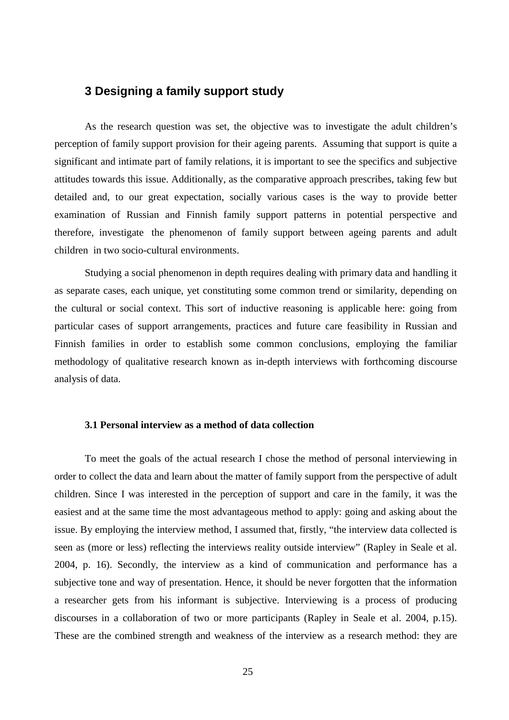# **3 Designing a family support study**

As the research question was set, the objective was to investigate the adult children's perception of family support provision for their ageing parents. Assuming that support is quite a significant and intimate part of family relations, it is important to see the specifics and subjective attitudes towards this issue. Additionally, as the comparative approach prescribes, taking few but detailed and, to our great expectation, socially various cases is the way to provide better examination of Russian and Finnish family support patterns in potential perspective and therefore, investigate the phenomenon of family support between ageing parents and adult children in two socio-cultural environments.

Studying a social phenomenon in depth requires dealing with primary data and handling it as separate cases, each unique, yet constituting some common trend or similarity, depending on the cultural or social context. This sort of inductive reasoning is applicable here: going from particular cases of support arrangements, practices and future care feasibility in Russian and Finnish families in order to establish some common conclusions, employing the familiar methodology of qualitative research known as in-depth interviews with forthcoming discourse analysis of data.

### **3.1 Personal interview as a method of data collection**

To meet the goals of the actual research I chose the method of personal interviewing in order to collect the data and learn about the matter of family support from the perspective of adult children. Since I was interested in the perception of support and care in the family, it was the easiest and at the same time the most advantageous method to apply: going and asking about the issue. By employing the interview method, I assumed that, firstly, "the interview data collected is seen as (more or less) reflecting the interviews reality outside interview" (Rapley in Seale et al. 2004, p. 16). Secondly, the interview as a kind of communication and performance has a subjective tone and way of presentation. Hence, it should be never forgotten that the information a researcher gets from his informant is subjective. Interviewing is a process of producing discourses in a collaboration of two or more participants (Rapley in Seale et al. 2004, p.15). These are the combined strength and weakness of the interview as a research method: they are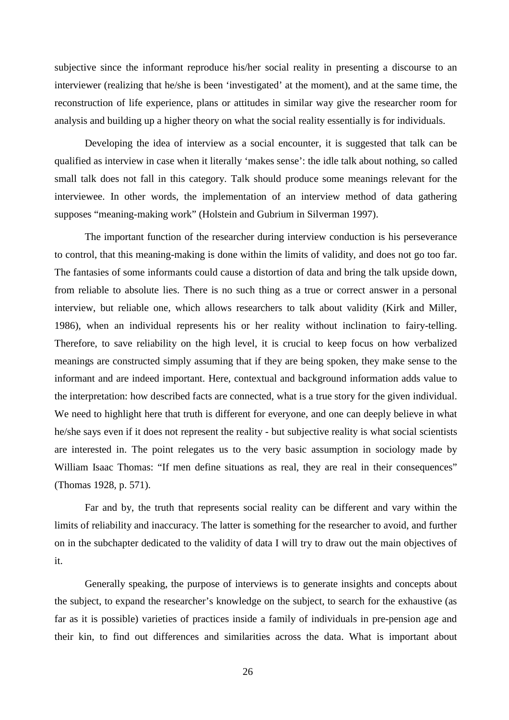subjective since the informant reproduce his/her social reality in presenting a discourse to an interviewer (realizing that he/she is been 'investigated' at the moment), and at the same time, the reconstruction of life experience, plans or attitudes in similar way give the researcher room for analysis and building up a higher theory on what the social reality essentially is for individuals.

Developing the idea of interview as a social encounter, it is suggested that talk can be qualified as interview in case when it literally 'makes sense': the idle talk about nothing, so called small talk does not fall in this category. Talk should produce some meanings relevant for the interviewee. In other words, the implementation of an interview method of data gathering supposes "meaning-making work" (Holstein and Gubrium in Silverman 1997).

The important function of the researcher during interview conduction is his perseverance to control, that this meaning-making is done within the limits of validity, and does not go too far. The fantasies of some informants could cause a distortion of data and bring the talk upside down, from reliable to absolute lies. There is no such thing as a true or correct answer in a personal interview, but reliable one, which allows researchers to talk about validity (Kirk and Miller, 1986), when an individual represents his or her reality without inclination to fairy-telling. Therefore, to save reliability on the high level, it is crucial to keep focus on how verbalized meanings are constructed simply assuming that if they are being spoken, they make sense to the informant and are indeed important. Here, contextual and background information adds value to the interpretation: how described facts are connected, what is a true story for the given individual. We need to highlight here that truth is different for everyone, and one can deeply believe in what he/she says even if it does not represent the reality - but subjective reality is what social scientists are interested in. The point relegates us to the very basic assumption in sociology made by William Isaac Thomas: "If men define situations as real, they are real in their consequences" (Thomas 1928, p. 571).

Far and by, the truth that represents social reality can be different and vary within the limits of reliability and inaccuracy. The latter is something for the researcher to avoid, and further on in the subchapter dedicated to the validity of data I will try to draw out the main objectives of it.

Generally speaking, the purpose of interviews is to generate insights and concepts about the subject, to expand the researcher's knowledge on the subject, to search for the exhaustive (as far as it is possible) varieties of practices inside a family of individuals in pre-pension age and their kin, to find out differences and similarities across the data. What is important about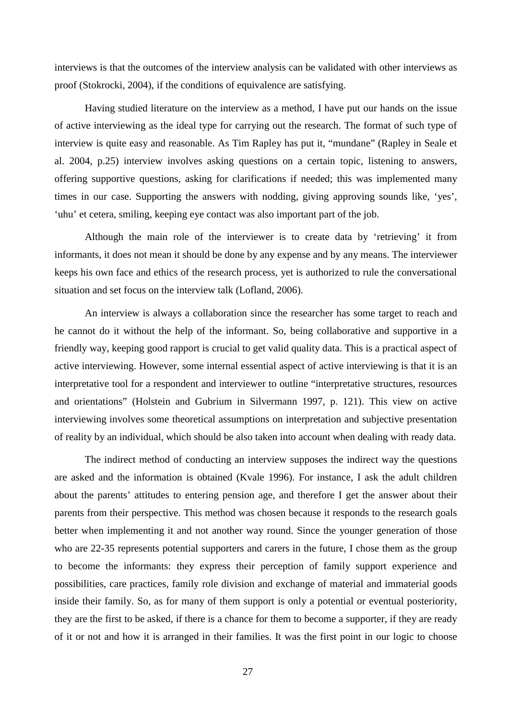interviews is that the outcomes of the interview analysis can be validated with other interviews as proof (Stokrocki, 2004), if the conditions of equivalence are satisfying.

Having studied literature on the interview as a method, I have put our hands on the issue of active interviewing as the ideal type for carrying out the research. The format of such type of interview is quite easy and reasonable. As Tim Rapley has put it, "mundane" (Rapley in Seale et al. 2004, p.25) interview involves asking questions on a certain topic, listening to answers, offering supportive questions, asking for clarifications if needed; this was implemented many times in our case. Supporting the answers with nodding, giving approving sounds like, 'yes', 'uhu' et cetera, smiling, keeping eye contact was also important part of the job.

Although the main role of the interviewer is to create data by 'retrieving' it from informants, it does not mean it should be done by any expense and by any means. The interviewer keeps his own face and ethics of the research process, yet is authorized to rule the conversational situation and set focus on the interview talk (Lofland, 2006).

An interview is always a collaboration since the researcher has some target to reach and he cannot do it without the help of the informant. So, being collaborative and supportive in a friendly way, keeping good rapport is crucial to get valid quality data. This is a practical aspect of active interviewing. However, some internal essential aspect of active interviewing is that it is an interpretative tool for a respondent and interviewer to outline "interpretative structures, resources and orientations" (Holstein and Gubrium in Silvermann 1997, p. 121). This view on active interviewing involves some theoretical assumptions on interpretation and subjective presentation of reality by an individual, which should be also taken into account when dealing with ready data.

The indirect method of conducting an interview supposes the indirect way the questions are asked and the information is obtained (Kvale 1996). For instance, I ask the adult children about the parents' attitudes to entering pension age, and therefore I get the answer about their parents from their perspective. This method was chosen because it responds to the research goals better when implementing it and not another way round. Since the younger generation of those who are 22-35 represents potential supporters and carers in the future, I chose them as the group to become the informants: they express their perception of family support experience and possibilities, care practices, family role division and exchange of material and immaterial goods inside their family. So, as for many of them support is only a potential or eventual posteriority, they are the first to be asked, if there is a chance for them to become a supporter, if they are ready of it or not and how it is arranged in their families. It was the first point in our logic to choose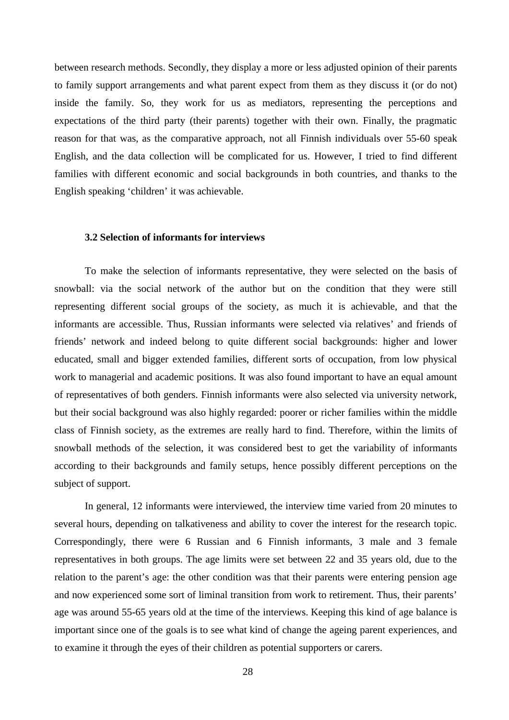between research methods. Secondly, they display a more or less adjusted opinion of their parents to family support arrangements and what parent expect from them as they discuss it (or do not) inside the family. So, they work for us as mediators, representing the perceptions and expectations of the third party (their parents) together with their own. Finally, the pragmatic reason for that was, as the comparative approach, not all Finnish individuals over 55-60 speak English, and the data collection will be complicated for us. However, I tried to find different families with different economic and social backgrounds in both countries, and thanks to the English speaking 'children' it was achievable.

#### **3.2 Selection of informants for interviews**

To make the selection of informants representative, they were selected on the basis of snowball: via the social network of the author but on the condition that they were still representing different social groups of the society, as much it is achievable, and that the informants are accessible. Thus, Russian informants were selected via relatives' and friends of friends' network and indeed belong to quite different social backgrounds: higher and lower educated, small and bigger extended families, different sorts of occupation, from low physical work to managerial and academic positions. It was also found important to have an equal amount of representatives of both genders. Finnish informants were also selected via university network, but their social background was also highly regarded: poorer or richer families within the middle class of Finnish society, as the extremes are really hard to find. Therefore, within the limits of snowball methods of the selection, it was considered best to get the variability of informants according to their backgrounds and family setups, hence possibly different perceptions on the subject of support.

In general, 12 informants were interviewed, the interview time varied from 20 minutes to several hours, depending on talkativeness and ability to cover the interest for the research topic. Correspondingly, there were 6 Russian and 6 Finnish informants, 3 male and 3 female representatives in both groups. The age limits were set between 22 and 35 years old, due to the relation to the parent's age: the other condition was that their parents were entering pension age and now experienced some sort of liminal transition from work to retirement. Thus, their parents' age was around 55-65 years old at the time of the interviews. Keeping this kind of age balance is important since one of the goals is to see what kind of change the ageing parent experiences, and to examine it through the eyes of their children as potential supporters or carers.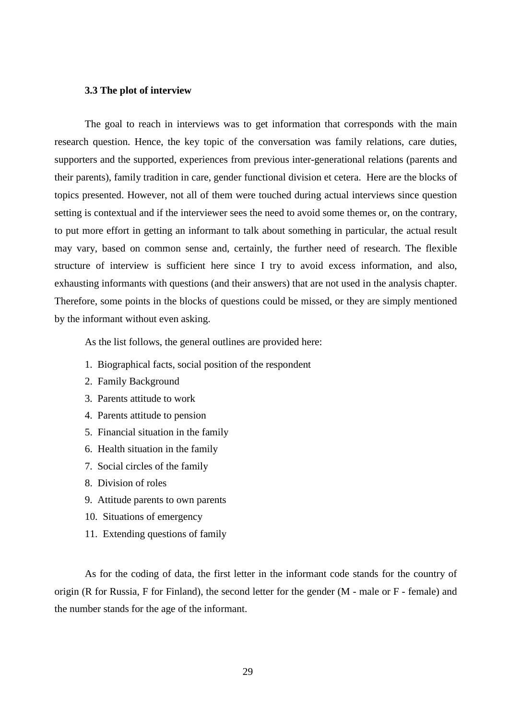#### **3.3 The plot of interview**

The goal to reach in interviews was to get information that corresponds with the main research question. Hence, the key topic of the conversation was family relations, care duties, supporters and the supported, experiences from previous inter-generational relations (parents and their parents), family tradition in care, gender functional division et cetera. Here are the blocks of topics presented. However, not all of them were touched during actual interviews since question setting is contextual and if the interviewer sees the need to avoid some themes or, on the contrary, to put more effort in getting an informant to talk about something in particular, the actual result may vary, based on common sense and, certainly, the further need of research. The flexible structure of interview is sufficient here since I try to avoid excess information, and also, exhausting informants with questions (and their answers) that are not used in the analysis chapter. Therefore, some points in the blocks of questions could be missed, or they are simply mentioned by the informant without even asking.

As the list follows, the general outlines are provided here:

- 1. Biographical facts, social position of the respondent
- 2. Family Background
- 3. Parents attitude to work
- 4. Parents attitude to pension
- 5. Financial situation in the family
- 6. Health situation in the family
- 7. Social circles of the family
- 8. Division of roles
- 9. Attitude parents to own parents
- 10. Situations of emergency
- 11. Extending questions of family

As for the coding of data, the first letter in the informant code stands for the country of origin (R for Russia, F for Finland), the second letter for the gender (M - male or F - female) and the number stands for the age of the informant.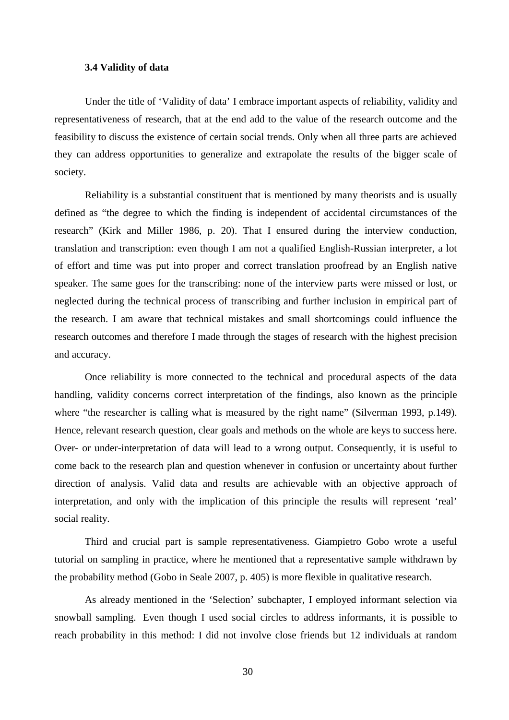### **3.4 Validity of data**

Under the title of 'Validity of data' I embrace important aspects of reliability, validity and representativeness of research, that at the end add to the value of the research outcome and the feasibility to discuss the existence of certain social trends. Only when all three parts are achieved they can address opportunities to generalize and extrapolate the results of the bigger scale of society.

Reliability is a substantial constituent that is mentioned by many theorists and is usually defined as "the degree to which the finding is independent of accidental circumstances of the research" (Kirk and Miller 1986, p. 20). That I ensured during the interview conduction, translation and transcription: even though I am not a qualified English-Russian interpreter, a lot of effort and time was put into proper and correct translation proofread by an English native speaker. The same goes for the transcribing: none of the interview parts were missed or lost, or neglected during the technical process of transcribing and further inclusion in empirical part of the research. I am aware that technical mistakes and small shortcomings could influence the research outcomes and therefore I made through the stages of research with the highest precision and accuracy.

Once reliability is more connected to the technical and procedural aspects of the data handling, validity concerns correct interpretation of the findings, also known as the principle where "the researcher is calling what is measured by the right name" (Silverman 1993, p.149). Hence, relevant research question, clear goals and methods on the whole are keys to success here. Over- or under-interpretation of data will lead to a wrong output. Consequently, it is useful to come back to the research plan and question whenever in confusion or uncertainty about further direction of analysis. Valid data and results are achievable with an objective approach of interpretation, and only with the implication of this principle the results will represent 'real' social reality.

Third and crucial part is sample representativeness. Giampietro Gobo wrote a useful tutorial on sampling in practice, where he mentioned that a representative sample withdrawn by the probability method (Gobo in Seale 2007, p. 405) is more flexible in qualitative research.

As already mentioned in the 'Selection' subchapter, I employed informant selection via snowball sampling. Even though I used social circles to address informants, it is possible to reach probability in this method: I did not involve close friends but 12 individuals at random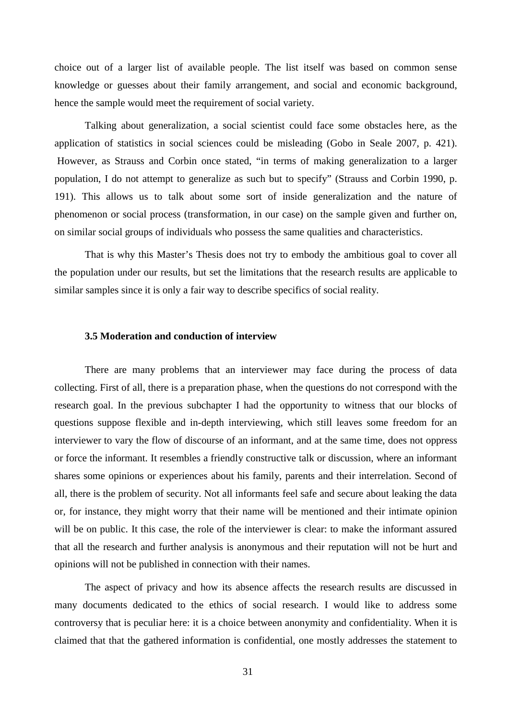choice out of a larger list of available people. The list itself was based on common sense knowledge or guesses about their family arrangement, and social and economic background, hence the sample would meet the requirement of social variety.

Talking about generalization, a social scientist could face some obstacles here, as the application of statistics in social sciences could be misleading (Gobo in Seale 2007, p. 421). However, as Strauss and Corbin once stated, "in terms of making generalization to a larger population, I do not attempt to generalize as such but to specify" (Strauss and Corbin 1990, p. 191). This allows us to talk about some sort of inside generalization and the nature of phenomenon or social process (transformation, in our case) on the sample given and further on, on similar social groups of individuals who possess the same qualities and characteristics.

That is why this Master's Thesis does not try to embody the ambitious goal to cover all the population under our results, but set the limitations that the research results are applicable to similar samples since it is only a fair way to describe specifics of social reality.

## **3.5 Moderation and conduction of interview**

There are many problems that an interviewer may face during the process of data collecting. First of all, there is a preparation phase, when the questions do not correspond with the research goal. In the previous subchapter I had the opportunity to witness that our blocks of questions suppose flexible and in-depth interviewing, which still leaves some freedom for an interviewer to vary the flow of discourse of an informant, and at the same time, does not oppress or force the informant. It resembles a friendly constructive talk or discussion, where an informant shares some opinions or experiences about his family, parents and their interrelation. Second of all, there is the problem of security. Not all informants feel safe and secure about leaking the data or, for instance, they might worry that their name will be mentioned and their intimate opinion will be on public. It this case, the role of the interviewer is clear: to make the informant assured that all the research and further analysis is anonymous and their reputation will not be hurt and opinions will not be published in connection with their names.

The aspect of privacy and how its absence affects the research results are discussed in many documents dedicated to the ethics of social research. I would like to address some controversy that is peculiar here: it is a choice between anonymity and confidentiality. When it is claimed that that the gathered information is confidential, one mostly addresses the statement to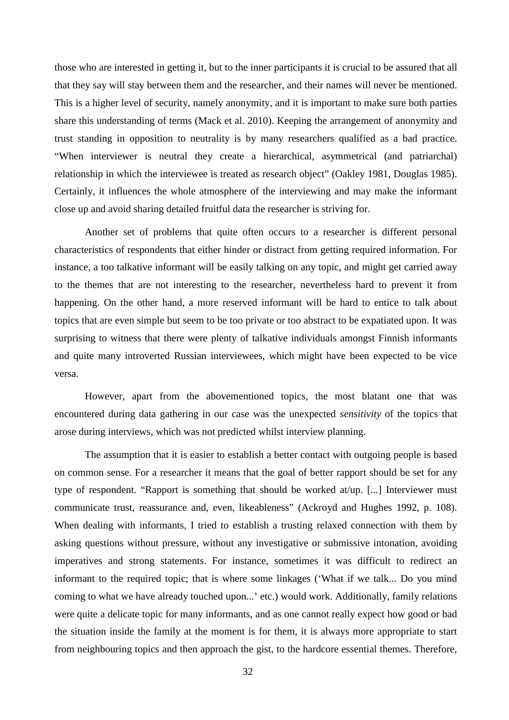those who are interested in getting it, but to the inner participants it is crucial to be assured that all that they say will stay between them and the researcher, and their names will never be mentioned. This is a higher level of security, namely anonymity, and it is important to make sure both parties share this understanding of terms (Mack et al. 2010). Keeping the arrangement of anonymity and trust standing in opposition to neutrality is by many researchers qualified as a bad practice. "When interviewer is neutral they create a hierarchical, asymmetrical (and patriarchal) relationship in which the interviewee is treated as research object" (Oakley 1981, Douglas 1985). Certainly, it influences the whole atmosphere of the interviewing and may make the informant close up and avoid sharing detailed fruitful data the researcher is striving for.

Another set of problems that quite often occurs to a researcher is different personal characteristics of respondents that either hinder or distract from getting required information. For instance, a too talkative informant will be easily talking on any topic, and might get carried away to the themes that are not interesting to the researcher, nevertheless hard to prevent it from happening. On the other hand, a more reserved informant will be hard to entice to talk about topics that are even simple but seem to be too private or too abstract to be expatiated upon. It was surprising to witness that there were plenty of talkative individuals amongst Finnish informants and quite many introverted Russian interviewees, which might have been expected to be vice versa.

However, apart from the abovementioned topics, the most blatant one that was encountered during data gathering in our case was the unexpected *sensitivity* of the topics that arose during interviews, which was not predicted whilst interview planning.

The assumption that it is easier to establish a better contact with outgoing people is based on common sense. For a researcher it means that the goal of better rapport should be set for any type of respondent. "Rapport is something that should be worked at/up. [...] Interviewer must communicate trust, reassurance and, even, likeableness" (Ackroyd and Hughes 1992, p. 108). When dealing with informants, I tried to establish a trusting relaxed connection with them by asking questions without pressure, without any investigative or submissive intonation, avoiding imperatives and strong statements. For instance, sometimes it was difficult to redirect an informant to the required topic; that is where some linkages ('What if we talk... Do you mind coming to what we have already touched upon...' etc.) would work. Additionally, family relations were quite a delicate topic for many informants, and as one cannot really expect how good or bad the situation inside the family at the moment is for them, it is always more appropriate to start from neighbouring topics and then approach the gist, to the hardcore essential themes. Therefore,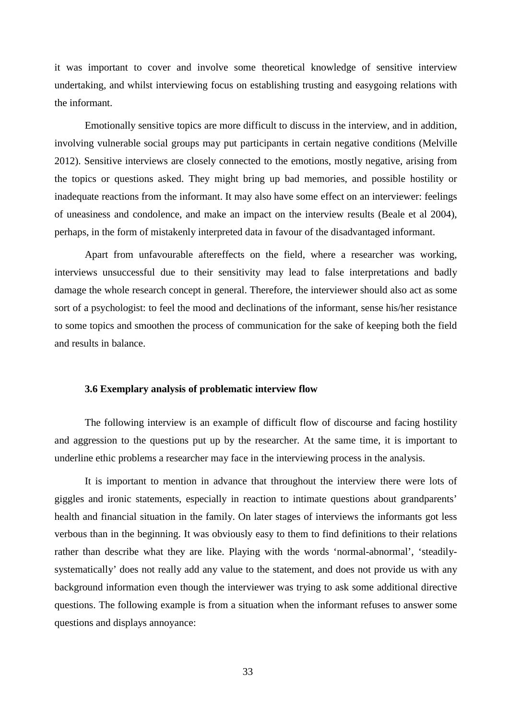it was important to cover and involve some theoretical knowledge of sensitive interview undertaking, and whilst interviewing focus on establishing trusting and easygoing relations with the informant.

Emotionally sensitive topics are more difficult to discuss in the interview, and in addition, involving vulnerable social groups may put participants in certain negative conditions (Melville 2012). Sensitive interviews are closely connected to the emotions, mostly negative, arising from the topics or questions asked. They might bring up bad memories, and possible hostility or inadequate reactions from the informant. It may also have some effect on an interviewer: feelings of uneasiness and condolence, and make an impact on the interview results (Beale et al 2004), perhaps, in the form of mistakenly interpreted data in favour of the disadvantaged informant.

Apart from unfavourable aftereffects on the field, where a researcher was working, interviews unsuccessful due to their sensitivity may lead to false interpretations and badly damage the whole research concept in general. Therefore, the interviewer should also act as some sort of a psychologist: to feel the mood and declinations of the informant, sense his/her resistance to some topics and smoothen the process of communication for the sake of keeping both the field and results in balance.

# **3.6 Exemplary analysis of problematic interview flow**

The following interview is an example of difficult flow of discourse and facing hostility and aggression to the questions put up by the researcher. At the same time, it is important to underline ethic problems a researcher may face in the interviewing process in the analysis.

It is important to mention in advance that throughout the interview there were lots of giggles and ironic statements, especially in reaction to intimate questions about grandparents' health and financial situation in the family. On later stages of interviews the informants got less verbous than in the beginning. It was obviously easy to them to find definitions to their relations rather than describe what they are like. Playing with the words 'normal-abnormal', 'steadilysystematically' does not really add any value to the statement, and does not provide us with any background information even though the interviewer was trying to ask some additional directive questions. The following example is from a situation when the informant refuses to answer some questions and displays annoyance: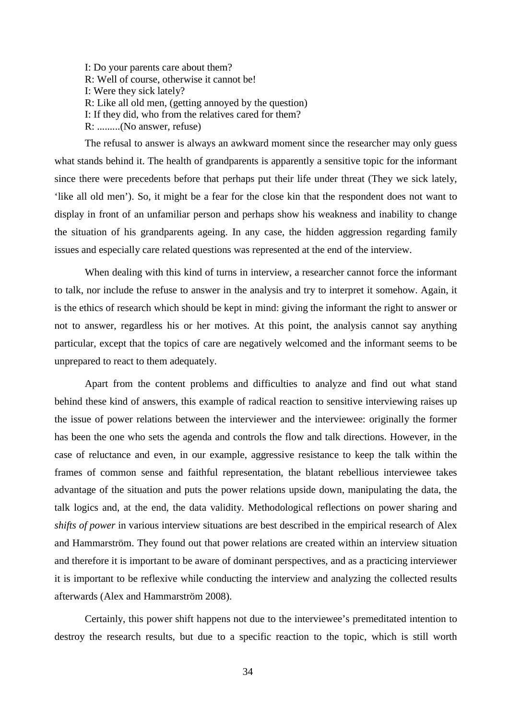I: Do your parents care about them? R: Well of course, otherwise it cannot be! I: Were they sick lately? R: Like all old men, (getting annoyed by the question) I: If they did, who from the relatives cared for them? R: .........(No answer, refuse)

The refusal to answer is always an awkward moment since the researcher may only guess what stands behind it. The health of grandparents is apparently a sensitive topic for the informant since there were precedents before that perhaps put their life under threat (They we sick lately, 'like all old men'). So, it might be a fear for the close kin that the respondent does not want to display in front of an unfamiliar person and perhaps show his weakness and inability to change the situation of his grandparents ageing. In any case, the hidden aggression regarding family issues and especially care related questions was represented at the end of the interview.

When dealing with this kind of turns in interview, a researcher cannot force the informant to talk, nor include the refuse to answer in the analysis and try to interpret it somehow. Again, it is the ethics of research which should be kept in mind: giving the informant the right to answer or not to answer, regardless his or her motives. At this point, the analysis cannot say anything particular, except that the topics of care are negatively welcomed and the informant seems to be unprepared to react to them adequately.

Apart from the content problems and difficulties to analyze and find out what stand behind these kind of answers, this example of radical reaction to sensitive interviewing raises up the issue of power relations between the interviewer and the interviewee: originally the former has been the one who sets the agenda and controls the flow and talk directions. However, in the case of reluctance and even, in our example, aggressive resistance to keep the talk within the frames of common sense and faithful representation, the blatant rebellious interviewee takes advantage of the situation and puts the power relations upside down, manipulating the data, the talk logics and, at the end, the data validity. Methodological reflections on power sharing and *shifts of power* in various interview situations are best described in the empirical research of Alex and Hammarström. They found out that power relations are created within an interview situation and therefore it is important to be aware of dominant perspectives, and as a practicing interviewer it is important to be reflexive while conducting the interview and analyzing the collected results afterwards (Alex and Hammarström 2008).

Certainly, this power shift happens not due to the interviewee's premeditated intention to destroy the research results, but due to a specific reaction to the topic, which is still worth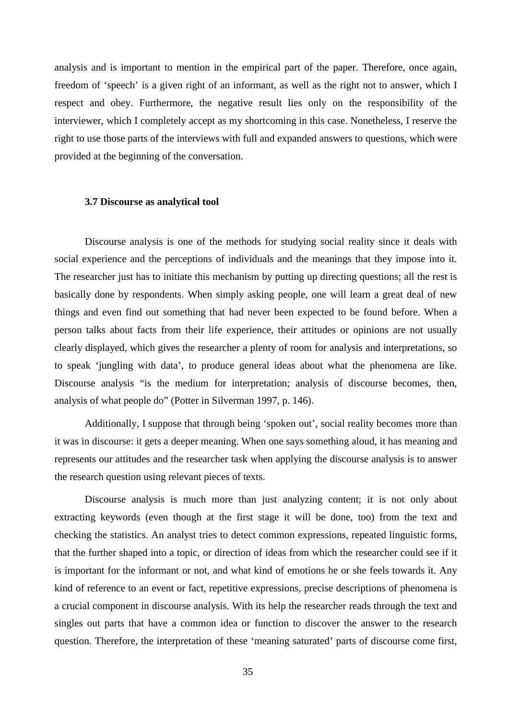analysis and is important to mention in the empirical part of the paper. Therefore, once again, freedom of 'speech' is a given right of an informant, as well as the right not to answer, which I respect and obey. Furthermore, the negative result lies only on the responsibility of the interviewer, which I completely accept as my shortcoming in this case. Nonetheless, I reserve the right to use those parts of the interviews with full and expanded answers to questions, which were provided at the beginning of the conversation.

### **3.7 Discourse as analytical tool**

Discourse analysis is one of the methods for studying social reality since it deals with social experience and the perceptions of individuals and the meanings that they impose into it. The researcher just has to initiate this mechanism by putting up directing questions; all the rest is basically done by respondents. When simply asking people, one will learn a great deal of new things and even find out something that had never been expected to be found before. When a person talks about facts from their life experience, their attitudes or opinions are not usually clearly displayed, which gives the researcher a plenty of room for analysis and interpretations, so to speak 'jungling with data', to produce general ideas about what the phenomena are like. Discourse analysis "is the medium for interpretation; analysis of discourse becomes, then, analysis of what people do" (Potter in Silverman 1997, p. 146).

Additionally, I suppose that through being 'spoken out', social reality becomes more than it was in discourse: it gets a deeper meaning. When one says something aloud, it has meaning and represents our attitudes and the researcher task when applying the discourse analysis is to answer the research question using relevant pieces of texts.

Discourse analysis is much more than just analyzing content; it is not only about extracting keywords (even though at the first stage it will be done, too) from the text and checking the statistics. An analyst tries to detect common expressions, repeated linguistic forms, that the further shaped into a topic, or direction of ideas from which the researcher could see if it is important for the informant or not, and what kind of emotions he or she feels towards it. Any kind of reference to an event or fact, repetitive expressions, precise descriptions of phenomena is a crucial component in discourse analysis. With its help the researcher reads through the text and singles out parts that have a common idea or function to discover the answer to the research question. Therefore, the interpretation of these 'meaning saturated' parts of discourse come first,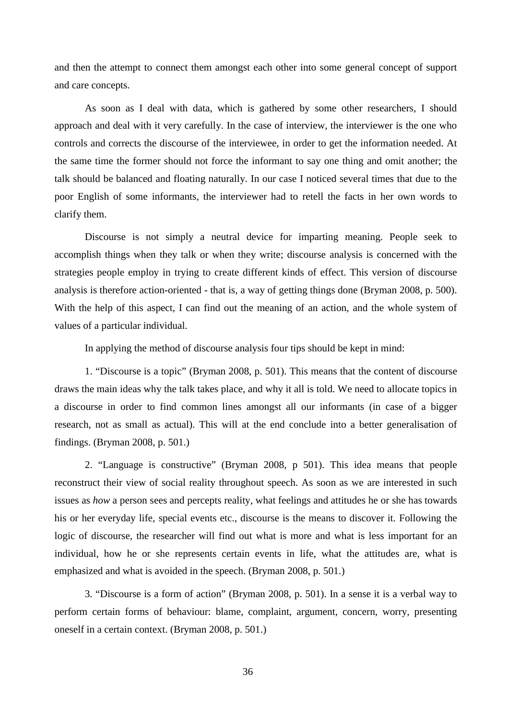and then the attempt to connect them amongst each other into some general concept of support and care concepts.

As soon as I deal with data, which is gathered by some other researchers, I should approach and deal with it very carefully. In the case of interview, the interviewer is the one who controls and corrects the discourse of the interviewee, in order to get the information needed. At the same time the former should not force the informant to say one thing and omit another; the talk should be balanced and floating naturally. In our case I noticed several times that due to the poor English of some informants, the interviewer had to retell the facts in her own words to clarify them.

Discourse is not simply a neutral device for imparting meaning. People seek to accomplish things when they talk or when they write; discourse analysis is concerned with the strategies people employ in trying to create different kinds of effect. This version of discourse analysis is therefore action-oriented - that is, a way of getting things done (Bryman 2008, p. 500). With the help of this aspect, I can find out the meaning of an action, and the whole system of values of a particular individual.

In applying the method of discourse analysis four tips should be kept in mind:

1. "Discourse is a topic" (Bryman 2008, p. 501). This means that the content of discourse draws the main ideas why the talk takes place, and why it all is told. We need to allocate topics in a discourse in order to find common lines amongst all our informants (in case of a bigger research, not as small as actual). This will at the end conclude into a better generalisation of findings. (Bryman 2008, p. 501.)

2. "Language is constructive" (Bryman 2008, p 501). This idea means that people reconstruct their view of social reality throughout speech. As soon as we are interested in such issues as *how* a person sees and percepts reality, what feelings and attitudes he or she has towards his or her everyday life, special events etc., discourse is the means to discover it. Following the logic of discourse, the researcher will find out what is more and what is less important for an individual, how he or she represents certain events in life, what the attitudes are, what is emphasized and what is avoided in the speech. (Bryman 2008, p. 501.)

3. "Discourse is a form of action" (Bryman 2008, p. 501). In a sense it is a verbal way to perform certain forms of behaviour: blame, complaint, argument, concern, worry, presenting oneself in a certain context. (Bryman 2008, p. 501.)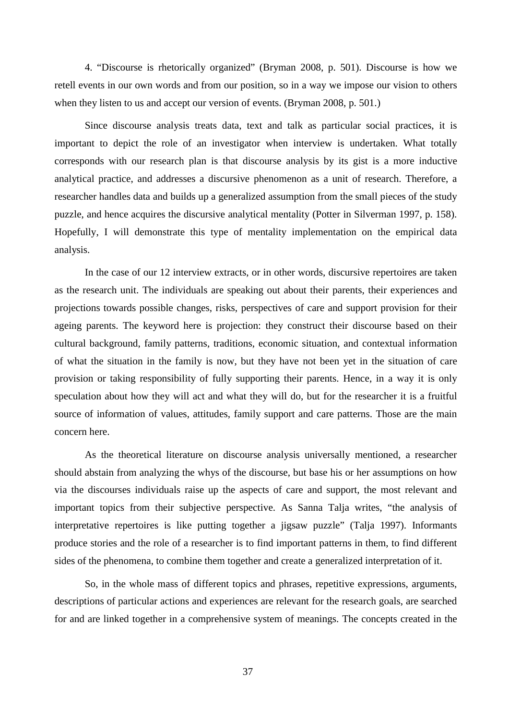4. "Discourse is rhetorically organized" (Bryman 2008, p. 501). Discourse is how we retell events in our own words and from our position, so in a way we impose our vision to others when they listen to us and accept our version of events. (Bryman 2008, p. 501.)

Since discourse analysis treats data, text and talk as particular social practices, it is important to depict the role of an investigator when interview is undertaken. What totally corresponds with our research plan is that discourse analysis by its gist is a more inductive analytical practice, and addresses a discursive phenomenon as a unit of research. Therefore, a researcher handles data and builds up a generalized assumption from the small pieces of the study puzzle, and hence acquires the discursive analytical mentality (Potter in Silverman 1997, p. 158). Hopefully, I will demonstrate this type of mentality implementation on the empirical data analysis.

In the case of our 12 interview extracts, or in other words, discursive repertoires are taken as the research unit. The individuals are speaking out about their parents, their experiences and projections towards possible changes, risks, perspectives of care and support provision for their ageing parents. The keyword here is projection: they construct their discourse based on their cultural background, family patterns, traditions, economic situation, and contextual information of what the situation in the family is now, but they have not been yet in the situation of care provision or taking responsibility of fully supporting their parents. Hence, in a way it is only speculation about how they will act and what they will do, but for the researcher it is a fruitful source of information of values, attitudes, family support and care patterns. Those are the main concern here.

As the theoretical literature on discourse analysis universally mentioned, a researcher should abstain from analyzing the whys of the discourse, but base his or her assumptions on how via the discourses individuals raise up the aspects of care and support, the most relevant and important topics from their subjective perspective. As Sanna Talja writes, "the analysis of interpretative repertoires is like putting together a jigsaw puzzle" (Talja 1997). Informants produce stories and the role of a researcher is to find important patterns in them, to find different sides of the phenomena, to combine them together and create a generalized interpretation of it.

So, in the whole mass of different topics and phrases, repetitive expressions, arguments, descriptions of particular actions and experiences are relevant for the research goals, are searched for and are linked together in a comprehensive system of meanings. The concepts created in the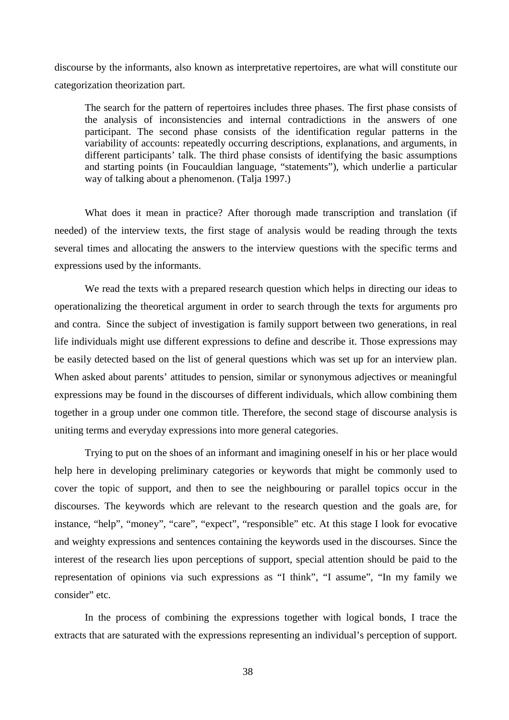discourse by the informants, also known as interpretative repertoires, are what will constitute our categorization theorization part.

The search for the pattern of repertoires includes three phases. The first phase consists of the analysis of inconsistencies and internal contradictions in the answers of one participant. The second phase consists of the identification regular patterns in the variability of accounts: repeatedly occurring descriptions, explanations, and arguments, in different participants' talk. The third phase consists of identifying the basic assumptions and starting points (in Foucauldian language, "statements"), which underlie a particular way of talking about a phenomenon. (Talja 1997.)

What does it mean in practice? After thorough made transcription and translation (if needed) of the interview texts, the first stage of analysis would be reading through the texts several times and allocating the answers to the interview questions with the specific terms and expressions used by the informants.

We read the texts with a prepared research question which helps in directing our ideas to operationalizing the theoretical argument in order to search through the texts for arguments pro and contra. Since the subject of investigation is family support between two generations, in real life individuals might use different expressions to define and describe it. Those expressions may be easily detected based on the list of general questions which was set up for an interview plan. When asked about parents' attitudes to pension, similar or synonymous adjectives or meaningful expressions may be found in the discourses of different individuals, which allow combining them together in a group under one common title. Therefore, the second stage of discourse analysis is uniting terms and everyday expressions into more general categories.

Trying to put on the shoes of an informant and imagining oneself in his or her place would help here in developing preliminary categories or keywords that might be commonly used to cover the topic of support, and then to see the neighbouring or parallel topics occur in the discourses. The keywords which are relevant to the research question and the goals are, for instance, "help", "money", "care", "expect", "responsible" etc. At this stage I look for evocative and weighty expressions and sentences containing the keywords used in the discourses. Since the interest of the research lies upon perceptions of support, special attention should be paid to the representation of opinions via such expressions as "I think", "I assume", "In my family we consider" etc.

In the process of combining the expressions together with logical bonds, I trace the extracts that are saturated with the expressions representing an individual's perception of support.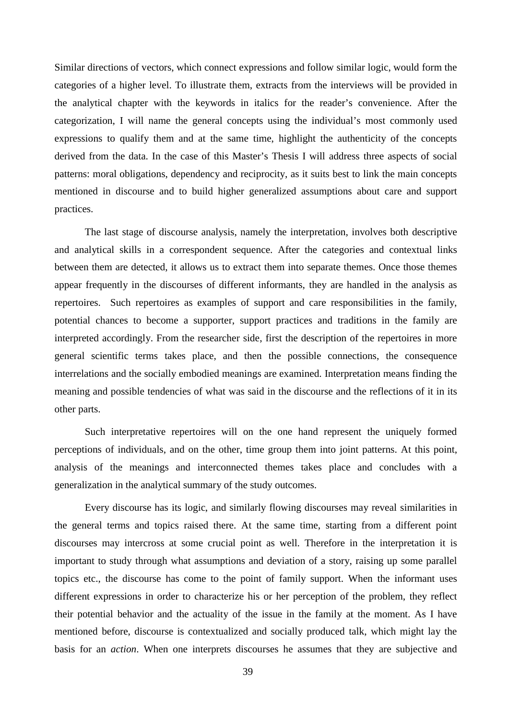Similar directions of vectors, which connect expressions and follow similar logic, would form the categories of a higher level. To illustrate them, extracts from the interviews will be provided in the analytical chapter with the keywords in italics for the reader's convenience. After the categorization, I will name the general concepts using the individual's most commonly used expressions to qualify them and at the same time, highlight the authenticity of the concepts derived from the data. In the case of this Master's Thesis I will address three aspects of social patterns: moral obligations, dependency and reciprocity, as it suits best to link the main concepts mentioned in discourse and to build higher generalized assumptions about care and support practices.

The last stage of discourse analysis, namely the interpretation, involves both descriptive and analytical skills in a correspondent sequence. After the categories and contextual links between them are detected, it allows us to extract them into separate themes. Once those themes appear frequently in the discourses of different informants, they are handled in the analysis as repertoires. Such repertoires as examples of support and care responsibilities in the family, potential chances to become a supporter, support practices and traditions in the family are interpreted accordingly. From the researcher side, first the description of the repertoires in more general scientific terms takes place, and then the possible connections, the consequence interrelations and the socially embodied meanings are examined. Interpretation means finding the meaning and possible tendencies of what was said in the discourse and the reflections of it in its other parts.

Such interpretative repertoires will on the one hand represent the uniquely formed perceptions of individuals, and on the other, time group them into joint patterns. At this point, analysis of the meanings and interconnected themes takes place and concludes with a generalization in the analytical summary of the study outcomes.

Every discourse has its logic, and similarly flowing discourses may reveal similarities in the general terms and topics raised there. At the same time, starting from a different point discourses may intercross at some crucial point as well. Therefore in the interpretation it is important to study through what assumptions and deviation of a story, raising up some parallel topics etc., the discourse has come to the point of family support. When the informant uses different expressions in order to characterize his or her perception of the problem, they reflect their potential behavior and the actuality of the issue in the family at the moment. As I have mentioned before, discourse is contextualized and socially produced talk, which might lay the basis for an *action*. When one interprets discourses he assumes that they are subjective and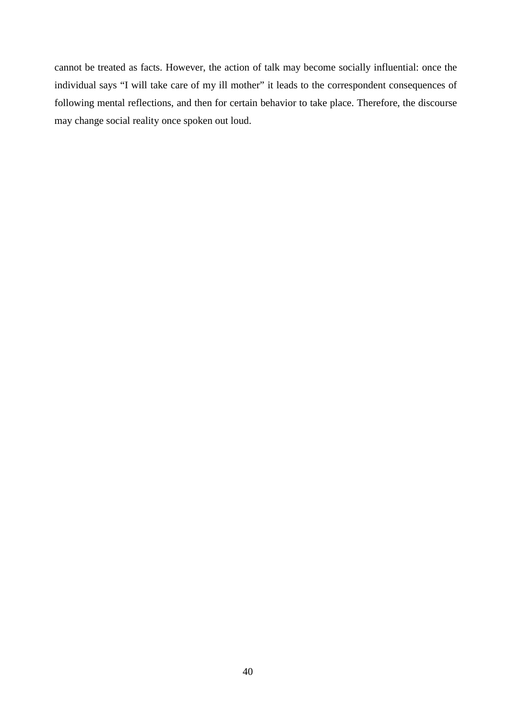cannot be treated as facts. However, the action of talk may become socially influential: once the individual says "I will take care of my ill mother" it leads to the correspondent consequences of following mental reflections, and then for certain behavior to take place. Therefore, the discourse may change social reality once spoken out loud.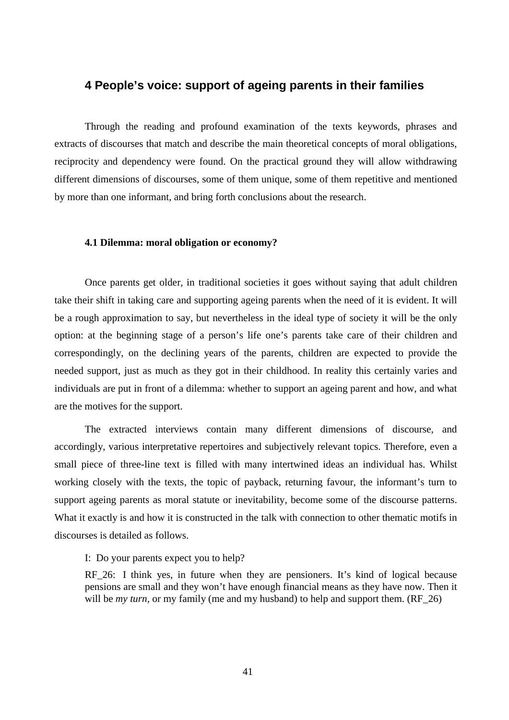# **4 People's voice: support of ageing parents in their families**

Through the reading and profound examination of the texts keywords, phrases and extracts of discourses that match and describe the main theoretical concepts of moral obligations, reciprocity and dependency were found. On the practical ground they will allow withdrawing different dimensions of discourses, some of them unique, some of them repetitive and mentioned by more than one informant, and bring forth conclusions about the research.

### **4.1 Dilemma: moral obligation or economy?**

Once parents get older, in traditional societies it goes without saying that adult children take their shift in taking care and supporting ageing parents when the need of it is evident. It will be a rough approximation to say, but nevertheless in the ideal type of society it will be the only option: at the beginning stage of a person's life one's parents take care of their children and correspondingly, on the declining years of the parents, children are expected to provide the needed support, just as much as they got in their childhood. In reality this certainly varies and individuals are put in front of a dilemma: whether to support an ageing parent and how, and what are the motives for the support.

The extracted interviews contain many different dimensions of discourse, and accordingly, various interpretative repertoires and subjectively relevant topics. Therefore, even a small piece of three-line text is filled with many intertwined ideas an individual has. Whilst working closely with the texts, the topic of payback, returning favour, the informant's turn to support ageing parents as moral statute or inevitability, become some of the discourse patterns. What it exactly is and how it is constructed in the talk with connection to other thematic motifs in discourses is detailed as follows.

I: Do your parents expect you to help?

RF\_26: I think yes, in future when they are pensioners. It's kind of logical because pensions are small and they won't have enough financial means as they have now. Then it will be *my turn*, or my family (me and my husband) to help and support them. (RF\_26)

41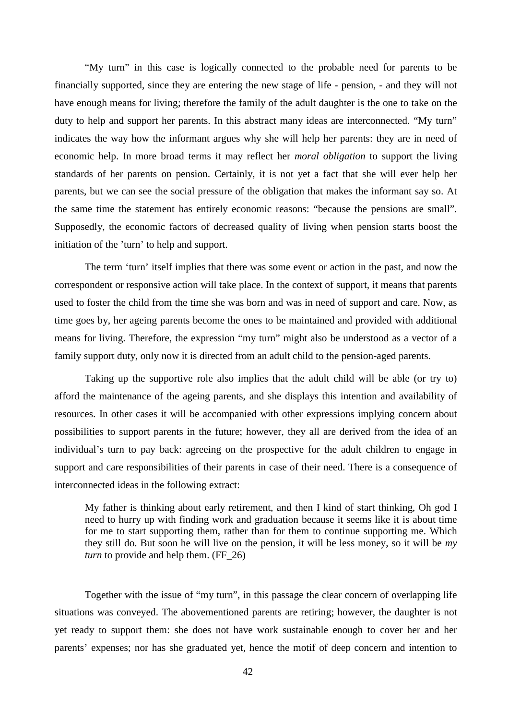"My turn" in this case is logically connected to the probable need for parents to be financially supported, since they are entering the new stage of life - pension, - and they will not have enough means for living; therefore the family of the adult daughter is the one to take on the duty to help and support her parents. In this abstract many ideas are interconnected. "My turn" indicates the way how the informant argues why she will help her parents: they are in need of economic help. In more broad terms it may reflect her *moral obligation* to support the living standards of her parents on pension. Certainly, it is not yet a fact that she will ever help her parents, but we can see the social pressure of the obligation that makes the informant say so. At the same time the statement has entirely economic reasons: "because the pensions are small". Supposedly, the economic factors of decreased quality of living when pension starts boost the initiation of the 'turn' to help and support.

The term 'turn' itself implies that there was some event or action in the past, and now the correspondent or responsive action will take place. In the context of support, it means that parents used to foster the child from the time she was born and was in need of support and care. Now, as time goes by, her ageing parents become the ones to be maintained and provided with additional means for living. Therefore, the expression "my turn" might also be understood as a vector of a family support duty, only now it is directed from an adult child to the pension-aged parents.

Taking up the supportive role also implies that the adult child will be able (or try to) afford the maintenance of the ageing parents, and she displays this intention and availability of resources. In other cases it will be accompanied with other expressions implying concern about possibilities to support parents in the future; however, they all are derived from the idea of an individual's turn to pay back: agreeing on the prospective for the adult children to engage in support and care responsibilities of their parents in case of their need. There is a consequence of interconnected ideas in the following extract:

My father is thinking about early retirement, and then I kind of start thinking, Oh god I need to hurry up with finding work and graduation because it seems like it is about time for me to start supporting them, rather than for them to continue supporting me. Which they still do. But soon he will live on the pension, it will be less money, so it will be *my turn* to provide and help them. (FF\_26)

Together with the issue of "my turn", in this passage the clear concern of overlapping life situations was conveyed. The abovementioned parents are retiring; however, the daughter is not yet ready to support them: she does not have work sustainable enough to cover her and her parents' expenses; nor has she graduated yet, hence the motif of deep concern and intention to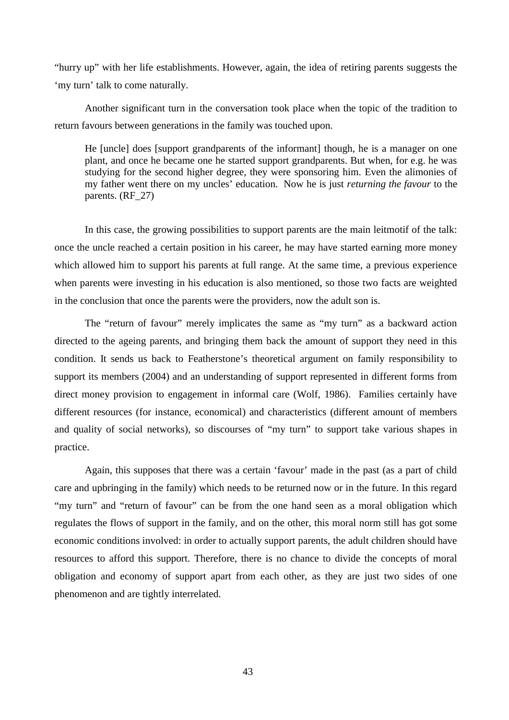"hurry up" with her life establishments. However, again, the idea of retiring parents suggests the 'my turn' talk to come naturally.

Another significant turn in the conversation took place when the topic of the tradition to return favours between generations in the family was touched upon.

He [uncle] does [support grandparents of the informant] though, he is a manager on one plant, and once he became one he started support grandparents. But when, for e.g. he was studying for the second higher degree, they were sponsoring him. Even the alimonies of my father went there on my uncles' education. Now he is just *returning the favour* to the parents. (RF\_27)

In this case, the growing possibilities to support parents are the main leitmotif of the talk: once the uncle reached a certain position in his career, he may have started earning more money which allowed him to support his parents at full range. At the same time, a previous experience when parents were investing in his education is also mentioned, so those two facts are weighted in the conclusion that once the parents were the providers, now the adult son is.

The "return of favour" merely implicates the same as "my turn" as a backward action directed to the ageing parents, and bringing them back the amount of support they need in this condition. It sends us back to Featherstone's theoretical argument on family responsibility to support its members (2004) and an understanding of support represented in different forms from direct money provision to engagement in informal care (Wolf, 1986). Families certainly have different resources (for instance, economical) and characteristics (different amount of members and quality of social networks), so discourses of "my turn" to support take various shapes in practice.

Again, this supposes that there was a certain 'favour' made in the past (as a part of child care and upbringing in the family) which needs to be returned now or in the future. In this regard "my turn" and "return of favour" can be from the one hand seen as a moral obligation which regulates the flows of support in the family, and on the other, this moral norm still has got some economic conditions involved: in order to actually support parents, the adult children should have resources to afford this support. Therefore, there is no chance to divide the concepts of moral obligation and economy of support apart from each other, as they are just two sides of one phenomenon and are tightly interrelated.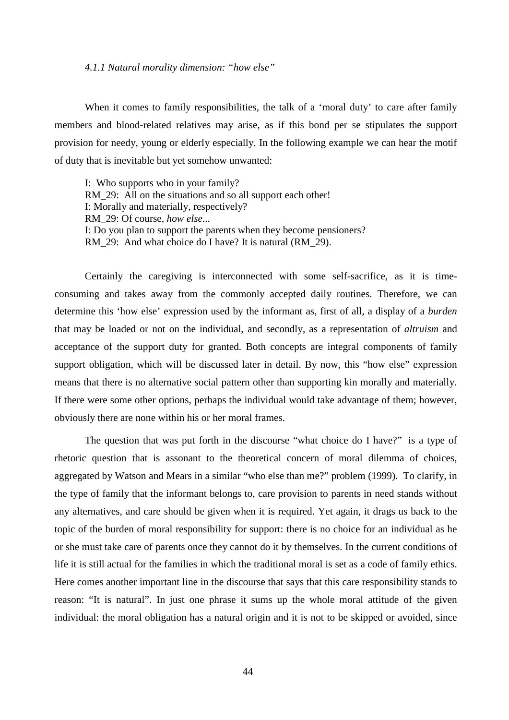#### *4.1.1 Natural morality dimension: "how else"*

When it comes to family responsibilities, the talk of a 'moral duty' to care after family members and blood-related relatives may arise, as if this bond per se stipulates the support provision for needy, young or elderly especially. In the following example we can hear the motif of duty that is inevitable but yet somehow unwanted:

I: Who supports who in your family? RM\_29: All on the situations and so all support each other! I: Morally and materially, respectively? RM\_29: Of course, *how else.*.. I: Do you plan to support the parents when they become pensioners? RM 29: And what choice do I have? It is natural (RM 29).

Certainly the caregiving is interconnected with some self-sacrifice, as it is timeconsuming and takes away from the commonly accepted daily routines. Therefore, we can determine this 'how else' expression used by the informant as, first of all, a display of a *burden* that may be loaded or not on the individual, and secondly, as a representation of *altruism* and acceptance of the support duty for granted. Both concepts are integral components of family support obligation, which will be discussed later in detail. By now, this "how else" expression means that there is no alternative social pattern other than supporting kin morally and materially. If there were some other options, perhaps the individual would take advantage of them; however, obviously there are none within his or her moral frames.

The question that was put forth in the discourse "what choice do I have?" is a type of rhetoric question that is assonant to the theoretical concern of moral dilemma of choices, aggregated by Watson and Mears in a similar "who else than me?" problem (1999). To clarify, in the type of family that the informant belongs to, care provision to parents in need stands without any alternatives, and care should be given when it is required. Yet again, it drags us back to the topic of the burden of moral responsibility for support: there is no choice for an individual as he or she must take care of parents once they cannot do it by themselves. In the current conditions of life it is still actual for the families in which the traditional moral is set as a code of family ethics. Here comes another important line in the discourse that says that this care responsibility stands to reason: "It is natural". In just one phrase it sums up the whole moral attitude of the given individual: the moral obligation has a natural origin and it is not to be skipped or avoided, since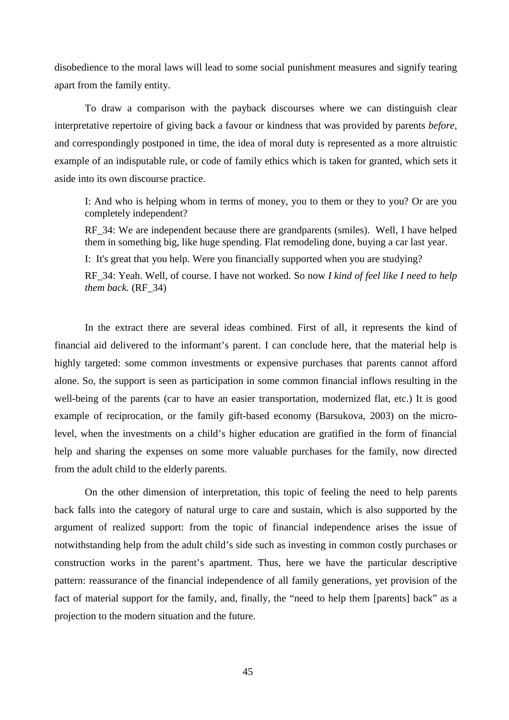disobedience to the moral laws will lead to some social punishment measures and signify tearing apart from the family entity.

To draw a comparison with the payback discourses where we can distinguish clear interpretative repertoire of giving back a favour or kindness that was provided by parents *before,* and correspondingly postponed in time, the idea of moral duty is represented as a more altruistic example of an indisputable rule, or code of family ethics which is taken for granted, which sets it aside into its own discourse practice.

I: And who is helping whom in terms of money, you to them or they to you? Or are you completely independent?

RF 34: We are independent because there are grandparents (smiles). Well, I have helped them in something big, like huge spending. Flat remodeling done, buying a car last year.

I: It's great that you help. Were you financially supported when you are studying?

RF\_34: Yeah. Well, of course. I have not worked. So now *I kind of feel like I need to help them back.* (RF\_34)

In the extract there are several ideas combined. First of all, it represents the kind of financial aid delivered to the informant's parent. I can conclude here, that the material help is highly targeted: some common investments or expensive purchases that parents cannot afford alone. So, the support is seen as participation in some common financial inflows resulting in the well-being of the parents (car to have an easier transportation, modernized flat, etc.) It is good example of reciprocation, or the family gift-based economy (Barsukova, 2003) on the microlevel, when the investments on a child's higher education are gratified in the form of financial help and sharing the expenses on some more valuable purchases for the family, now directed from the adult child to the elderly parents.

On the other dimension of interpretation, this topic of feeling the need to help parents back falls into the category of natural urge to care and sustain, which is also supported by the argument of realized support: from the topic of financial independence arises the issue of notwithstanding help from the adult child's side such as investing in common costly purchases or construction works in the parent's apartment. Thus, here we have the particular descriptive pattern: reassurance of the financial independence of all family generations, yet provision of the fact of material support for the family, and, finally, the "need to help them [parents] back" as a projection to the modern situation and the future.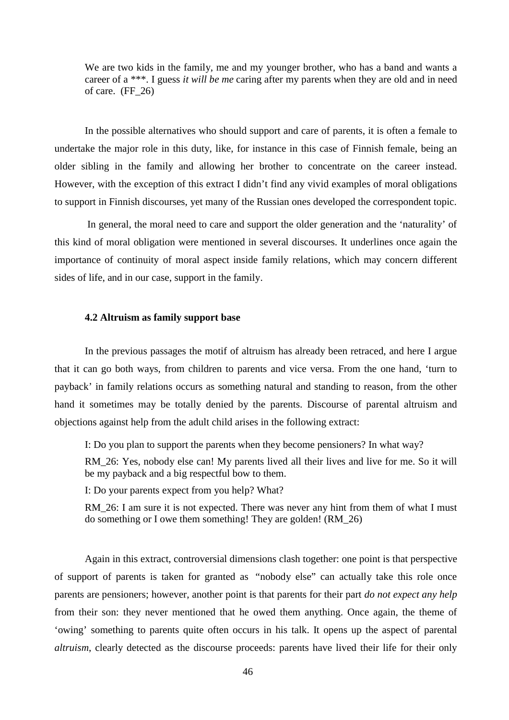We are two kids in the family, me and my younger brother, who has a band and wants a career of a \*\*\*. I guess *it will be me* caring after my parents when they are old and in need of care. (FF\_26)

In the possible alternatives who should support and care of parents, it is often a female to undertake the major role in this duty, like, for instance in this case of Finnish female, being an older sibling in the family and allowing her brother to concentrate on the career instead. However, with the exception of this extract I didn't find any vivid examples of moral obligations to support in Finnish discourses, yet many of the Russian ones developed the correspondent topic.

 In general, the moral need to care and support the older generation and the 'naturality' of this kind of moral obligation were mentioned in several discourses. It underlines once again the importance of continuity of moral aspect inside family relations, which may concern different sides of life, and in our case, support in the family.

# **4.2 Altruism as family support base**

In the previous passages the motif of altruism has already been retraced, and here I argue that it can go both ways, from children to parents and vice versa. From the one hand, 'turn to payback' in family relations occurs as something natural and standing to reason, from the other hand it sometimes may be totally denied by the parents. Discourse of parental altruism and objections against help from the adult child arises in the following extract:

I: Do you plan to support the parents when they become pensioners? In what way?

RM 26: Yes, nobody else can! My parents lived all their lives and live for me. So it will be my payback and a big respectful bow to them.

I: Do your parents expect from you help? What?

RM\_26: I am sure it is not expected. There was never any hint from them of what I must do something or I owe them something! They are golden! (RM\_26)

Again in this extract, controversial dimensions clash together: one point is that perspective of support of parents is taken for granted as "nobody else" can actually take this role once parents are pensioners; however, another point is that parents for their part *do not expect any help* from their son: they never mentioned that he owed them anything. Once again, the theme of 'owing' something to parents quite often occurs in his talk. It opens up the aspect of parental *altruism*, clearly detected as the discourse proceeds: parents have lived their life for their only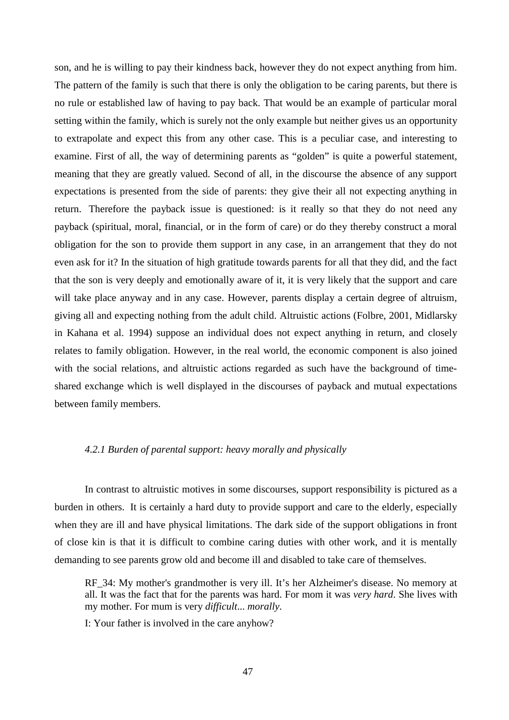son, and he is willing to pay their kindness back, however they do not expect anything from him. The pattern of the family is such that there is only the obligation to be caring parents, but there is no rule or established law of having to pay back. That would be an example of particular moral setting within the family, which is surely not the only example but neither gives us an opportunity to extrapolate and expect this from any other case. This is a peculiar case, and interesting to examine. First of all, the way of determining parents as "golden" is quite a powerful statement, meaning that they are greatly valued. Second of all, in the discourse the absence of any support expectations is presented from the side of parents: they give their all not expecting anything in return. Therefore the payback issue is questioned: is it really so that they do not need any payback (spiritual, moral, financial, or in the form of care) or do they thereby construct a moral obligation for the son to provide them support in any case, in an arrangement that they do not even ask for it? In the situation of high gratitude towards parents for all that they did, and the fact that the son is very deeply and emotionally aware of it, it is very likely that the support and care will take place anyway and in any case. However, parents display a certain degree of altruism, giving all and expecting nothing from the adult child. Altruistic actions (Folbre, 2001, Midlarsky in Kahana et al. 1994) suppose an individual does not expect anything in return, and closely relates to family obligation. However, in the real world, the economic component is also joined with the social relations, and altruistic actions regarded as such have the background of timeshared exchange which is well displayed in the discourses of payback and mutual expectations between family members.

# *4.2.1 Burden of parental support: heavy morally and physically*

In contrast to altruistic motives in some discourses, support responsibility is pictured as a burden in others. It is certainly a hard duty to provide support and care to the elderly, especially when they are ill and have physical limitations. The dark side of the support obligations in front of close kin is that it is difficult to combine caring duties with other work, and it is mentally demanding to see parents grow old and become ill and disabled to take care of themselves.

RF\_34: My mother's grandmother is very ill. It's her Alzheimer's disease. No memory at all. It was the fact that for the parents was hard. For mom it was *very hard*. She lives with my mother. For mum is very *difficult*... *morally*.

I: Your father is involved in the care anyhow?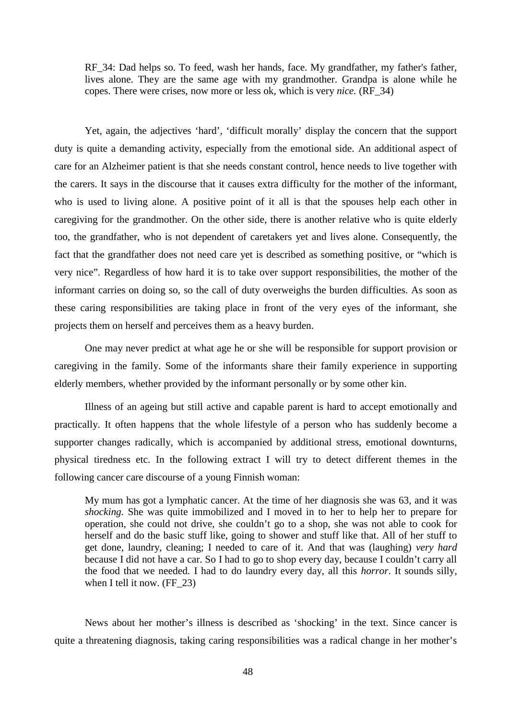RF 34: Dad helps so. To feed, wash her hands, face. My grandfather, my father's father, lives alone. They are the same age with my grandmother. Grandpa is alone while he copes. There were crises, now more or less ok, which is very *nice.* (RF\_34)

Yet, again, the adjectives 'hard', 'difficult morally' display the concern that the support duty is quite a demanding activity, especially from the emotional side. An additional aspect of care for an Alzheimer patient is that she needs constant control, hence needs to live together with the carers. It says in the discourse that it causes extra difficulty for the mother of the informant, who is used to living alone. A positive point of it all is that the spouses help each other in caregiving for the grandmother. On the other side, there is another relative who is quite elderly too, the grandfather, who is not dependent of caretakers yet and lives alone. Consequently, the fact that the grandfather does not need care yet is described as something positive, or "which is very nice". Regardless of how hard it is to take over support responsibilities, the mother of the informant carries on doing so, so the call of duty overweighs the burden difficulties. As soon as these caring responsibilities are taking place in front of the very eyes of the informant, she projects them on herself and perceives them as a heavy burden.

One may never predict at what age he or she will be responsible for support provision or caregiving in the family. Some of the informants share their family experience in supporting elderly members, whether provided by the informant personally or by some other kin.

Illness of an ageing but still active and capable parent is hard to accept emotionally and practically. It often happens that the whole lifestyle of a person who has suddenly become a supporter changes radically, which is accompanied by additional stress, emotional downturns, physical tiredness etc. In the following extract I will try to detect different themes in the following cancer care discourse of a young Finnish woman:

My mum has got a lymphatic cancer. At the time of her diagnosis she was 63, and it was *shocking*. She was quite immobilized and I moved in to her to help her to prepare for operation, she could not drive, she couldn't go to a shop, she was not able to cook for herself and do the basic stuff like, going to shower and stuff like that. All of her stuff to get done, laundry, cleaning; I needed to care of it. And that was (laughing) *very hard* because I did not have a car. So I had to go to shop every day, because I couldn't carry all the food that we needed. I had to do laundry every day, all this *horror*. It sounds silly, when I tell it now.  $(FF<sub>23</sub>)$ 

News about her mother's illness is described as 'shocking' in the text. Since cancer is quite a threatening diagnosis, taking caring responsibilities was a radical change in her mother's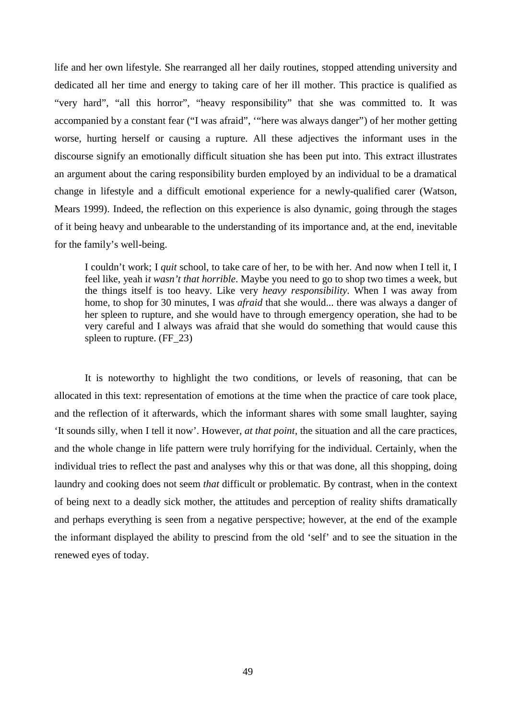life and her own lifestyle. She rearranged all her daily routines, stopped attending university and dedicated all her time and energy to taking care of her ill mother. This practice is qualified as "very hard", "all this horror", "heavy responsibility" that she was committed to. It was accompanied by a constant fear ("I was afraid", '"here was always danger") of her mother getting worse, hurting herself or causing a rupture. All these adjectives the informant uses in the discourse signify an emotionally difficult situation she has been put into. This extract illustrates an argument about the caring responsibility burden employed by an individual to be a dramatical change in lifestyle and a difficult emotional experience for a newly-qualified carer (Watson, Mears 1999). Indeed, the reflection on this experience is also dynamic, going through the stages of it being heavy and unbearable to the understanding of its importance and, at the end, inevitable for the family's well-being.

I couldn't work; I *quit* school, to take care of her, to be with her. And now when I tell it, I feel like, yeah i*t wasn't that horrible*. Maybe you need to go to shop two times a week, but the things itself is too heavy. Like very *heavy responsibility*. When I was away from home, to shop for 30 minutes, I was *afraid* that she would... there was always a danger of her spleen to rupture, and she would have to through emergency operation, she had to be very careful and I always was afraid that she would do something that would cause this spleen to rupture. (FF\_23)

It is noteworthy to highlight the two conditions, or levels of reasoning, that can be allocated in this text: representation of emotions at the time when the practice of care took place, and the reflection of it afterwards, which the informant shares with some small laughter, saying 'It sounds silly, when I tell it now'. However, *at that point*, the situation and all the care practices, and the whole change in life pattern were truly horrifying for the individual. Certainly, when the individual tries to reflect the past and analyses why this or that was done, all this shopping, doing laundry and cooking does not seem *that* difficult or problematic. By contrast, when in the context of being next to a deadly sick mother, the attitudes and perception of reality shifts dramatically and perhaps everything is seen from a negative perspective; however, at the end of the example the informant displayed the ability to prescind from the old 'self' and to see the situation in the renewed eyes of today.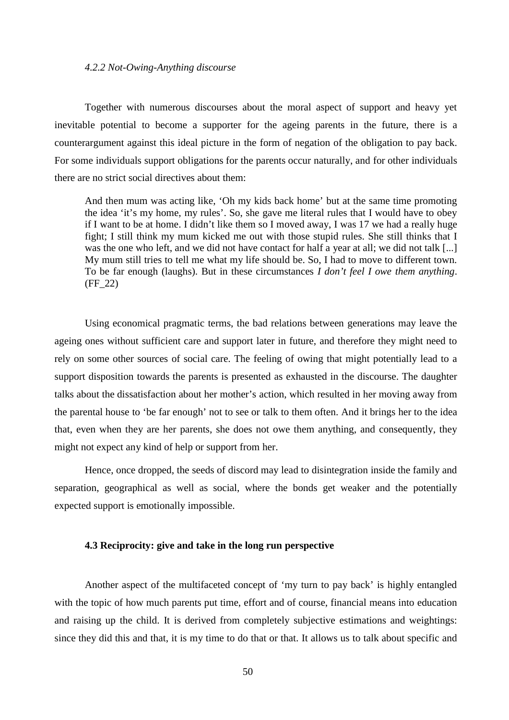#### *4.2.2 Not-Owing-Anything discourse*

Together with numerous discourses about the moral aspect of support and heavy yet inevitable potential to become a supporter for the ageing parents in the future, there is a counterargument against this ideal picture in the form of negation of the obligation to pay back. For some individuals support obligations for the parents occur naturally, and for other individuals there are no strict social directives about them:

And then mum was acting like, 'Oh my kids back home' but at the same time promoting the idea 'it's my home, my rules'. So, she gave me literal rules that I would have to obey if I want to be at home. I didn't like them so I moved away, I was 17 we had a really huge fight; I still think my mum kicked me out with those stupid rules. She still thinks that I was the one who left, and we did not have contact for half a year at all; we did not talk [...] My mum still tries to tell me what my life should be. So, I had to move to different town. To be far enough (laughs). But in these circumstances *I don't feel I owe them anything*. (FF\_22)

Using economical pragmatic terms, the bad relations between generations may leave the ageing ones without sufficient care and support later in future, and therefore they might need to rely on some other sources of social care. The feeling of owing that might potentially lead to a support disposition towards the parents is presented as exhausted in the discourse. The daughter talks about the dissatisfaction about her mother's action, which resulted in her moving away from the parental house to 'be far enough' not to see or talk to them often. And it brings her to the idea that, even when they are her parents, she does not owe them anything, and consequently, they might not expect any kind of help or support from her.

Hence, once dropped, the seeds of discord may lead to disintegration inside the family and separation, geographical as well as social, where the bonds get weaker and the potentially expected support is emotionally impossible.

# **4.3 Reciprocity: give and take in the long run perspective**

Another aspect of the multifaceted concept of 'my turn to pay back' is highly entangled with the topic of how much parents put time, effort and of course, financial means into education and raising up the child. It is derived from completely subjective estimations and weightings: since they did this and that, it is my time to do that or that. It allows us to talk about specific and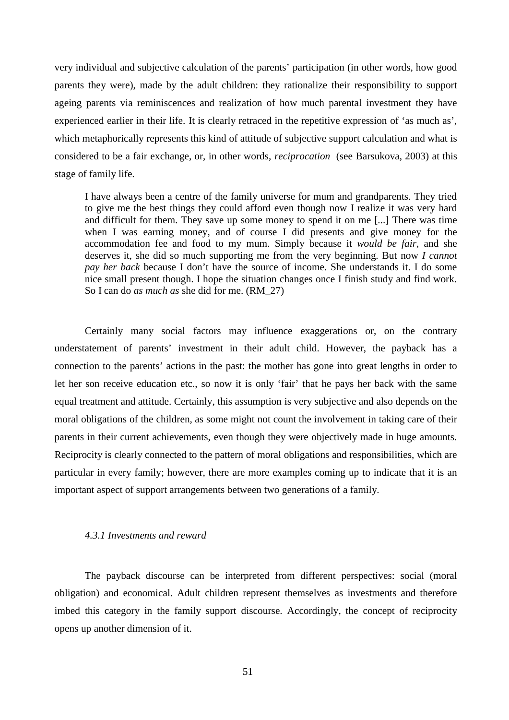very individual and subjective calculation of the parents' participation (in other words, how good parents they were), made by the adult children: they rationalize their responsibility to support ageing parents via reminiscences and realization of how much parental investment they have experienced earlier in their life. It is clearly retraced in the repetitive expression of 'as much as', which metaphorically represents this kind of attitude of subjective support calculation and what is considered to be a fair exchange, or, in other words, *reciprocation* (see Barsukova, 2003) at this stage of family life.

I have always been a centre of the family universe for mum and grandparents. They tried to give me the best things they could afford even though now I realize it was very hard and difficult for them. They save up some money to spend it on me [...] There was time when I was earning money, and of course I did presents and give money for the accommodation fee and food to my mum. Simply because it *would be fair*, and she deserves it, she did so much supporting me from the very beginning. But now *I cannot pay her back* because I don't have the source of income. She understands it. I do some nice small present though. I hope the situation changes once I finish study and find work. So I can do *as much as* she did for me. (RM\_27)

Certainly many social factors may influence exaggerations or, on the contrary understatement of parents' investment in their adult child. However, the payback has a connection to the parents' actions in the past: the mother has gone into great lengths in order to let her son receive education etc., so now it is only 'fair' that he pays her back with the same equal treatment and attitude. Certainly, this assumption is very subjective and also depends on the moral obligations of the children, as some might not count the involvement in taking care of their parents in their current achievements, even though they were objectively made in huge amounts. Reciprocity is clearly connected to the pattern of moral obligations and responsibilities, which are particular in every family; however, there are more examples coming up to indicate that it is an important aspect of support arrangements between two generations of a family.

#### *4.3.1 Investments and reward*

The payback discourse can be interpreted from different perspectives: social (moral obligation) and economical. Adult children represent themselves as investments and therefore imbed this category in the family support discourse. Accordingly, the concept of reciprocity opens up another dimension of it.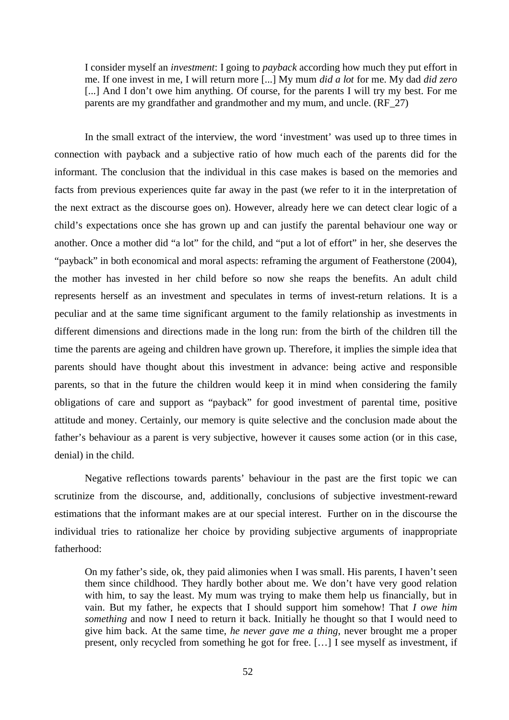I consider myself an *investment*: I going to *payback* according how much they put effort in me. If one invest in me, I will return more [...] My mum *did a lot* for me. My dad *did zero* [...] And I don't owe him anything. Of course, for the parents I will try my best. For me parents are my grandfather and grandmother and my mum, and uncle. (RF\_27)

In the small extract of the interview, the word 'investment' was used up to three times in connection with payback and a subjective ratio of how much each of the parents did for the informant. The conclusion that the individual in this case makes is based on the memories and facts from previous experiences quite far away in the past (we refer to it in the interpretation of the next extract as the discourse goes on). However, already here we can detect clear logic of a child's expectations once she has grown up and can justify the parental behaviour one way or another. Once a mother did "a lot" for the child, and "put a lot of effort" in her, she deserves the "payback" in both economical and moral aspects: reframing the argument of Featherstone (2004), the mother has invested in her child before so now she reaps the benefits. An adult child represents herself as an investment and speculates in terms of invest-return relations. It is a peculiar and at the same time significant argument to the family relationship as investments in different dimensions and directions made in the long run: from the birth of the children till the time the parents are ageing and children have grown up. Therefore, it implies the simple idea that parents should have thought about this investment in advance: being active and responsible parents, so that in the future the children would keep it in mind when considering the family obligations of care and support as "payback" for good investment of parental time, positive attitude and money. Certainly, our memory is quite selective and the conclusion made about the father's behaviour as a parent is very subjective, however it causes some action (or in this case, denial) in the child.

Negative reflections towards parents' behaviour in the past are the first topic we can scrutinize from the discourse, and, additionally, conclusions of subjective investment-reward estimations that the informant makes are at our special interest. Further on in the discourse the individual tries to rationalize her choice by providing subjective arguments of inappropriate fatherhood:

On my father's side, ok, they paid alimonies when I was small. His parents, I haven't seen them since childhood. They hardly bother about me. We don't have very good relation with him, to say the least. My mum was trying to make them help us financially, but in vain. But my father, he expects that I should support him somehow! That *I owe him something* and now I need to return it back. Initially he thought so that I would need to give him back. At the same time, *he never gave me a thing*, never brought me a proper present, only recycled from something he got for free. [… ] I see myself as investment, if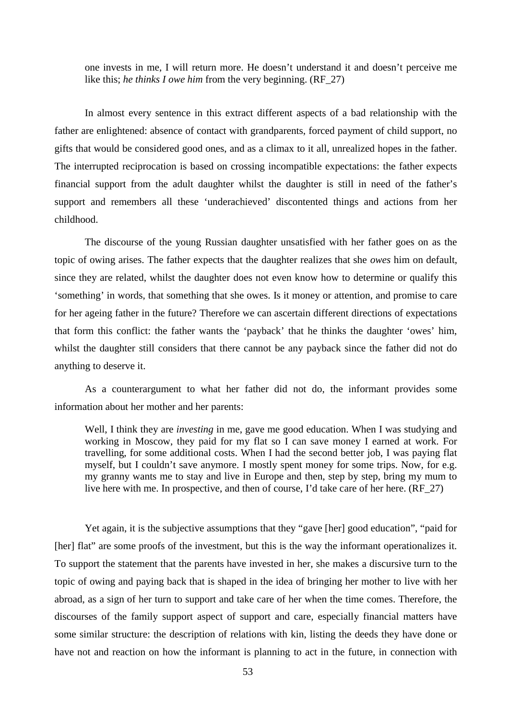one invests in me, I will return more. He doesn't understand it and doesn't perceive me like this; *he thinks I owe him* from the very beginning. (RF\_27)

In almost every sentence in this extract different aspects of a bad relationship with the father are enlightened: absence of contact with grandparents, forced payment of child support, no gifts that would be considered good ones, and as a climax to it all, unrealized hopes in the father. The interrupted reciprocation is based on crossing incompatible expectations: the father expects financial support from the adult daughter whilst the daughter is still in need of the father's support and remembers all these 'underachieved' discontented things and actions from her childhood.

The discourse of the young Russian daughter unsatisfied with her father goes on as the topic of owing arises. The father expects that the daughter realizes that she *owes* him on default, since they are related, whilst the daughter does not even know how to determine or qualify this 'something' in words, that something that she owes. Is it money or attention, and promise to care for her ageing father in the future? Therefore we can ascertain different directions of expectations that form this conflict: the father wants the 'payback' that he thinks the daughter 'owes' him, whilst the daughter still considers that there cannot be any payback since the father did not do anything to deserve it.

As a counterargument to what her father did not do, the informant provides some information about her mother and her parents:

Well, I think they are *investing* in me, gave me good education. When I was studying and working in Moscow, they paid for my flat so I can save money I earned at work. For travelling, for some additional costs. When I had the second better job, I was paying flat myself, but I couldn't save anymore. I mostly spent money for some trips. Now, for e.g. my granny wants me to stay and live in Europe and then, step by step, bring my mum to live here with me. In prospective, and then of course, I'd take care of her here. (RF\_27)

Yet again, it is the subjective assumptions that they "gave [her] good education", "paid for [her] flat" are some proofs of the investment, but this is the way the informant operationalizes it. To support the statement that the parents have invested in her, she makes a discursive turn to the topic of owing and paying back that is shaped in the idea of bringing her mother to live with her abroad, as a sign of her turn to support and take care of her when the time comes. Therefore, the discourses of the family support aspect of support and care, especially financial matters have some similar structure: the description of relations with kin, listing the deeds they have done or have not and reaction on how the informant is planning to act in the future, in connection with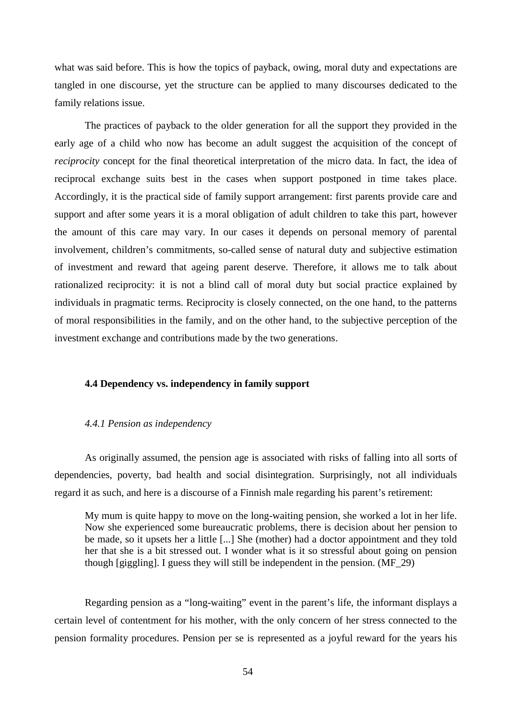what was said before. This is how the topics of payback, owing, moral duty and expectations are tangled in one discourse, yet the structure can be applied to many discourses dedicated to the family relations issue.

The practices of payback to the older generation for all the support they provided in the early age of a child who now has become an adult suggest the acquisition of the concept of *reciprocity* concept for the final theoretical interpretation of the micro data. In fact, the idea of reciprocal exchange suits best in the cases when support postponed in time takes place. Accordingly, it is the practical side of family support arrangement: first parents provide care and support and after some years it is a moral obligation of adult children to take this part, however the amount of this care may vary. In our cases it depends on personal memory of parental involvement, children's commitments, so-called sense of natural duty and subjective estimation of investment and reward that ageing parent deserve. Therefore, it allows me to talk about rationalized reciprocity: it is not a blind call of moral duty but social practice explained by individuals in pragmatic terms. Reciprocity is closely connected, on the one hand, to the patterns of moral responsibilities in the family, and on the other hand, to the subjective perception of the investment exchange and contributions made by the two generations.

# **4.4 Dependency vs. independency in family support**

#### *4.4.1 Pension as independency*

As originally assumed, the pension age is associated with risks of falling into all sorts of dependencies, poverty, bad health and social disintegration. Surprisingly, not all individuals regard it as such, and here is a discourse of a Finnish male regarding his parent's retirement:

My mum is quite happy to move on the long-waiting pension, she worked a lot in her life. Now she experienced some bureaucratic problems, there is decision about her pension to be made, so it upsets her a little [...] She (mother) had a doctor appointment and they told her that she is a bit stressed out. I wonder what is it so stressful about going on pension though [giggling]. I guess they will still be independent in the pension. (MF\_29)

Regarding pension as a "long-waiting" event in the parent's life, the informant displays a certain level of contentment for his mother, with the only concern of her stress connected to the pension formality procedures. Pension per se is represented as a joyful reward for the years his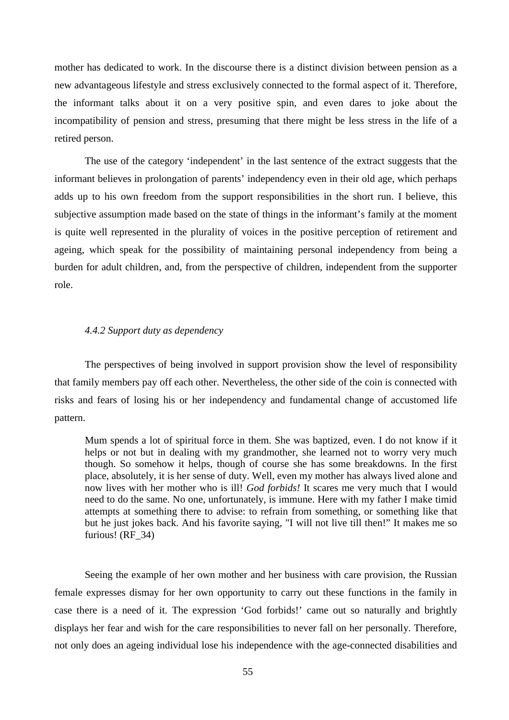mother has dedicated to work. In the discourse there is a distinct division between pension as a new advantageous lifestyle and stress exclusively connected to the formal aspect of it. Therefore, the informant talks about it on a very positive spin, and even dares to joke about the incompatibility of pension and stress, presuming that there might be less stress in the life of a retired person.

The use of the category 'independent' in the last sentence of the extract suggests that the informant believes in prolongation of parents' independency even in their old age, which perhaps adds up to his own freedom from the support responsibilities in the short run. I believe, this subjective assumption made based on the state of things in the informant's family at the moment is quite well represented in the plurality of voices in the positive perception of retirement and ageing, which speak for the possibility of maintaining personal independency from being a burden for adult children, and, from the perspective of children, independent from the supporter role.

# *4.4.2 Support duty as dependency*

The perspectives of being involved in support provision show the level of responsibility that family members pay off each other. Nevertheless, the other side of the coin is connected with risks and fears of losing his or her independency and fundamental change of accustomed life pattern.

Mum spends a lot of spiritual force in them. She was baptized, even. I do not know if it helps or not but in dealing with my grandmother, she learned not to worry very much though. So somehow it helps, though of course she has some breakdowns. In the first place, absolutely, it is her sense of duty. Well, even my mother has always lived alone and now lives with her mother who is ill! *God forbids!* It scares me very much that I would need to do the same. No one, unfortunately, is immune. Here with my father I make timid attempts at something there to advise: to refrain from something, or something like that but he just jokes back. And his favorite saying, "I will not live till then!" It makes me so furious! (RF\_34)

Seeing the example of her own mother and her business with care provision, the Russian female expresses dismay for her own opportunity to carry out these functions in the family in case there is a need of it. The expression 'God forbids!' came out so naturally and brightly displays her fear and wish for the care responsibilities to never fall on her personally. Therefore, not only does an ageing individual lose his independence with the age-connected disabilities and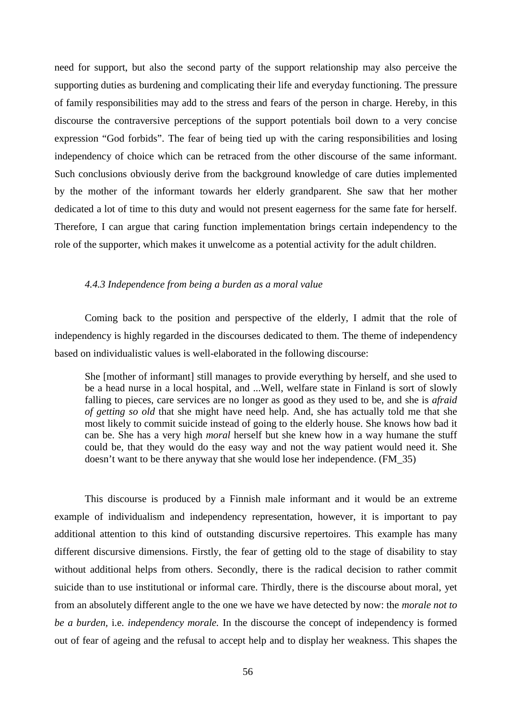need for support, but also the second party of the support relationship may also perceive the supporting duties as burdening and complicating their life and everyday functioning. The pressure of family responsibilities may add to the stress and fears of the person in charge. Hereby, in this discourse the contraversive perceptions of the support potentials boil down to a very concise expression "God forbids". The fear of being tied up with the caring responsibilities and losing independency of choice which can be retraced from the other discourse of the same informant. Such conclusions obviously derive from the background knowledge of care duties implemented by the mother of the informant towards her elderly grandparent. She saw that her mother dedicated a lot of time to this duty and would not present eagerness for the same fate for herself. Therefore, I can argue that caring function implementation brings certain independency to the role of the supporter, which makes it unwelcome as a potential activity for the adult children.

# *4.4.3 Independence from being a burden as a moral value*

Coming back to the position and perspective of the elderly, I admit that the role of independency is highly regarded in the discourses dedicated to them. The theme of independency based on individualistic values is well-elaborated in the following discourse:

She [mother of informant] still manages to provide everything by herself, and she used to be a head nurse in a local hospital, and ...Well, welfare state in Finland is sort of slowly falling to pieces, care services are no longer as good as they used to be, and she is *afraid of getting so old* that she might have need help. And, she has actually told me that she most likely to commit suicide instead of going to the elderly house. She knows how bad it can be. She has a very high *moral* herself but she knew how in a way humane the stuff could be, that they would do the easy way and not the way patient would need it. She doesn't want to be there anyway that she would lose her independence. (FM\_35)

This discourse is produced by a Finnish male informant and it would be an extreme example of individualism and independency representation, however, it is important to pay additional attention to this kind of outstanding discursive repertoires. This example has many different discursive dimensions. Firstly, the fear of getting old to the stage of disability to stay without additional helps from others. Secondly, there is the radical decision to rather commit suicide than to use institutional or informal care. Thirdly, there is the discourse about moral, yet from an absolutely different angle to the one we have we have detected by now: the *morale not to be a burden,* i.e. *independency morale.* In the discourse the concept of independency is formed out of fear of ageing and the refusal to accept help and to display her weakness. This shapes the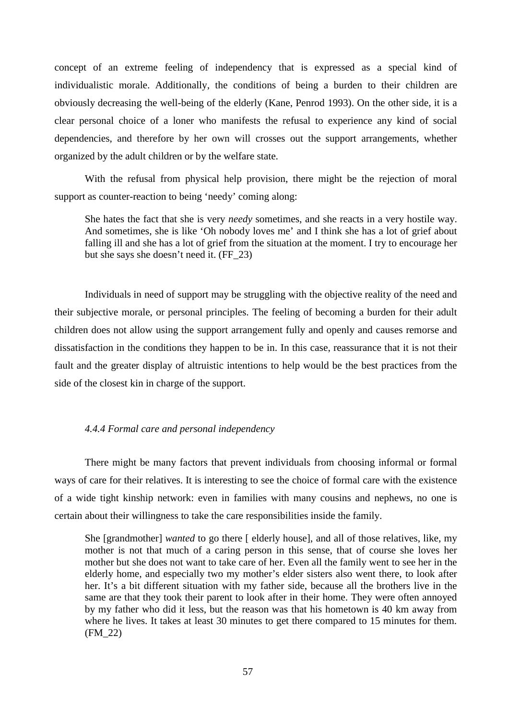concept of an extreme feeling of independency that is expressed as a special kind of individualistic morale. Additionally, the conditions of being a burden to their children are obviously decreasing the well-being of the elderly (Kane, Penrod 1993). On the other side, it is a clear personal choice of a loner who manifests the refusal to experience any kind of social dependencies, and therefore by her own will crosses out the support arrangements, whether organized by the adult children or by the welfare state.

With the refusal from physical help provision, there might be the rejection of moral support as counter-reaction to being 'needy' coming along:

She hates the fact that she is very *needy* sometimes, and she reacts in a very hostile way. And sometimes, she is like 'Oh nobody loves me' and I think she has a lot of grief about falling ill and she has a lot of grief from the situation at the moment. I try to encourage her but she says she doesn't need it. (FF\_23)

Individuals in need of support may be struggling with the objective reality of the need and their subjective morale, or personal principles. The feeling of becoming a burden for their adult children does not allow using the support arrangement fully and openly and causes remorse and dissatisfaction in the conditions they happen to be in. In this case, reassurance that it is not their fault and the greater display of altruistic intentions to help would be the best practices from the side of the closest kin in charge of the support.

# *4.4.4 Formal care and personal independency*

There might be many factors that prevent individuals from choosing informal or formal ways of care for their relatives. It is interesting to see the choice of formal care with the existence of a wide tight kinship network: even in families with many cousins and nephews, no one is certain about their willingness to take the care responsibilities inside the family.

She [grandmother] *wanted* to go there [ elderly house], and all of those relatives, like, my mother is not that much of a caring person in this sense, that of course she loves her mother but she does not want to take care of her. Even all the family went to see her in the elderly home, and especially two my mother's elder sisters also went there, to look after her. It's a bit different situation with my father side, because all the brothers live in the same are that they took their parent to look after in their home. They were often annoyed by my father who did it less, but the reason was that his hometown is 40 km away from where he lives. It takes at least 30 minutes to get there compared to 15 minutes for them. (FM\_22)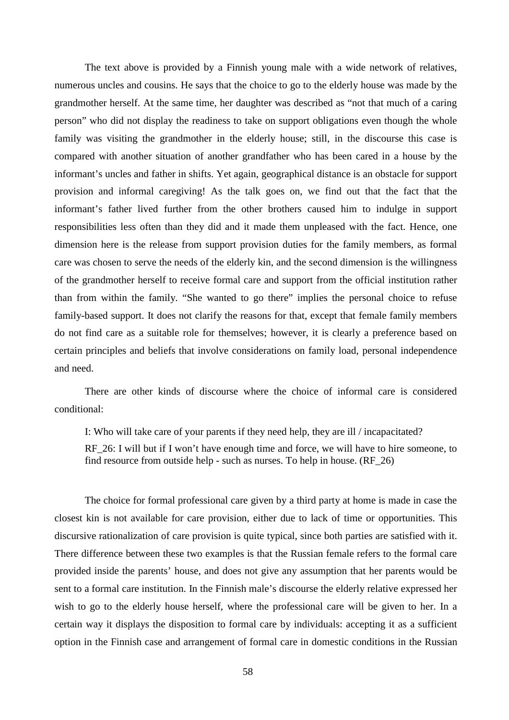The text above is provided by a Finnish young male with a wide network of relatives, numerous uncles and cousins. He says that the choice to go to the elderly house was made by the grandmother herself. At the same time, her daughter was described as "not that much of a caring person" who did not display the readiness to take on support obligations even though the whole family was visiting the grandmother in the elderly house; still, in the discourse this case is compared with another situation of another grandfather who has been cared in a house by the informant's uncles and father in shifts. Yet again, geographical distance is an obstacle for support provision and informal caregiving! As the talk goes on, we find out that the fact that the informant's father lived further from the other brothers caused him to indulge in support responsibilities less often than they did and it made them unpleased with the fact. Hence, one dimension here is the release from support provision duties for the family members, as formal care was chosen to serve the needs of the elderly kin, and the second dimension is the willingness of the grandmother herself to receive formal care and support from the official institution rather than from within the family. "She wanted to go there" implies the personal choice to refuse family-based support. It does not clarify the reasons for that, except that female family members do not find care as a suitable role for themselves; however, it is clearly a preference based on certain principles and beliefs that involve considerations on family load, personal independence and need.

There are other kinds of discourse where the choice of informal care is considered conditional:

I: Who will take care of your parents if they need help, they are ill / incapacitated?

RF 26: I will but if I won't have enough time and force, we will have to hire someone, to find resource from outside help - such as nurses. To help in house. (RF\_26)

The choice for formal professional care given by a third party at home is made in case the closest kin is not available for care provision, either due to lack of time or opportunities. This discursive rationalization of care provision is quite typical, since both parties are satisfied with it. There difference between these two examples is that the Russian female refers to the formal care provided inside the parents' house, and does not give any assumption that her parents would be sent to a formal care institution. In the Finnish male's discourse the elderly relative expressed her wish to go to the elderly house herself, where the professional care will be given to her. In a certain way it displays the disposition to formal care by individuals: accepting it as a sufficient option in the Finnish case and arrangement of formal care in domestic conditions in the Russian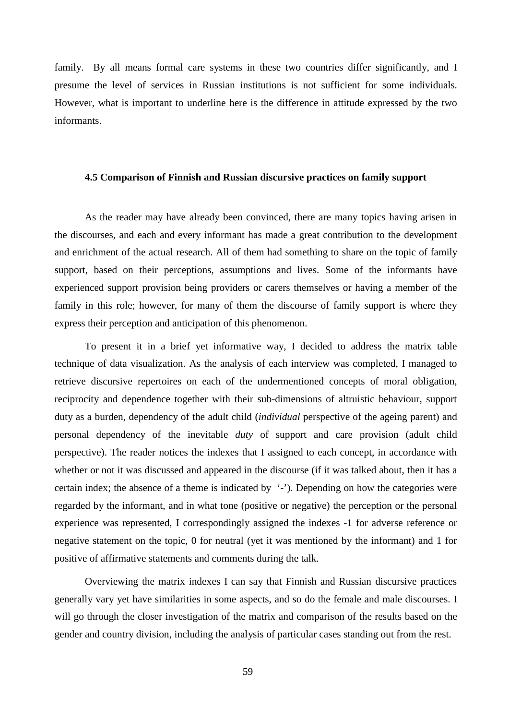family. By all means formal care systems in these two countries differ significantly, and I presume the level of services in Russian institutions is not sufficient for some individuals. However, what is important to underline here is the difference in attitude expressed by the two informants.

# **4.5 Comparison of Finnish and Russian discursive practices on family support**

As the reader may have already been convinced, there are many topics having arisen in the discourses, and each and every informant has made a great contribution to the development and enrichment of the actual research. All of them had something to share on the topic of family support, based on their perceptions, assumptions and lives. Some of the informants have experienced support provision being providers or carers themselves or having a member of the family in this role; however, for many of them the discourse of family support is where they express their perception and anticipation of this phenomenon.

To present it in a brief yet informative way, I decided to address the matrix table technique of data visualization. As the analysis of each interview was completed, I managed to retrieve discursive repertoires on each of the undermentioned concepts of moral obligation, reciprocity and dependence together with their sub-dimensions of altruistic behaviour, support duty as a burden, dependency of the adult child (*individual* perspective of the ageing parent) and personal dependency of the inevitable *duty* of support and care provision (adult child perspective). The reader notices the indexes that I assigned to each concept, in accordance with whether or not it was discussed and appeared in the discourse (if it was talked about, then it has a certain index; the absence of a theme is indicated by  $\cdot$ ). Depending on how the categories were regarded by the informant, and in what tone (positive or negative) the perception or the personal experience was represented, I correspondingly assigned the indexes -1 for adverse reference or negative statement on the topic, 0 for neutral (yet it was mentioned by the informant) and 1 for positive of affirmative statements and comments during the talk.

Overviewing the matrix indexes I can say that Finnish and Russian discursive practices generally vary yet have similarities in some aspects, and so do the female and male discourses. I will go through the closer investigation of the matrix and comparison of the results based on the gender and country division, including the analysis of particular cases standing out from the rest.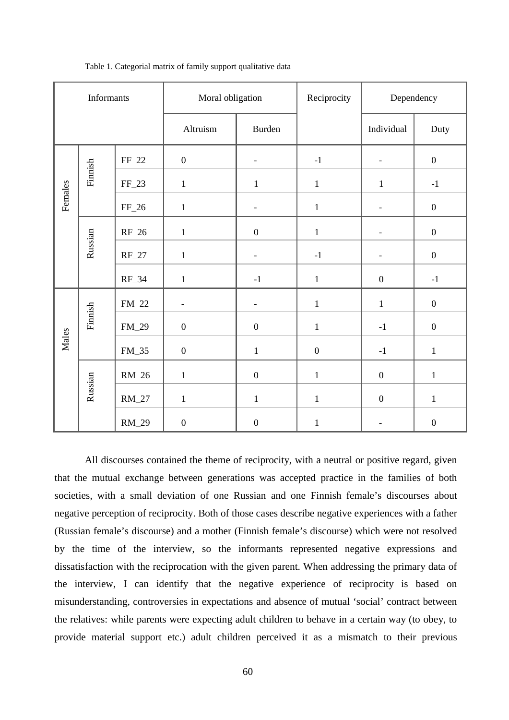| Informants   |         |         | Moral obligation         |                          | Reciprocity      | Dependency               |                  |
|--------------|---------|---------|--------------------------|--------------------------|------------------|--------------------------|------------------|
|              |         |         | Altruism                 | Burden                   |                  | Individual               | Duty             |
| Females      | Finnish | FF 22   | $\boldsymbol{0}$         | $\overline{\phantom{0}}$ | $-1$             | $\overline{a}$           | $\boldsymbol{0}$ |
|              |         | FF 23   | $\,1\,$                  | $\,1$                    | $\,1$            | $\mathbf{1}$             | $-1$             |
|              |         | $FF_26$ | $\mathbf 1$              | -                        | $\mathbf{1}$     | $\overline{\phantom{0}}$ | $\boldsymbol{0}$ |
|              | Russian | RF 26   | $\,1$                    | $\boldsymbol{0}$         | $\mathbf{1}$     | $\overline{a}$           | $\boldsymbol{0}$ |
|              |         | $RF_27$ | $\mathbf{1}$             | $\overline{a}$           | $-1$             | $\overline{a}$           | $\boldsymbol{0}$ |
|              |         | RF 34   | $\,1$                    | $-1$                     | $\mathbf{1}$     | $\boldsymbol{0}$         | $-1$             |
| <b>Males</b> | Finnish | FM 22   | $\overline{\phantom{0}}$ | $\overline{\phantom{0}}$ | $\mathbf{1}$     | $\mathbf{1}$             | $\boldsymbol{0}$ |
|              |         | $FM_29$ | $\boldsymbol{0}$         | $\boldsymbol{0}$         | $\mathbf{1}$     | $^{\rm -1}$              | $\boldsymbol{0}$ |
|              |         | FM 35   | $\boldsymbol{0}$         | $\mathbf{1}$             | $\boldsymbol{0}$ | $-1$                     | $\mathbf{1}$     |
|              | Russian | RM 26   | $\mathbf 1$              | $\boldsymbol{0}$         | $\mathbf{1}$     | $\boldsymbol{0}$         | $\mathbf{1}$     |
|              |         | RM 27   | $\mathbf 1$              | $\mathbf{1}$             | $\mathbf{1}$     | $\boldsymbol{0}$         | $\mathbf{1}$     |
|              |         | RM 29   | $\boldsymbol{0}$         | $\boldsymbol{0}$         | $\,1$            | $\overline{\phantom{a}}$ | $\boldsymbol{0}$ |

Table 1. Categorial matrix of family support qualitative data

All discourses contained the theme of reciprocity, with a neutral or positive regard, given that the mutual exchange between generations was accepted practice in the families of both societies, with a small deviation of one Russian and one Finnish female's discourses about negative perception of reciprocity. Both of those cases describe negative experiences with a father (Russian female's discourse) and a mother (Finnish female's discourse) which were not resolved by the time of the interview, so the informants represented negative expressions and dissatisfaction with the reciprocation with the given parent. When addressing the primary data of the interview, I can identify that the negative experience of reciprocity is based on misunderstanding, controversies in expectations and absence of mutual 'social' contract between the relatives: while parents were expecting adult children to behave in a certain way (to obey, to provide material support etc.) adult children perceived it as a mismatch to their previous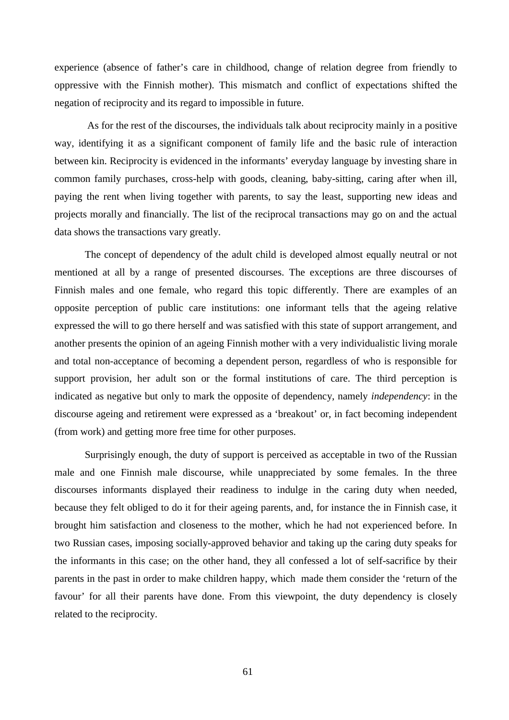experience (absence of father's care in childhood, change of relation degree from friendly to oppressive with the Finnish mother). This mismatch and conflict of expectations shifted the negation of reciprocity and its regard to impossible in future.

 As for the rest of the discourses, the individuals talk about reciprocity mainly in a positive way, identifying it as a significant component of family life and the basic rule of interaction between kin. Reciprocity is evidenced in the informants' everyday language by investing share in common family purchases, cross-help with goods, cleaning, baby-sitting, caring after when ill, paying the rent when living together with parents, to say the least, supporting new ideas and projects morally and financially. The list of the reciprocal transactions may go on and the actual data shows the transactions vary greatly.

The concept of dependency of the adult child is developed almost equally neutral or not mentioned at all by a range of presented discourses. The exceptions are three discourses of Finnish males and one female, who regard this topic differently. There are examples of an opposite perception of public care institutions: one informant tells that the ageing relative expressed the will to go there herself and was satisfied with this state of support arrangement, and another presents the opinion of an ageing Finnish mother with a very individualistic living morale and total non-acceptance of becoming a dependent person, regardless of who is responsible for support provision, her adult son or the formal institutions of care. The third perception is indicated as negative but only to mark the opposite of dependency, namely *independency*: in the discourse ageing and retirement were expressed as a 'breakout' or, in fact becoming independent (from work) and getting more free time for other purposes.

Surprisingly enough, the duty of support is perceived as acceptable in two of the Russian male and one Finnish male discourse, while unappreciated by some females. In the three discourses informants displayed their readiness to indulge in the caring duty when needed, because they felt obliged to do it for their ageing parents, and, for instance the in Finnish case, it brought him satisfaction and closeness to the mother, which he had not experienced before. In two Russian cases, imposing socially-approved behavior and taking up the caring duty speaks for the informants in this case; on the other hand, they all confessed a lot of self-sacrifice by their parents in the past in order to make children happy, which made them consider the 'return of the favour' for all their parents have done. From this viewpoint, the duty dependency is closely related to the reciprocity.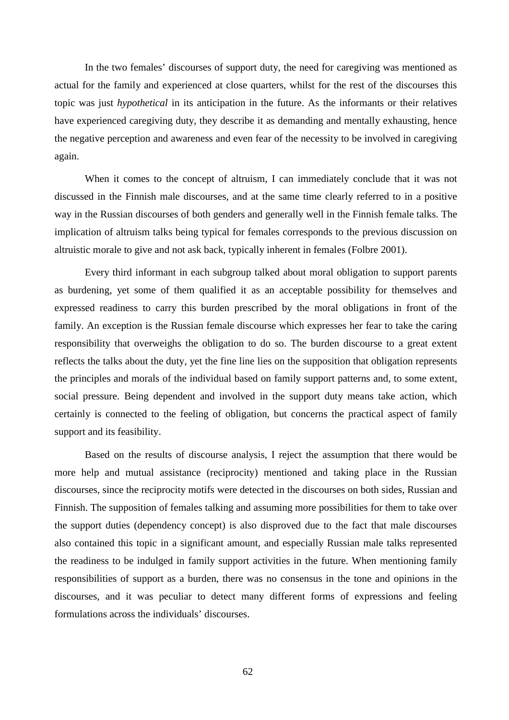In the two females' discourses of support duty, the need for caregiving was mentioned as actual for the family and experienced at close quarters, whilst for the rest of the discourses this topic was just *hypothetical* in its anticipation in the future. As the informants or their relatives have experienced caregiving duty, they describe it as demanding and mentally exhausting, hence the negative perception and awareness and even fear of the necessity to be involved in caregiving again.

When it comes to the concept of altruism, I can immediately conclude that it was not discussed in the Finnish male discourses, and at the same time clearly referred to in a positive way in the Russian discourses of both genders and generally well in the Finnish female talks. The implication of altruism talks being typical for females corresponds to the previous discussion on altruistic morale to give and not ask back, typically inherent in females (Folbre 2001).

Every third informant in each subgroup talked about moral obligation to support parents as burdening, yet some of them qualified it as an acceptable possibility for themselves and expressed readiness to carry this burden prescribed by the moral obligations in front of the family. An exception is the Russian female discourse which expresses her fear to take the caring responsibility that overweighs the obligation to do so. The burden discourse to a great extent reflects the talks about the duty, yet the fine line lies on the supposition that obligation represents the principles and morals of the individual based on family support patterns and, to some extent, social pressure. Being dependent and involved in the support duty means take action, which certainly is connected to the feeling of obligation, but concerns the practical aspect of family support and its feasibility.

Based on the results of discourse analysis, I reject the assumption that there would be more help and mutual assistance (reciprocity) mentioned and taking place in the Russian discourses, since the reciprocity motifs were detected in the discourses on both sides, Russian and Finnish. The supposition of females talking and assuming more possibilities for them to take over the support duties (dependency concept) is also disproved due to the fact that male discourses also contained this topic in a significant amount, and especially Russian male talks represented the readiness to be indulged in family support activities in the future. When mentioning family responsibilities of support as a burden, there was no consensus in the tone and opinions in the discourses, and it was peculiar to detect many different forms of expressions and feeling formulations across the individuals' discourses.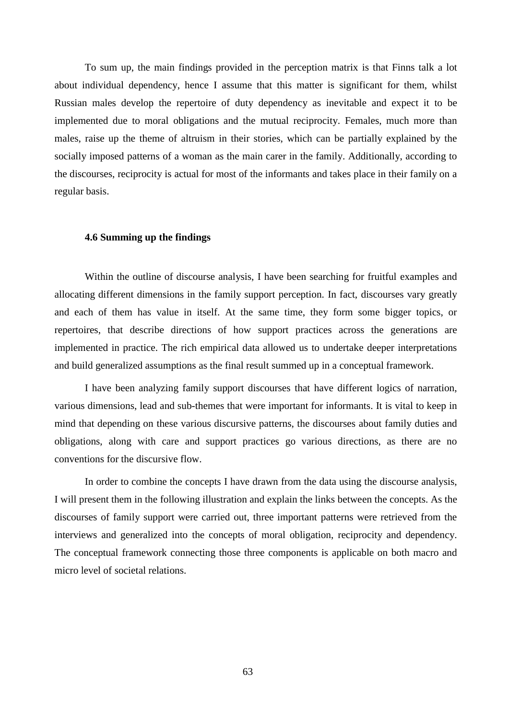To sum up, the main findings provided in the perception matrix is that Finns talk a lot about individual dependency, hence I assume that this matter is significant for them, whilst Russian males develop the repertoire of duty dependency as inevitable and expect it to be implemented due to moral obligations and the mutual reciprocity. Females, much more than males, raise up the theme of altruism in their stories, which can be partially explained by the socially imposed patterns of a woman as the main carer in the family. Additionally, according to the discourses, reciprocity is actual for most of the informants and takes place in their family on a regular basis.

# **4.6 Summing up the findings**

Within the outline of discourse analysis, I have been searching for fruitful examples and allocating different dimensions in the family support perception. In fact, discourses vary greatly and each of them has value in itself. At the same time, they form some bigger topics, or repertoires, that describe directions of how support practices across the generations are implemented in practice. The rich empirical data allowed us to undertake deeper interpretations and build generalized assumptions as the final result summed up in a conceptual framework.

I have been analyzing family support discourses that have different logics of narration, various dimensions, lead and sub-themes that were important for informants. It is vital to keep in mind that depending on these various discursive patterns, the discourses about family duties and obligations, along with care and support practices go various directions, as there are no conventions for the discursive flow.

In order to combine the concepts I have drawn from the data using the discourse analysis, I will present them in the following illustration and explain the links between the concepts. As the discourses of family support were carried out, three important patterns were retrieved from the interviews and generalized into the concepts of moral obligation, reciprocity and dependency. The conceptual framework connecting those three components is applicable on both macro and micro level of societal relations.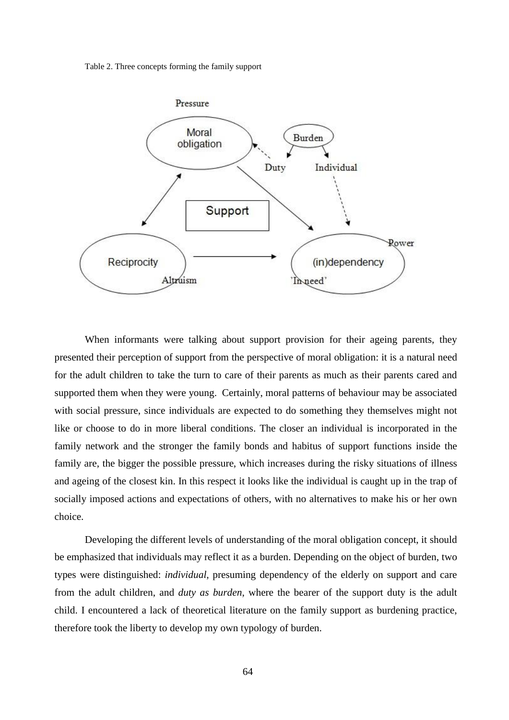Table 2. Three concepts forming the family support



When informants were talking about support provision for their ageing parents, they presented their perception of support from the perspective of moral obligation: it is a natural need for the adult children to take the turn to care of their parents as much as their parents cared and supported them when they were young. Certainly, moral patterns of behaviour may be associated with social pressure, since individuals are expected to do something they themselves might not like or choose to do in more liberal conditions. The closer an individual is incorporated in the family network and the stronger the family bonds and habitus of support functions inside the family are, the bigger the possible pressure, which increases during the risky situations of illness and ageing of the closest kin. In this respect it looks like the individual is caught up in the trap of socially imposed actions and expectations of others, with no alternatives to make his or her own choice.

Developing the different levels of understanding of the moral obligation concept, it should be emphasized that individuals may reflect it as a burden. Depending on the object of burden, two types were distinguished: *individual,* presuming dependency of the elderly on support and care from the adult children, and *duty as burden*, where the bearer of the support duty is the adult child. I encountered a lack of theoretical literature on the family support as burdening practice, therefore took the liberty to develop my own typology of burden.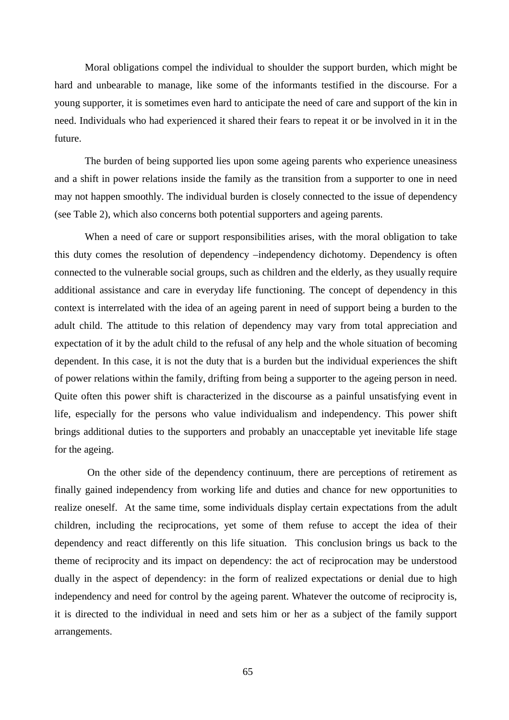Moral obligations compel the individual to shoulder the support burden, which might be hard and unbearable to manage, like some of the informants testified in the discourse. For a young supporter, it is sometimes even hard to anticipate the need of care and support of the kin in need. Individuals who had experienced it shared their fears to repeat it or be involved in it in the future.

The burden of being supported lies upon some ageing parents who experience uneasiness and a shift in power relations inside the family as the transition from a supporter to one in need may not happen smoothly. The individual burden is closely connected to the issue of dependency (see Table 2), which also concerns both potential supporters and ageing parents.

When a need of care or support responsibilities arises, with the moral obligation to take this duty comes the resolution of dependency –independency dichotomy. Dependency is often connected to the vulnerable social groups, such as children and the elderly, as they usually require additional assistance and care in everyday life functioning. The concept of dependency in this context is interrelated with the idea of an ageing parent in need of support being a burden to the adult child. The attitude to this relation of dependency may vary from total appreciation and expectation of it by the adult child to the refusal of any help and the whole situation of becoming dependent. In this case, it is not the duty that is a burden but the individual experiences the shift of power relations within the family, drifting from being a supporter to the ageing person in need. Quite often this power shift is characterized in the discourse as a painful unsatisfying event in life, especially for the persons who value individualism and independency. This power shift brings additional duties to the supporters and probably an unacceptable yet inevitable life stage for the ageing.

 On the other side of the dependency continuum, there are perceptions of retirement as finally gained independency from working life and duties and chance for new opportunities to realize oneself. At the same time, some individuals display certain expectations from the adult children, including the reciprocations, yet some of them refuse to accept the idea of their dependency and react differently on this life situation. This conclusion brings us back to the theme of reciprocity and its impact on dependency: the act of reciprocation may be understood dually in the aspect of dependency: in the form of realized expectations or denial due to high independency and need for control by the ageing parent. Whatever the outcome of reciprocity is, it is directed to the individual in need and sets him or her as a subject of the family support arrangements.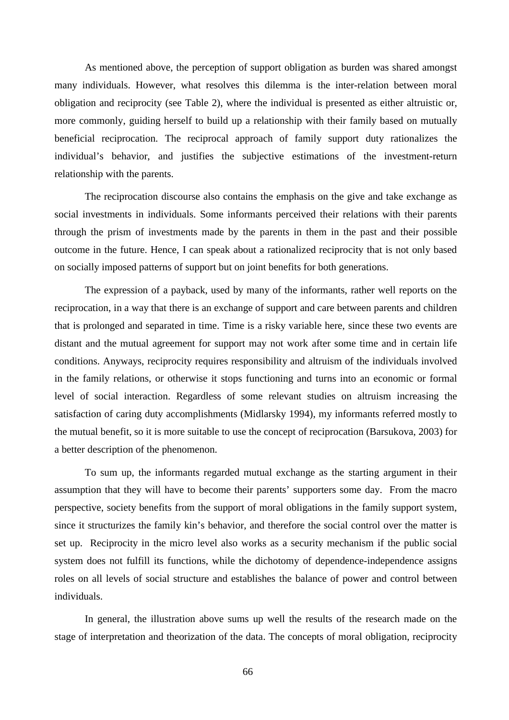As mentioned above, the perception of support obligation as burden was shared amongst many individuals. However, what resolves this dilemma is the inter-relation between moral obligation and reciprocity (see Table 2), where the individual is presented as either altruistic or, more commonly, guiding herself to build up a relationship with their family based on mutually beneficial reciprocation. The reciprocal approach of family support duty rationalizes the individual's behavior, and justifies the subjective estimations of the investment-return relationship with the parents.

The reciprocation discourse also contains the emphasis on the give and take exchange as social investments in individuals. Some informants perceived their relations with their parents through the prism of investments made by the parents in them in the past and their possible outcome in the future. Hence, I can speak about a rationalized reciprocity that is not only based on socially imposed patterns of support but on joint benefits for both generations.

The expression of a payback, used by many of the informants, rather well reports on the reciprocation, in a way that there is an exchange of support and care between parents and children that is prolonged and separated in time. Time is a risky variable here, since these two events are distant and the mutual agreement for support may not work after some time and in certain life conditions. Anyways, reciprocity requires responsibility and altruism of the individuals involved in the family relations, or otherwise it stops functioning and turns into an economic or formal level of social interaction. Regardless of some relevant studies on altruism increasing the satisfaction of caring duty accomplishments (Midlarsky 1994), my informants referred mostly to the mutual benefit, so it is more suitable to use the concept of reciprocation (Barsukova, 2003) for a better description of the phenomenon.

To sum up, the informants regarded mutual exchange as the starting argument in their assumption that they will have to become their parents' supporters some day. From the macro perspective, society benefits from the support of moral obligations in the family support system, since it structurizes the family kin's behavior, and therefore the social control over the matter is set up. Reciprocity in the micro level also works as a security mechanism if the public social system does not fulfill its functions, while the dichotomy of dependence-independence assigns roles on all levels of social structure and establishes the balance of power and control between individuals.

In general, the illustration above sums up well the results of the research made on the stage of interpretation and theorization of the data. The concepts of moral obligation, reciprocity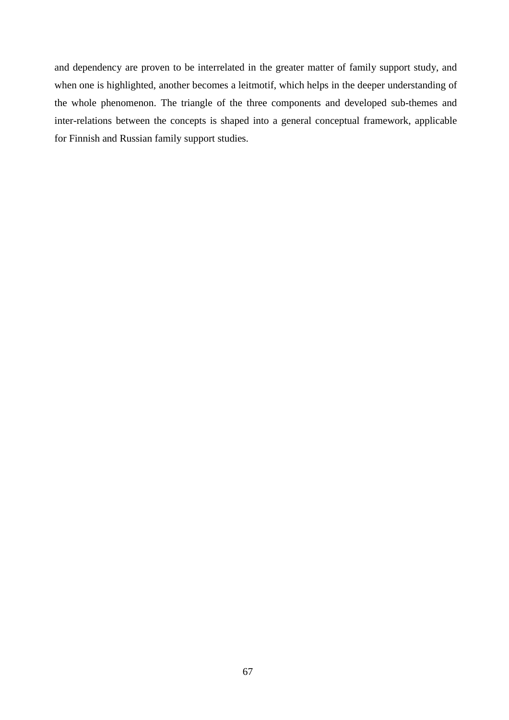and dependency are proven to be interrelated in the greater matter of family support study, and when one is highlighted, another becomes a leitmotif, which helps in the deeper understanding of the whole phenomenon. The triangle of the three components and developed sub-themes and inter-relations between the concepts is shaped into a general conceptual framework, applicable for Finnish and Russian family support studies.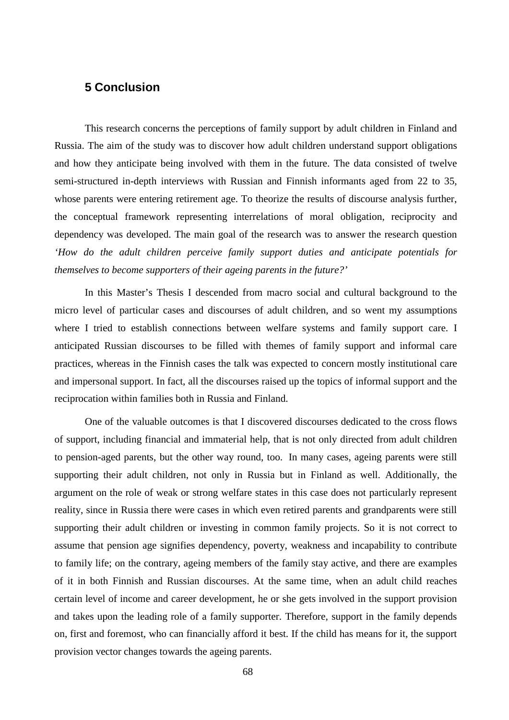# **5 Conclusion**

This research concerns the perceptions of family support by adult children in Finland and Russia. The aim of the study was to discover how adult children understand support obligations and how they anticipate being involved with them in the future. The data consisted of twelve semi-structured in-depth interviews with Russian and Finnish informants aged from 22 to 35, whose parents were entering retirement age. To theorize the results of discourse analysis further, the conceptual framework representing interrelations of moral obligation, reciprocity and dependency was developed. The main goal of the research was to answer the research question *'How do the adult children perceive family support duties and anticipate potentials for themselves to become supporters of their ageing parents in the future?'*

In this Master's Thesis I descended from macro social and cultural background to the micro level of particular cases and discourses of adult children, and so went my assumptions where I tried to establish connections between welfare systems and family support care. I anticipated Russian discourses to be filled with themes of family support and informal care practices, whereas in the Finnish cases the talk was expected to concern mostly institutional care and impersonal support. In fact, all the discourses raised up the topics of informal support and the reciprocation within families both in Russia and Finland.

One of the valuable outcomes is that I discovered discourses dedicated to the cross flows of support, including financial and immaterial help, that is not only directed from adult children to pension-aged parents, but the other way round, too. In many cases, ageing parents were still supporting their adult children, not only in Russia but in Finland as well. Additionally, the argument on the role of weak or strong welfare states in this case does not particularly represent reality, since in Russia there were cases in which even retired parents and grandparents were still supporting their adult children or investing in common family projects. So it is not correct to assume that pension age signifies dependency, poverty, weakness and incapability to contribute to family life; on the contrary, ageing members of the family stay active, and there are examples of it in both Finnish and Russian discourses. At the same time, when an adult child reaches certain level of income and career development, he or she gets involved in the support provision and takes upon the leading role of a family supporter. Therefore, support in the family depends on, first and foremost, who can financially afford it best. If the child has means for it, the support provision vector changes towards the ageing parents.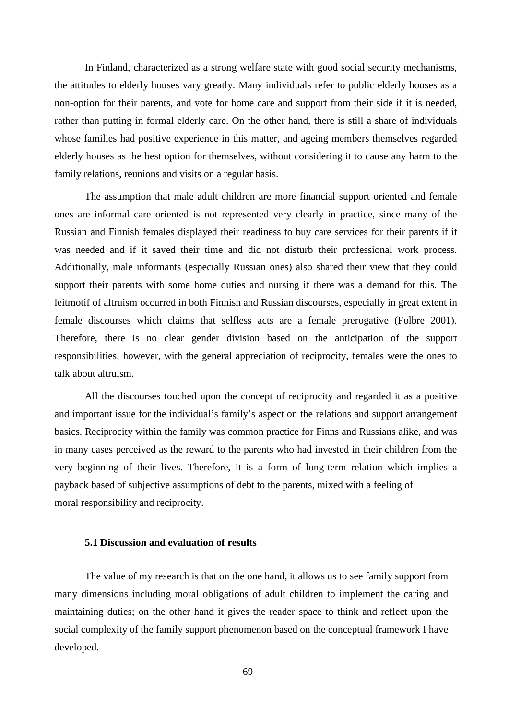In Finland, characterized as a strong welfare state with good social security mechanisms, the attitudes to elderly houses vary greatly. Many individuals refer to public elderly houses as a non-option for their parents, and vote for home care and support from their side if it is needed, rather than putting in formal elderly care. On the other hand, there is still a share of individuals whose families had positive experience in this matter, and ageing members themselves regarded elderly houses as the best option for themselves, without considering it to cause any harm to the family relations, reunions and visits on a regular basis.

The assumption that male adult children are more financial support oriented and female ones are informal care oriented is not represented very clearly in practice, since many of the Russian and Finnish females displayed their readiness to buy care services for their parents if it was needed and if it saved their time and did not disturb their professional work process. Additionally, male informants (especially Russian ones) also shared their view that they could support their parents with some home duties and nursing if there was a demand for this. The leitmotif of altruism occurred in both Finnish and Russian discourses, especially in great extent in female discourses which claims that selfless acts are a female prerogative (Folbre 2001). Therefore, there is no clear gender division based on the anticipation of the support responsibilities; however, with the general appreciation of reciprocity, females were the ones to talk about altruism.

All the discourses touched upon the concept of reciprocity and regarded it as a positive and important issue for the individual's family's aspect on the relations and support arrangement basics. Reciprocity within the family was common practice for Finns and Russians alike, and was in many cases perceived as the reward to the parents who had invested in their children from the very beginning of their lives. Therefore, it is a form of long-term relation which implies a payback based of subjective assumptions of debt to the parents, mixed with a feeling of moral responsibility and reciprocity.

#### **5.1 Discussion and evaluation of results**

The value of my research is that on the one hand, it allows us to see family support from many dimensions including moral obligations of adult children to implement the caring and maintaining duties; on the other hand it gives the reader space to think and reflect upon the social complexity of the family support phenomenon based on the conceptual framework I have developed.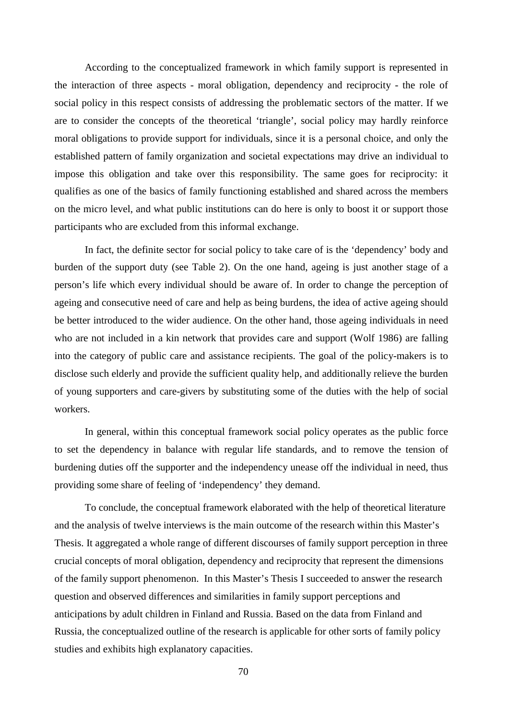According to the conceptualized framework in which family support is represented in the interaction of three aspects - moral obligation, dependency and reciprocity - the role of social policy in this respect consists of addressing the problematic sectors of the matter. If we are to consider the concepts of the theoretical 'triangle', social policy may hardly reinforce moral obligations to provide support for individuals, since it is a personal choice, and only the established pattern of family organization and societal expectations may drive an individual to impose this obligation and take over this responsibility. The same goes for reciprocity: it qualifies as one of the basics of family functioning established and shared across the members on the micro level, and what public institutions can do here is only to boost it or support those participants who are excluded from this informal exchange.

In fact, the definite sector for social policy to take care of is the 'dependency' body and burden of the support duty (see Table 2). On the one hand, ageing is just another stage of a person's life which every individual should be aware of. In order to change the perception of ageing and consecutive need of care and help as being burdens, the idea of active ageing should be better introduced to the wider audience. On the other hand, those ageing individuals in need who are not included in a kin network that provides care and support (Wolf 1986) are falling into the category of public care and assistance recipients. The goal of the policy-makers is to disclose such elderly and provide the sufficient quality help, and additionally relieve the burden of young supporters and care-givers by substituting some of the duties with the help of social workers.

In general, within this conceptual framework social policy operates as the public force to set the dependency in balance with regular life standards, and to remove the tension of burdening duties off the supporter and the independency unease off the individual in need, thus providing some share of feeling of 'independency' they demand.

To conclude, the conceptual framework elaborated with the help of theoretical literature and the analysis of twelve interviews is the main outcome of the research within this Master's Thesis. It aggregated a whole range of different discourses of family support perception in three crucial concepts of moral obligation, dependency and reciprocity that represent the dimensions of the family support phenomenon. In this Master's Thesis I succeeded to answer the research question and observed differences and similarities in family support perceptions and anticipations by adult children in Finland and Russia. Based on the data from Finland and Russia, the conceptualized outline of the research is applicable for other sorts of family policy studies and exhibits high explanatory capacities.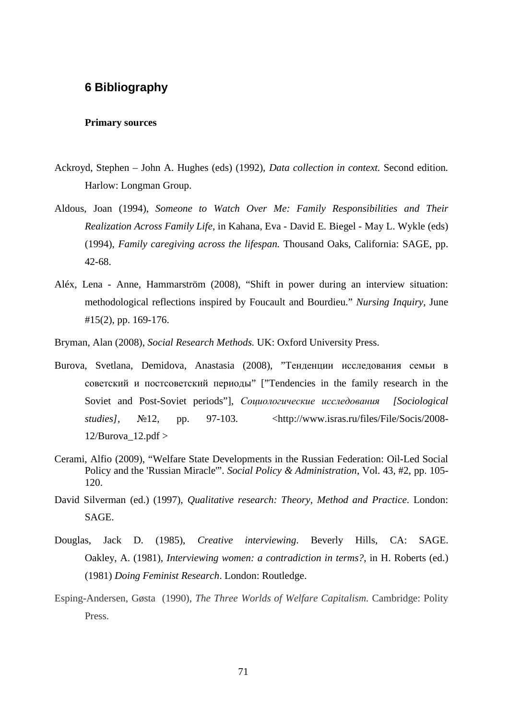## **6 Bibliography**

#### **Primary sources**

- Ackroyd, Stephen John A. Hughes (eds) (1992), *Data collection in context.* Second edition*.* Harlow: Longman Group.
- Aldous, Joan (1994), *Someone to Watch Over Me: Family Responsibilities and Their Realization Across Family Life,* in Kahana, Eva - David E. Biegel - May L. Wykle (eds) (1994), *Family caregiving across the lifespan.* Thousand Oaks, California: SAGE, pp. 42-68.
- Aléx, Lena Anne, Hammarström (2008), "Shift in power during an interview situation: methodological reflections inspired by Foucault and Bourdieu."*Nursing Inquiry,* June #15(2), pp. 169-176.
- Bryman, Alan (2008), *Social Research Methods.* UK: Oxford University Press.
- Burova, Svetlana, Demidova, Anastasia (2008), "Тенденции исследования семьи в советский и постсоветский периоды" ["Tendencies in the family research in the Soviet and Post-Soviet periods"], *Социологические исследования [Sociological*] *studies*], N<sup>o</sup><sub>12</sub>, pp. 97-103. [<http://www.isras.ru/files/File/Socis/2008-](http://www.isras.ru/files/File/Socis/2008-) 12/Burova  $12.pdf$
- Cerami, Alfio (2009), "Welfare State Developments in the Russian Federation: Oil-Led Social Policy and the 'Russian Miracle'". *Social Policy & Administration*, Vol. 43, #2, pp. 105- 120.
- David Silverman (ed.) (1997), *Qualitative research: Theory, Method and Practice*. London: SAGE.
- Douglas, Jack D. (1985), *Creative interviewing*. Beverly Hills, CA: SAGE. Oakley, A. (1981), *Interviewing women: a contradiction in terms?*, in H. Roberts (ed.) (1981) *Doing Feminist Research*. London: Routledge.
- Esping-Andersen, Gøsta (1990), *The Three Worlds of Welfare Capitalism.* Cambridge: Polity Press.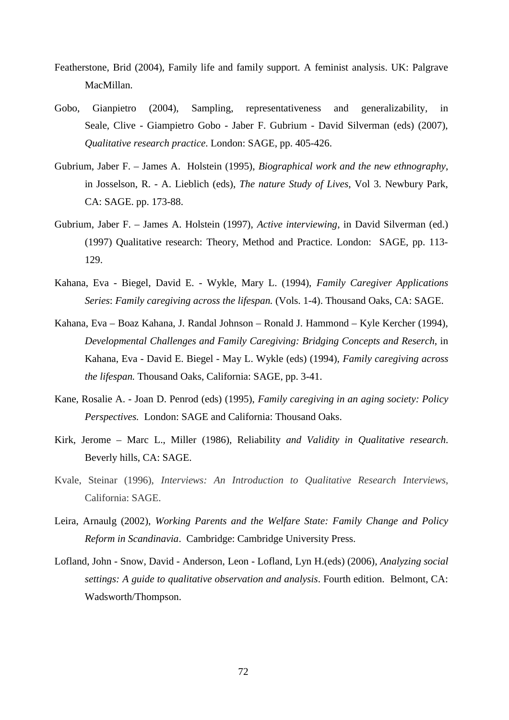- Featherstone, Brid (2004), Family life and family support. A feminist analysis. UK: Palgrave MacMillan.
- Gobo, Gianpietro (2004), Sampling, representativeness and generalizability, in Seale, Clive - Giampietro Gobo - Jaber F. Gubrium - David Silverman (eds) (2007), *Qualitative research practice*. London: SAGE, pp. 405-426.
- Gubrium, Jaber F. James A. Holstein (1995), *Biographical work and the new ethnography*, in Josselson, R. - A. Lieblich (eds), *The nature Study of Lives*, Vol 3. Newbury Park, CA: SAGE. pp. 173-88.
- Gubrium, Jaber F. James A. Holstein (1997), *Active interviewing*, in David Silverman (ed.) (1997) Qualitative research: Theory, Method and Practice. London: SAGE, pp. 113- 129.
- Kahana, Eva Biegel, David E. Wykle, Mary L. (1994), *Family Caregiver Applications Series*: *Family caregiving across the lifespan.* (Vols. 1-4). Thousand Oaks, CA: SAGE.
- Kahana, Eva Boaz Kahana, J. Randal Johnson Ronald J. Hammond Kyle Kercher (1994), *Developmental Challenges and Family Caregiving: Bridging Concepts and Reserch*, in Kahana, Eva - David E. Biegel - May L. Wykle (eds) (1994), *Family caregiving across the lifespan.* Thousand Oaks, California: SAGE, pp. 3-41.
- Kane, Rosalie A. Joan D. Penrod (eds) (1995), *Family caregiving in an aging society: Policy Perspectives.* London: SAGE and California: Thousand Oaks.
- Kirk, Jerome Marc L., Miller (1986), Reliability *and Validity in Qualitative research*. Beverly hills, CA: SAGE.
- Kvale, Steinar (1996), *Interviews: An Introduction to Qualitative Research Interviews*, California: SAGE.
- Leira, Arnaulg (2002), *Working Parents and the Welfare State: Family Change and Policy Reform in Scandinavia*. Cambridge: Cambridge University Press.
- Lofland, John Snow, David Anderson, Leon Lofland, Lyn H.(eds) (2006), *Analyzing social settings: A guide to qualitative observation and analysis*. Fourth edition. Belmont, CA: Wadsworth/Thompson.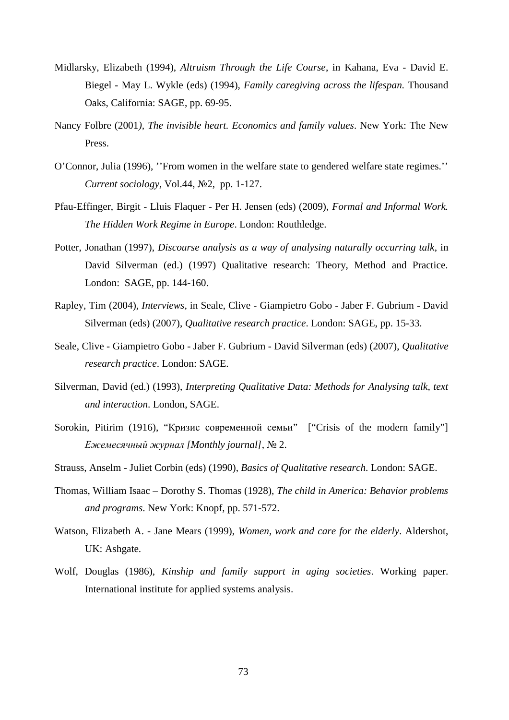- Midlarsky, Elizabeth (1994), *Altruism Through the Life Course*, in Kahana, Eva David E. Biegel - May L. Wykle (eds) (1994), *Family caregiving across the lifespan.* Thousand Oaks, California: SAGE, pp. 69-95.
- Nancy Folbre (2001*), The invisible heart. Economics and family values*. New York: The New Press.
- O'Connor, Julia (1996), ''From women in the welfare state to gendered welfare state regimes.'' *Current sociology, Vol.44, No<sub>2</sub>, pp. 1-127.*
- Pfau-Effinger, Birgit Lluis Flaquer Per H. Jensen (eds) (2009), *Formal and Informal Work. The Hidden Work Regime in Europe*. London: Routhledge.
- Potter, Jonathan (1997), *Discourse analysis as a way of analysing naturally occurring talk*, in David Silverman (ed.) (1997) Qualitative research: Theory, Method and Practice. London: SAGE, pp. 144-160.
- Rapley, Tim (2004), *Interviews*, in Seale, Clive Giampietro Gobo Jaber F. Gubrium David Silverman (eds) (2007), *Qualitative research practice*. London: SAGE, pp. 15-33.
- Seale, Clive Giampietro Gobo Jaber F. Gubrium David Silverman (eds) (2007), *Qualitative research practice*. London: SAGE.
- Silverman, David (ed.) (1993), *Interpreting Qualitative Data: Methods for Analysing talk, text and interaction*. London, SAGE.
- Sorokin, Pitirim (1916), "Кризис современной семьи" ["Crisis of the modern family"]  $E$ жемесячный журнал [Monthly journal], № 2.
- Strauss, Anselm Juliet Corbin (eds) (1990), *Basics of Qualitative research*. London: SAGE.
- Thomas, William Isaac Dorothy S. Thomas (1928), *The child in America: Behavior problems and programs*. New York: Knopf, pp. 571-572.
- Watson, Elizabeth A. Jane Mears (1999), *Women, work and care for the elderly*. Aldershot, UK: Ashgate.
- Wolf, Douglas (1986), *Kinship and family support in aging societies*. Working paper. International institute for applied systems analysis.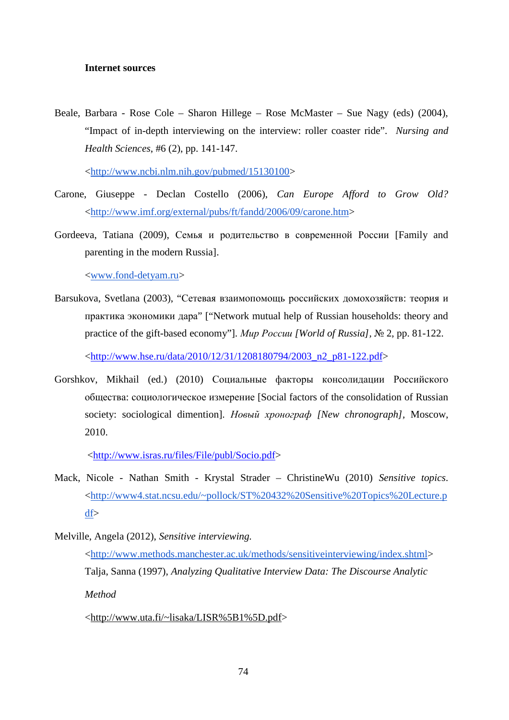#### **Internet sources**

Beale, Barbara - Rose Cole – Sharon Hillege – Rose McMaster – Sue Nagy (eds) (2004), "Impact of in-depth interviewing on the interview: roller coaster ride". *Nursing and Health Sciences*, #6 (2), pp. 141-147.

[<http://www.ncbi.nlm.nih.gov/pubmed/15130100>](http://www.ncbi.nlm.nih.gov/pubmed/15130100)

- Carone, Giuseppe Declan Costello (2006), *Can Europe Afford to Grow Old?* [<http://www.imf.org/external/pubs/ft/fandd/2006/09/carone.htm](http://www.imf.org/external/pubs/ft/fandd/2006/09/carone.htm)>
- Gordeeva, Tatiana (2009), Семья и родительство в современной России [Family and parenting in the modern Russia].

[<www.fond-detyam.ru](http://www.fond-detyam.ru)>

Barsukova, Svetlana (2003), "Сетевая взаимопомощь российских домохозяйств: теория и практика экономики дара" ["Network mutual help of Russian households: theory and practice of the gift-based economy"]. *Mup Poccuu [World of Russia]*, № 2, pp. 81-122.

[<http://www.hse.ru/data/2010/12/31/1208180794/2003\\_n2\\_p81-122.pdf>](http://www.hse.ru/data/2010/12/31/1208180794/2003_n2_p81-122.pdf)

Gorshkov, Mikhail (ed.) (2010) Социальные факторы консолидации Российского общества: социологическое измерение [Social factors of the consolidation of Russian society: sociological dimention]. *Новый хронограф [New chronograph]*, Moscow, 2010.

[<http://www.isras.ru/files/File/publ/Socio.pdf](http://www.isras.ru/files/File/publ/Socio.pdf)>

Mack, Nicole - Nathan Smith - Krystal Strader – ChristineWu (2010) *Sensitive topics*. [<http://www4.stat.ncsu.edu/~pollock/ST%20432%20Sensitive%20Topics%20Lecture.p](http://www4.stat.ncsu.edu/~pollock/ST%20432%20Sensitive%20Topics%20Lecture.p) df>

[<http://www.uta.fi/~lisaka/LISR%5B1%5D.pdf](http://www.uta.fi/~lisaka/LISR%5B1%5D.pdf)>

Melville, Angela (2012), *Sensitive interviewing.* [<http://www.methods.manchester.ac.uk/methods/sensitiveinterviewing/index.shtml](http://www.methods.manchester.ac.uk/methods/sensitiveinterviewing/index.shtml)> Talja, Sanna (1997), *Analyzing Qualitative Interview Data: The Discourse Analytic Method*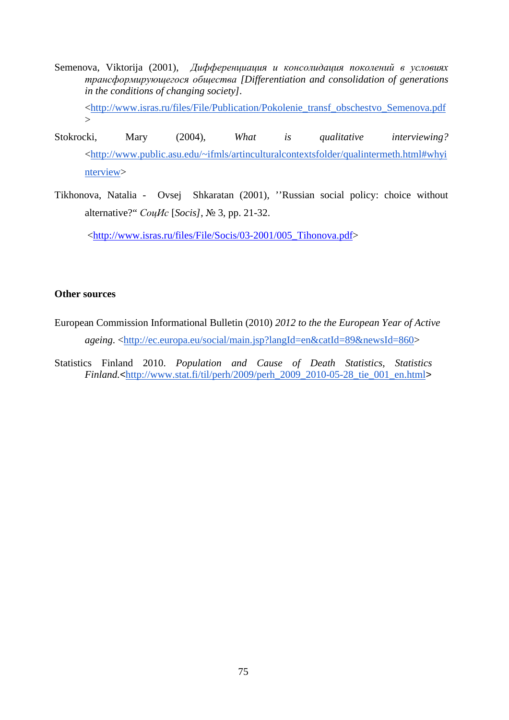- Semenova, Viktorija (2001), Дифференциация и консолидация поколений в условиях *трансформирующегося общества [Differentiation and consolidation of generations in the conditions of changing society].* [<http://www.isras.ru/files/File/Publication/Pokolenie\\_transf\\_obschestvo\\_Semenova.pdf](http://www.isras.ru/files/File/Publication/Pokolenie_transf_obschestvo_Semenova.pdf)  $\geq$
- Stokrocki, Mary (2004), *What is qualitative interviewing?* [<http://www.public.asu.edu/~ifmls/artinculturalcontextsfolder/qualintermeth.html#whyi](http://www.public.asu.edu/~ifmls/artinculturalcontextsfolder/qualintermeth.html#whyi) nterview>
- Tikhonova, Natalia Ovsej Shkaratan (2001), ''Russian social policy: choice without alternative?"*ɋɨɰɂɫ* [*Socis]*, ʋ 3, pp. 21-32.

[<http://www.isras.ru/files/File/Socis/03-2001/005\\_Tihonova.pdf>](http://www.isras.ru/files/File/Socis/03-2001/005_Tihonova.pdf)

#### **Other sources**

- European Commission Informational Bulletin (2010) *2012 to the the European Year of Active ageing*. <<http://ec.europa.eu/social/main.jsp?langId=en&catId=89&newsId=860>>
- Statistics Finland 2010. *Population and Cause of Death Statistics, Statistics Finland.<*[http://www.stat.fi/til/perh/2009/perh\\_2009\\_2010-05-28\\_tie\\_001\\_en.html](http://www.stat.fi/til/perh/2009/perh_2009_2010-05-28_tie_001_en.html)*>*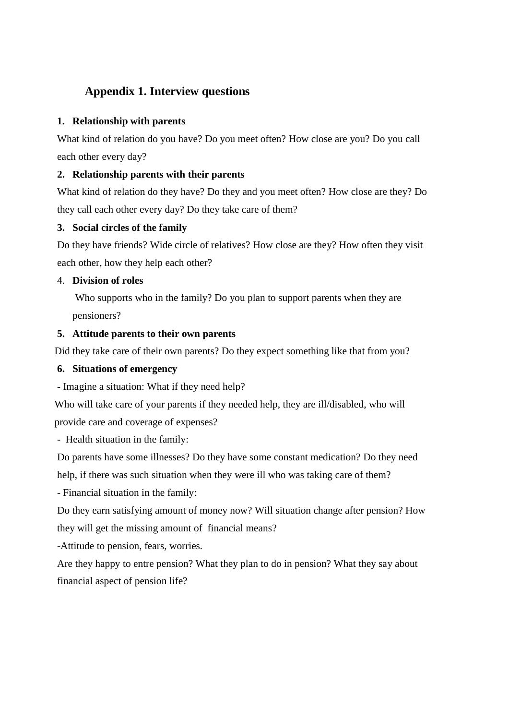## **Appendix 1. Interview questions**

### **1. Relationship with parents**

What kind of relation do you have? Do you meet often? How close are you? Do you call each other every day?

### **2. Relationship parents with their parents**

What kind of relation do they have? Do they and you meet often? How close are they? Do they call each other every day? Do they take care of them?

#### **3. Social circles of the family**

Do they have friends? Wide circle of relatives? How close are they? How often they visit each other, how they help each other?

## 4. **Division of roles**

 Who supports who in the family? Do you plan to support parents when they are pensioners?

## **5. Attitude parents to their own parents**

Did they take care of their own parents? Do they expect something like that from you?

#### **6. Situations of emergency**

**-** Imagine a situation: What if they need help?

Who will take care of your parents if they needed help, they are ill/disabled, who will provide care and coverage of expenses?

- Health situation in the family:

Do parents have some illnesses? Do they have some constant medication? Do they need help, if there was such situation when they were ill who was taking care of them?

- Financial situation in the family:

Do they earn satisfying amount of money now? Will situation change after pension? How they will get the missing amount of financial means?

-Attitude to pension, fears, worries.

Are they happy to entre pension? What they plan to do in pension? What they say about financial aspect of pension life?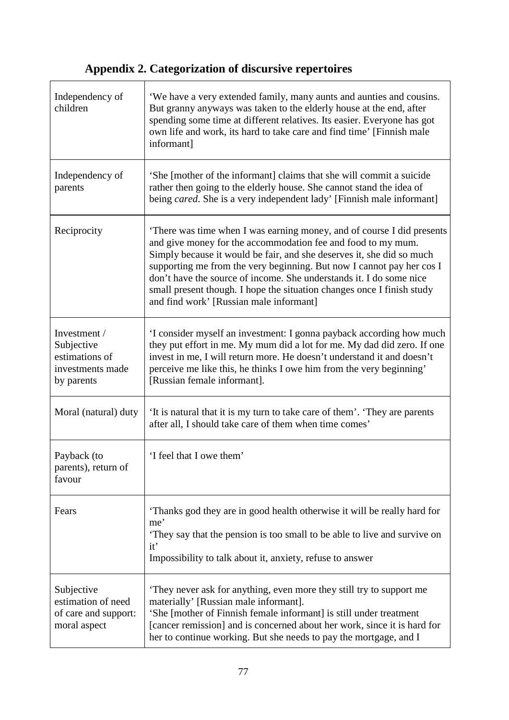# **Appendix 2. Categorization of discursive repertoires**

| Independency of<br>children                                                    | 'We have a very extended family, many aunts and aunties and cousins.<br>But granny anyways was taken to the elderly house at the end, after<br>spending some time at different relatives. Its easier. Everyone has got<br>own life and work, its hard to take care and find time' [Finnish male<br>informant]                                                                                                                                                                       |
|--------------------------------------------------------------------------------|-------------------------------------------------------------------------------------------------------------------------------------------------------------------------------------------------------------------------------------------------------------------------------------------------------------------------------------------------------------------------------------------------------------------------------------------------------------------------------------|
| Independency of<br>parents                                                     | 'She [mother of the informant] claims that she will commit a suicide<br>rather then going to the elderly house. She cannot stand the idea of<br>being <i>cared</i> . She is a very independent lady' [Finnish male informant]                                                                                                                                                                                                                                                       |
| Reciprocity                                                                    | There was time when I was earning money, and of course I did presents<br>and give money for the accommodation fee and food to my mum.<br>Simply because it would be fair, and she deserves it, she did so much<br>supporting me from the very beginning. But now I cannot pay her cos I<br>don't have the source of income. She understands it. I do some nice<br>small present though. I hope the situation changes once I finish study<br>and find work' [Russian male informant] |
| Investment /<br>Subjective<br>estimations of<br>investments made<br>by parents | 'I consider myself an investment: I gonna payback according how much<br>they put effort in me. My mum did a lot for me. My dad did zero. If one<br>invest in me, I will return more. He doesn't understand it and doesn't<br>perceive me like this, he thinks I owe him from the very beginning'<br>[Russian female informant].                                                                                                                                                     |
| Moral (natural) duty                                                           | 'It is natural that it is my turn to take care of them'. 'They are parents<br>after all, I should take care of them when time comes'                                                                                                                                                                                                                                                                                                                                                |
| Payback (to<br>parents), return of<br>favour                                   | 'I feel that I owe them'                                                                                                                                                                                                                                                                                                                                                                                                                                                            |
| Fears                                                                          | Thanks god they are in good health otherwise it will be really hard for<br>me'<br>They say that the pension is too small to be able to live and survive on<br>it'<br>Impossibility to talk about it, anxiety, refuse to answer                                                                                                                                                                                                                                                      |
| Subjective<br>estimation of need<br>of care and support:<br>moral aspect       | They never ask for anything, even more they still try to support me<br>materially' [Russian male informant].<br>'She [mother of Finnish female informant] is still under treatment<br>[cancer remission] and is concerned about her work, since it is hard for<br>her to continue working. But she needs to pay the mortgage, and I                                                                                                                                                 |